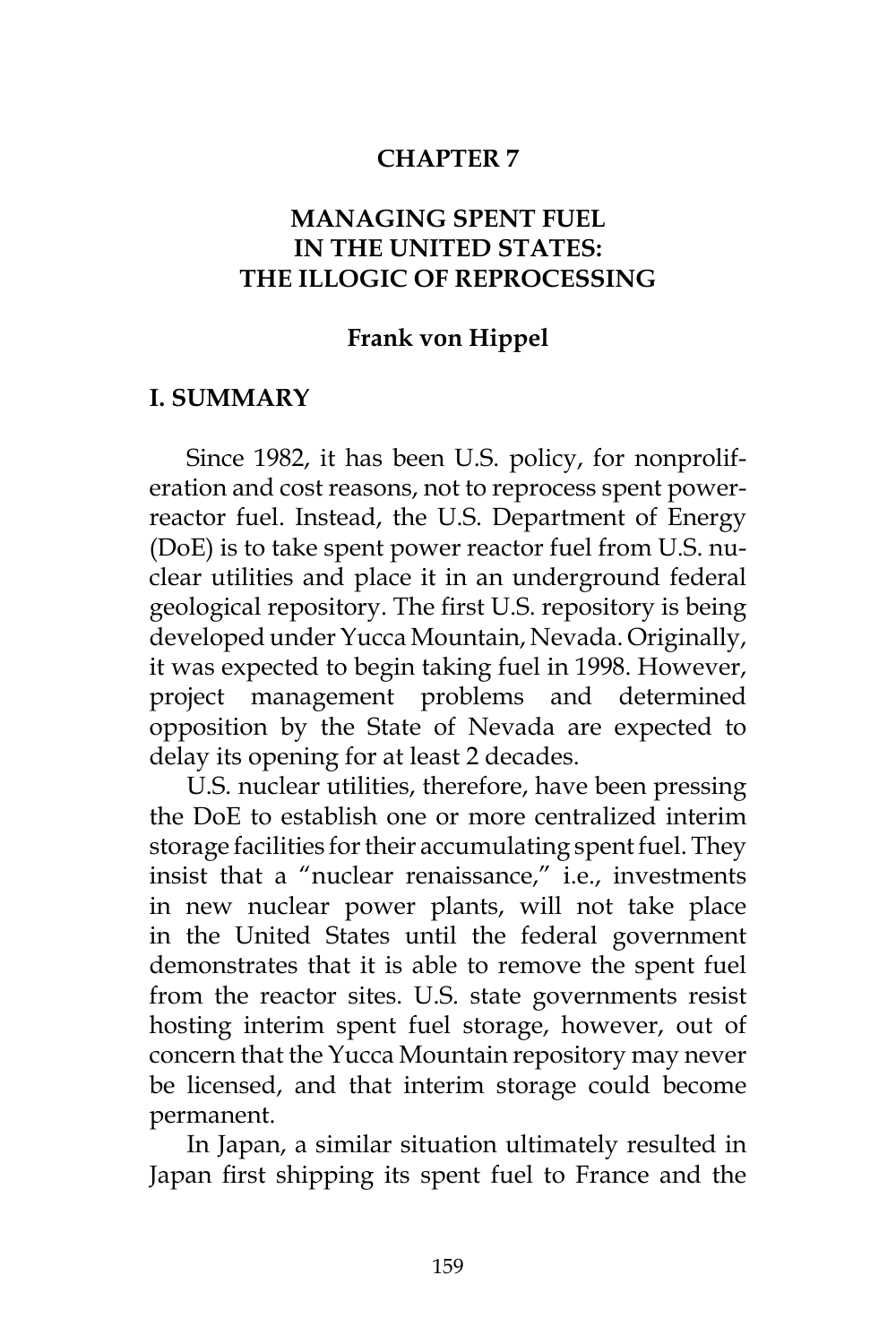#### **CHAPTER 7**

## **MANAGING SPENT FUEL IN THE UNITED STATES: THE ILLOGIC OF REPROCESSING**

#### **Frank von Hippel**

#### **I. SUMMARY**

Since 1982, it has been U.S. policy, for nonproliferation and cost reasons, not to reprocess spent powerreactor fuel. Instead, the U.S. Department of Energy (DoE) is to take spent power reactor fuel from U.S. nuclear utilities and place it in an underground federal geological repository. The first U.S. repository is being developed under Yucca Mountain, Nevada. Originally, it was expected to begin taking fuel in 1998. However, project management problems and determined opposition by the State of Nevada are expected to delay its opening for at least 2 decades.

U.S. nuclear utilities, therefore, have been pressing the DoE to establish one or more centralized interim storage facilities for their accumulating spent fuel. They insist that a "nuclear renaissance," i.e., investments in new nuclear power plants, will not take place in the United States until the federal government demonstrates that it is able to remove the spent fuel from the reactor sites. U.S. state governments resist hosting interim spent fuel storage, however, out of concern that the Yucca Mountain repository may never be licensed, and that interim storage could become permanent.

In Japan, a similar situation ultimately resulted in Japan first shipping its spent fuel to France and the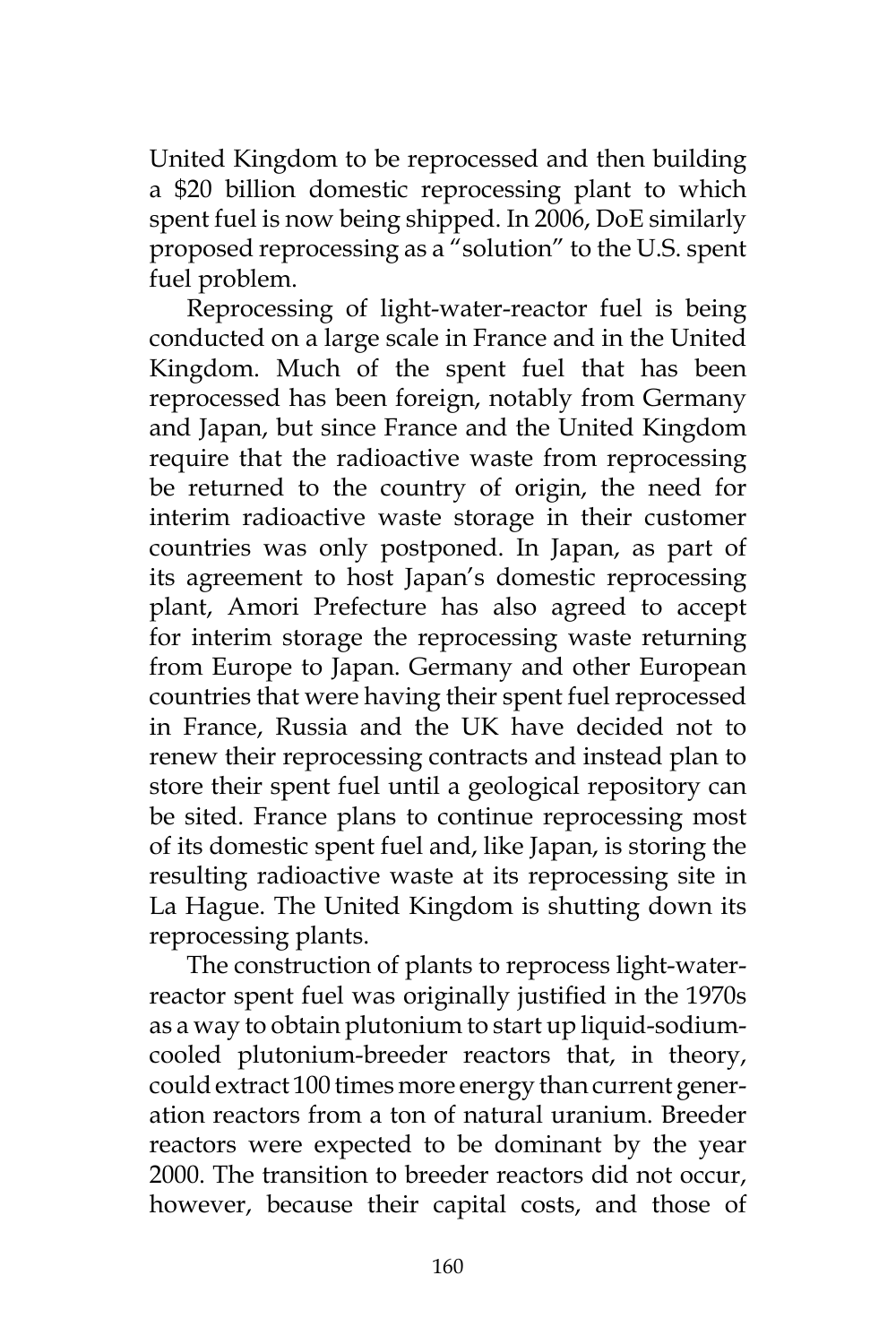United Kingdom to be reprocessed and then building a \$20 billion domestic reprocessing plant to which spent fuel is now being shipped. In 2006, DoE similarly proposed reprocessing as a "solution" to the U.S. spent fuel problem.

Reprocessing of light-water-reactor fuel is being conducted on a large scale in France and in the United Kingdom. Much of the spent fuel that has been reprocessed has been foreign, notably from Germany and Japan, but since France and the United Kingdom require that the radioactive waste from reprocessing be returned to the country of origin, the need for interim radioactive waste storage in their customer countries was only postponed. In Japan, as part of its agreement to host Japan's domestic reprocessing plant, Amori Prefecture has also agreed to accept for interim storage the reprocessing waste returning from Europe to Japan. Germany and other European countries that were having their spent fuel reprocessed in France, Russia and the UK have decided not to renew their reprocessing contracts and instead plan to store their spent fuel until a geological repository can be sited. France plans to continue reprocessing most of its domestic spent fuel and, like Japan, is storing the resulting radioactive waste at its reprocessing site in La Hague. The United Kingdom is shutting down its reprocessing plants.

The construction of plants to reprocess light-waterreactor spent fuel was originally justified in the 1970s as a way to obtain plutonium to start up liquid-sodiumcooled plutonium-breeder reactors that, in theory, could extract 100 times more energy than current generation reactors from a ton of natural uranium. Breeder reactors were expected to be dominant by the year 2000. The transition to breeder reactors did not occur, however, because their capital costs, and those of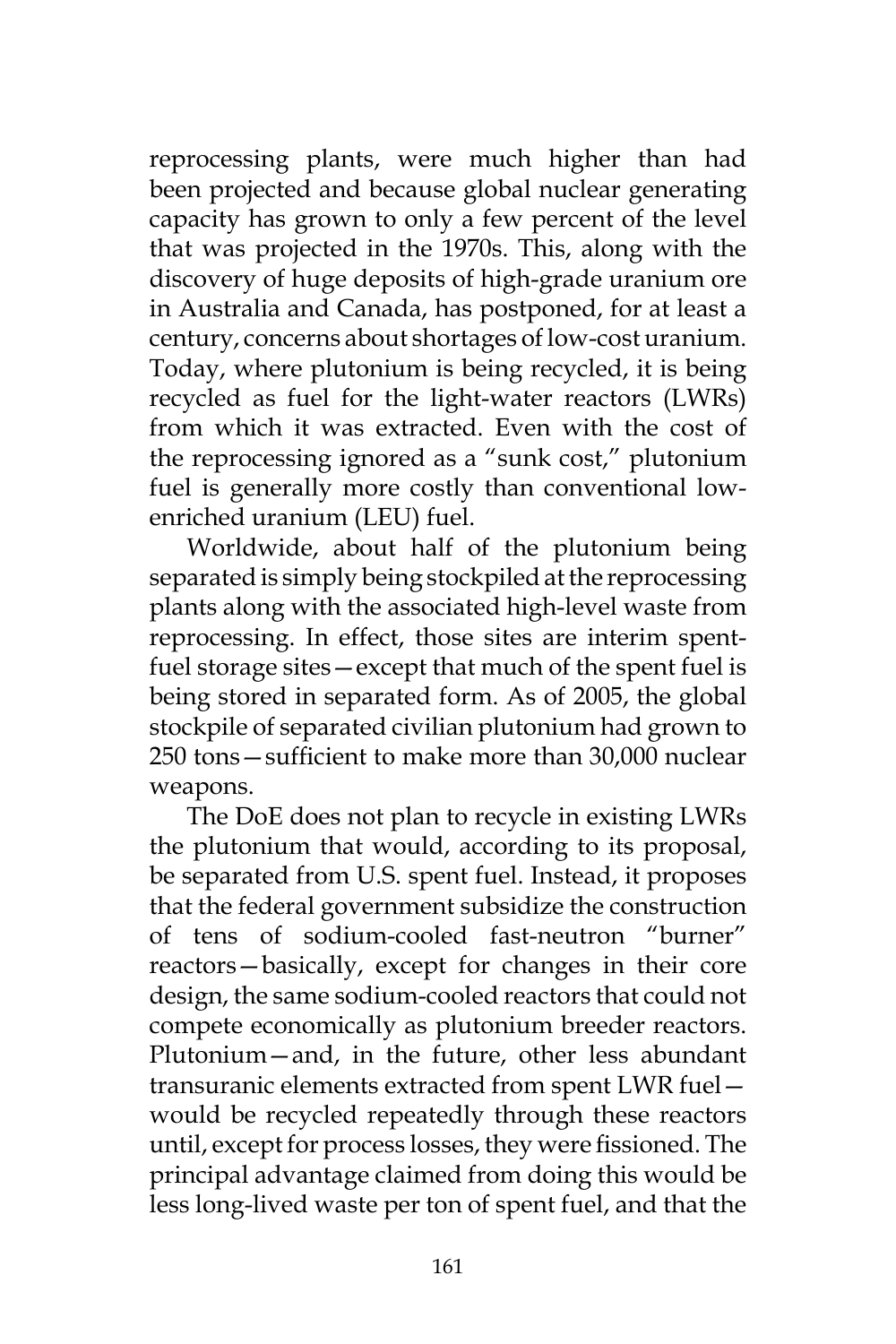reprocessing plants, were much higher than had been projected and because global nuclear generating capacity has grown to only a few percent of the level that was projected in the 1970s. This, along with the discovery of huge deposits of high-grade uranium ore in Australia and Canada, has postponed, for at least a century, concerns about shortages of low-cost uranium. Today, where plutonium is being recycled, it is being recycled as fuel for the light-water reactors (LWRs) from which it was extracted. Even with the cost of the reprocessing ignored as a "sunk cost," plutonium fuel is generally more costly than conventional lowenriched uranium (LEU) fuel.

Worldwide, about half of the plutonium being separated is simply being stockpiled at the reprocessing plants along with the associated high-level waste from reprocessing. In effect, those sites are interim spentfuel storage sites—except that much of the spent fuel is being stored in separated form. As of 2005, the global stockpile of separated civilian plutonium had grown to 250 tons—sufficient to make more than 30,000 nuclear weapons.

The DoE does not plan to recycle in existing LWRs the plutonium that would, according to its proposal, be separated from U.S. spent fuel. Instead, it proposes that the federal government subsidize the construction of tens of sodium-cooled fast-neutron "burner" reactors—basically, except for changes in their core design, the same sodium-cooled reactors that could not compete economically as plutonium breeder reactors. Plutonium—and, in the future, other less abundant transuranic elements extracted from spent LWR fuel would be recycled repeatedly through these reactors until, except for process losses, they were fissioned. The principal advantage claimed from doing this would be less long-lived waste per ton of spent fuel, and that the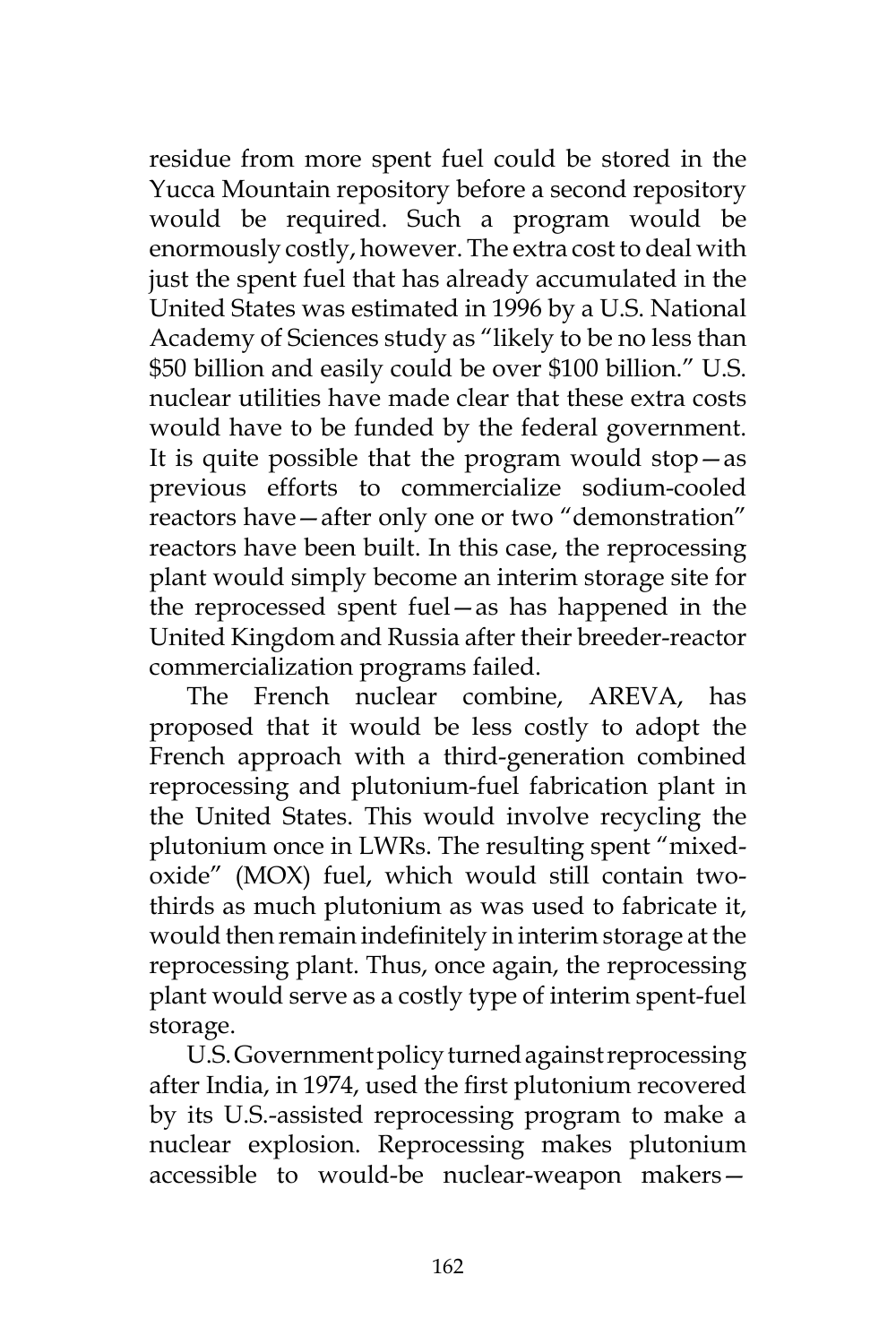residue from more spent fuel could be stored in the Yucca Mountain repository before a second repository would be required. Such a program would be enormously costly, however. The extra cost to deal with just the spent fuel that has already accumulated in the United States was estimated in 1996 by a U.S. National Academy of Sciences study as "likely to be no less than \$50 billion and easily could be over \$100 billion." U.S. nuclear utilities have made clear that these extra costs would have to be funded by the federal government. It is quite possible that the program would stop—as previous efforts to commercialize sodium-cooled reactors have—after only one or two "demonstration" reactors have been built. In this case, the reprocessing plant would simply become an interim storage site for the reprocessed spent fuel—as has happened in the United Kingdom and Russia after their breeder-reactor commercialization programs failed.

The French nuclear combine, AREVA, has proposed that it would be less costly to adopt the French approach with a third-generation combined reprocessing and plutonium-fuel fabrication plant in the United States. This would involve recycling the plutonium once in LWRs. The resulting spent "mixedoxide" (MOX) fuel, which would still contain twothirds as much plutonium as was used to fabricate it, would then remain indefinitely in interim storage at the reprocessing plant. Thus, once again, the reprocessing plant would serve as a costly type of interim spent-fuel storage.

U.S. Government policy turned against reprocessing after India, in 1974, used the first plutonium recovered by its U.S.-assisted reprocessing program to make a nuclear explosion. Reprocessing makes plutonium accessible to would-be nuclear-weapon makers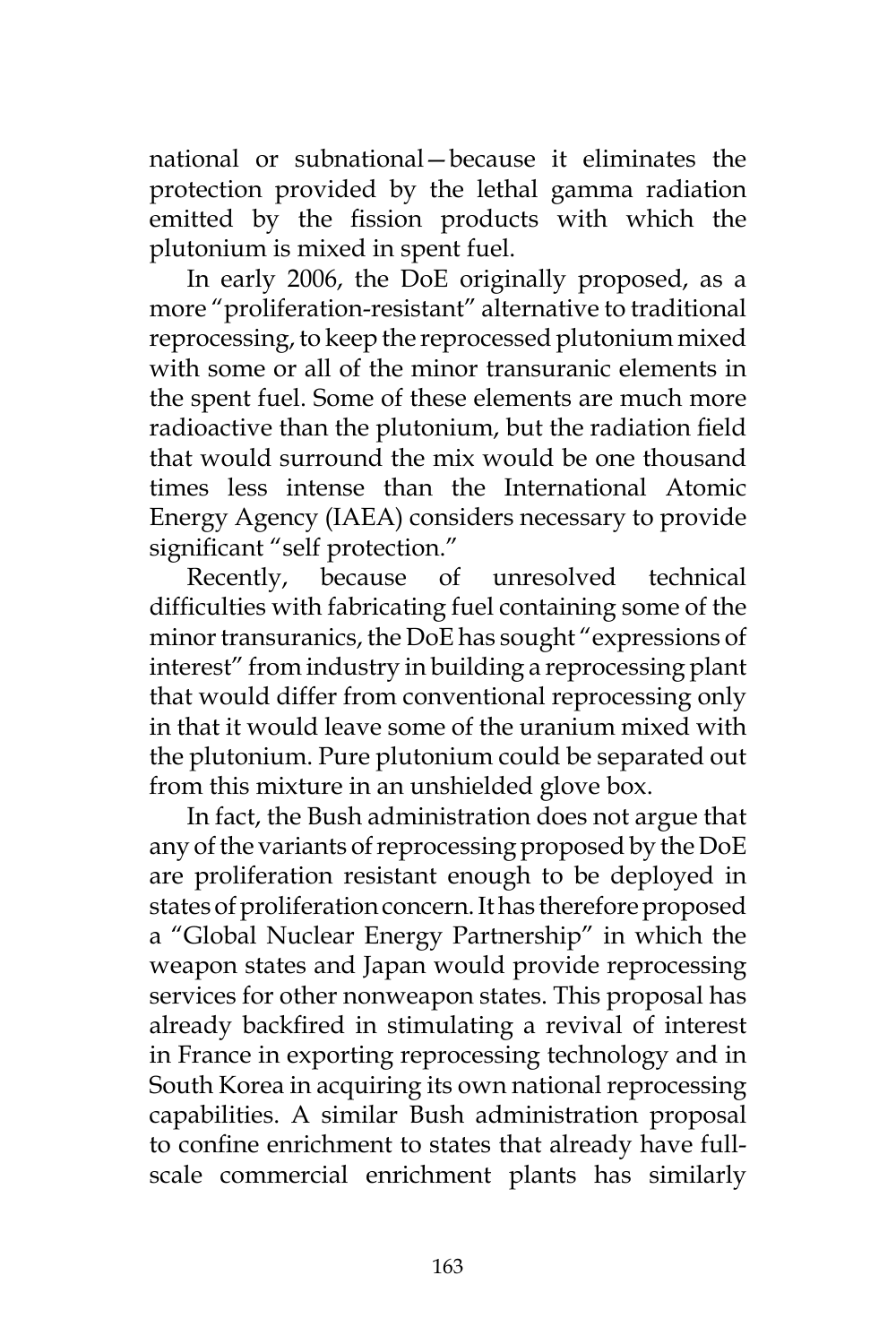national or subnational—because it eliminates the protection provided by the lethal gamma radiation emitted by the fission products with which the plutonium is mixed in spent fuel.

In early 2006, the DoE originally proposed, as a more "proliferation-resistant" alternative to traditional reprocessing, to keep the reprocessed plutonium mixed with some or all of the minor transuranic elements in the spent fuel. Some of these elements are much more radioactive than the plutonium, but the radiation field that would surround the mix would be one thousand times less intense than the International Atomic Energy Agency (IAEA) considers necessary to provide significant "self protection."

Recently, because of unresolved technical difficulties with fabricating fuel containing some of the minor transuranics, the DoE has sought "expressions of interest" from industry in building a reprocessing plant that would differ from conventional reprocessing only in that it would leave some of the uranium mixed with the plutonium. Pure plutonium could be separated out from this mixture in an unshielded glove box.

In fact, the Bush administration does not argue that any of the variants of reprocessing proposed by the DoE are proliferation resistant enough to be deployed in states of proliferation concern. It has therefore proposed a "Global Nuclear Energy Partnership" in which the weapon states and Japan would provide reprocessing services for other nonweapon states. This proposal has already backfired in stimulating a revival of interest in France in exporting reprocessing technology and in South Korea in acquiring its own national reprocessing capabilities. A similar Bush administration proposal to confine enrichment to states that already have fullscale commercial enrichment plants has similarly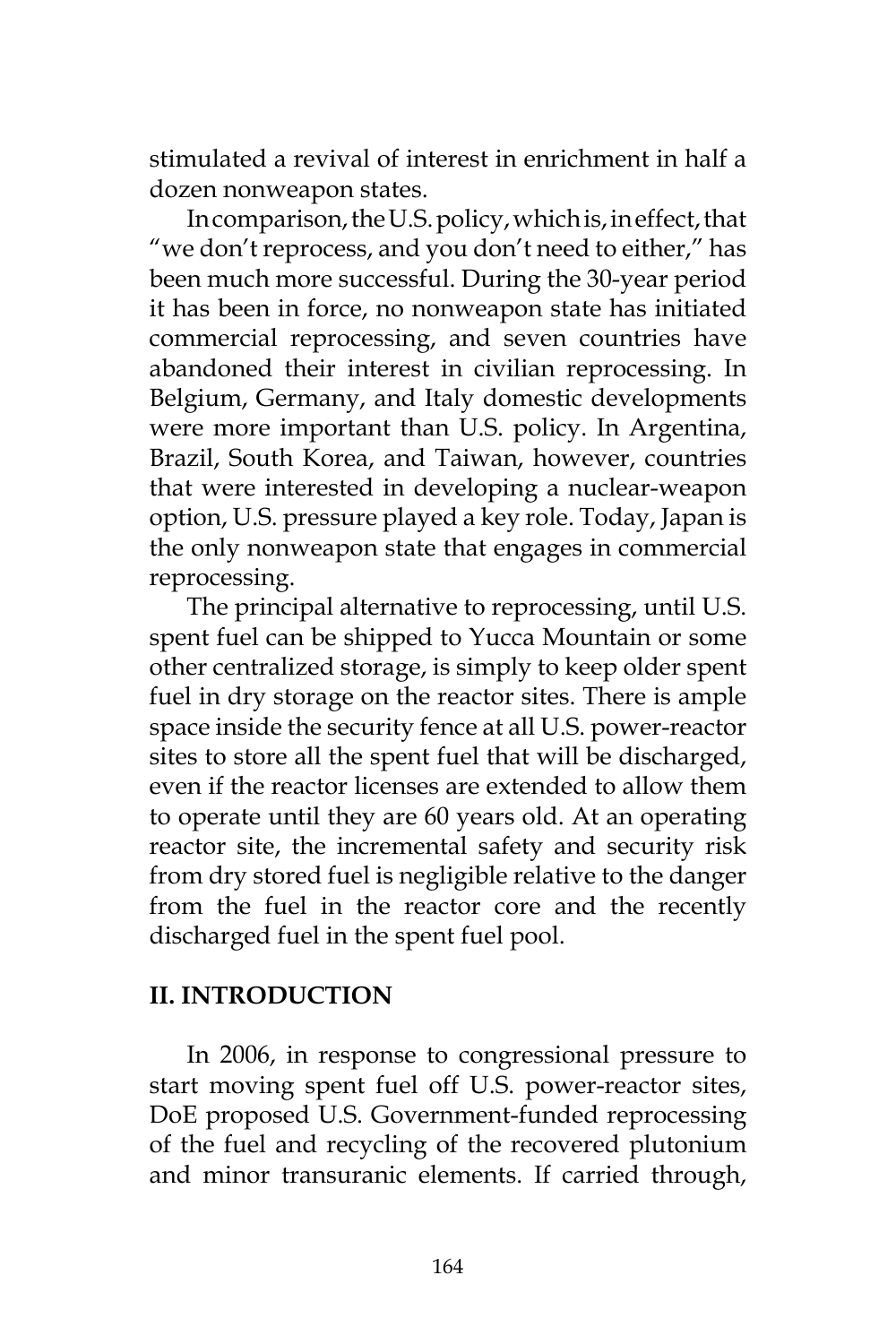stimulated a revival of interest in enrichment in half a dozen nonweapon states.

In comparison, the U.S. policy, which is, in effect, that "we don't reprocess, and you don't need to either," has been much more successful. During the 30-year period it has been in force, no nonweapon state has initiated commercial reprocessing, and seven countries have abandoned their interest in civilian reprocessing. In Belgium, Germany, and Italy domestic developments were more important than U.S. policy. In Argentina, Brazil, South Korea, and Taiwan, however, countries that were interested in developing a nuclear-weapon option, U.S. pressure played a key role. Today, Japan is the only nonweapon state that engages in commercial reprocessing.

The principal alternative to reprocessing, until U.S. spent fuel can be shipped to Yucca Mountain or some other centralized storage, is simply to keep older spent fuel in dry storage on the reactor sites. There is ample space inside the security fence at all U.S. power-reactor sites to store all the spent fuel that will be discharged, even if the reactor licenses are extended to allow them to operate until they are 60 years old. At an operating reactor site, the incremental safety and security risk from dry stored fuel is negligible relative to the danger from the fuel in the reactor core and the recently discharged fuel in the spent fuel pool.

## **II. INTRODUCTION**

In 2006, in response to congressional pressure to start moving spent fuel off U.S. power-reactor sites, DoE proposed U.S. Government-funded reprocessing of the fuel and recycling of the recovered plutonium and minor transuranic elements. If carried through,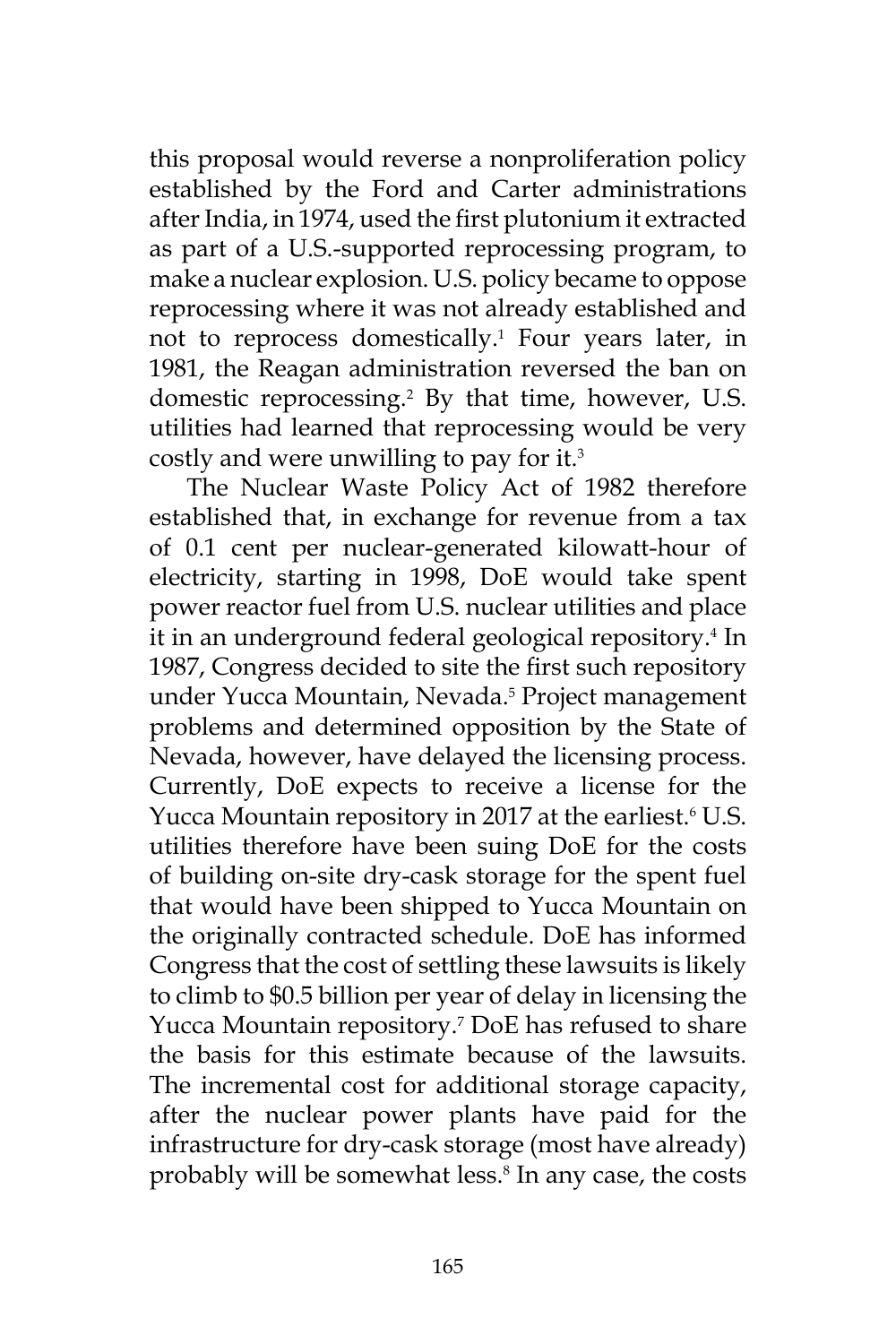this proposal would reverse a nonproliferation policy established by the Ford and Carter administrations after India, in 1974, used the first plutonium it extracted as part of a U.S.-supported reprocessing program, to make a nuclear explosion. U.S. policy became to oppose reprocessing where it was not already established and not to reprocess domestically.<sup>1</sup> Four years later, in 1981, the Reagan administration reversed the ban on domestic reprocessing.2 By that time, however, U.S. utilities had learned that reprocessing would be very costly and were unwilling to pay for it.3

The Nuclear Waste Policy Act of 1982 therefore established that, in exchange for revenue from a tax of 0.1 cent per nuclear-generated kilowatt-hour of electricity, starting in 1998, DoE would take spent power reactor fuel from U.S. nuclear utilities and place it in an underground federal geological repository.4 In 1987, Congress decided to site the first such repository under Yucca Mountain, Nevada.5 Project management problems and determined opposition by the State of Nevada, however, have delayed the licensing process. Currently, DoE expects to receive a license for the Yucca Mountain repository in 2017 at the earliest.<sup>6</sup> U.S. utilities therefore have been suing DoE for the costs of building on-site dry-cask storage for the spent fuel that would have been shipped to Yucca Mountain on the originally contracted schedule. DoE has informed Congress that the cost of settling these lawsuits is likely to climb to \$0.5 billion per year of delay in licensing the Yucca Mountain repository.7 DoE has refused to share the basis for this estimate because of the lawsuits. The incremental cost for additional storage capacity, after the nuclear power plants have paid for the infrastructure for dry-cask storage (most have already) probably will be somewhat less.<sup>8</sup> In any case, the costs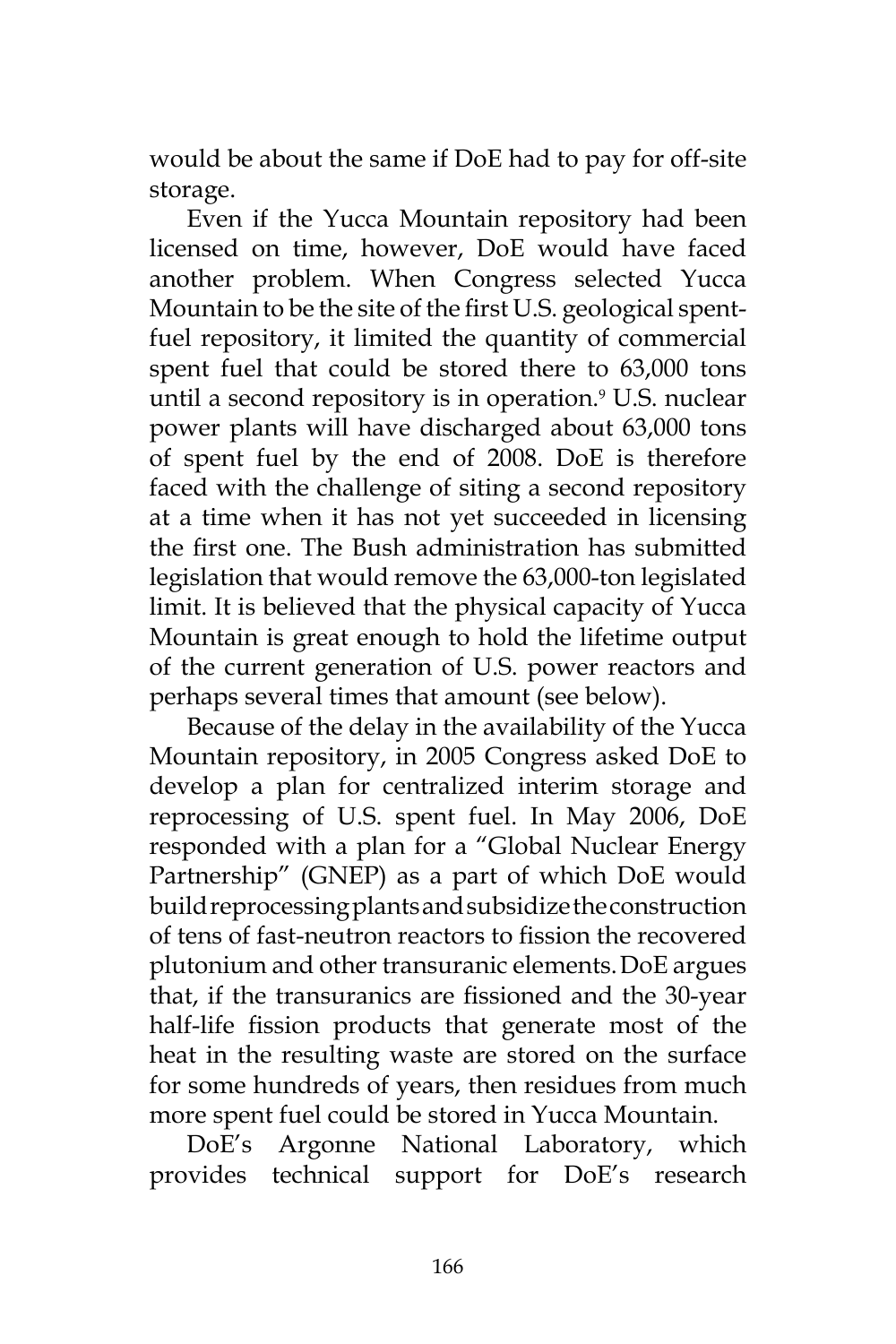would be about the same if DoE had to pay for off-site storage.

Even if the Yucca Mountain repository had been licensed on time, however, DoE would have faced another problem. When Congress selected Yucca Mountain to be the site of the first U.S. geological spentfuel repository, it limited the quantity of commercial spent fuel that could be stored there to 63,000 tons until a second repository is in operation.9 U.S. nuclear power plants will have discharged about 63,000 tons of spent fuel by the end of 2008. DoE is therefore faced with the challenge of siting a second repository at a time when it has not yet succeeded in licensing the first one. The Bush administration has submitted legislation that would remove the 63,000-ton legislated limit. It is believed that the physical capacity of Yucca Mountain is great enough to hold the lifetime output of the current generation of U.S. power reactors and perhaps several times that amount (see below).

Because of the delay in the availability of the Yucca Mountain repository, in 2005 Congress asked DoE to develop a plan for centralized interim storage and reprocessing of U.S. spent fuel. In May 2006, DoE responded with a plan for a "Global Nuclear Energy Partnership" (GNEP) as a part of which DoE would build reprocessing plants and subsidize the construction of tens of fast-neutron reactors to fission the recovered plutonium and other transuranic elements.DoE argues that, if the transuranics are fissioned and the 30-year half-life fission products that generate most of the heat in the resulting waste are stored on the surface for some hundreds of years, then residues from much more spent fuel could be stored in Yucca Mountain.

DoE's Argonne National Laboratory, which provides technical support for DoE's research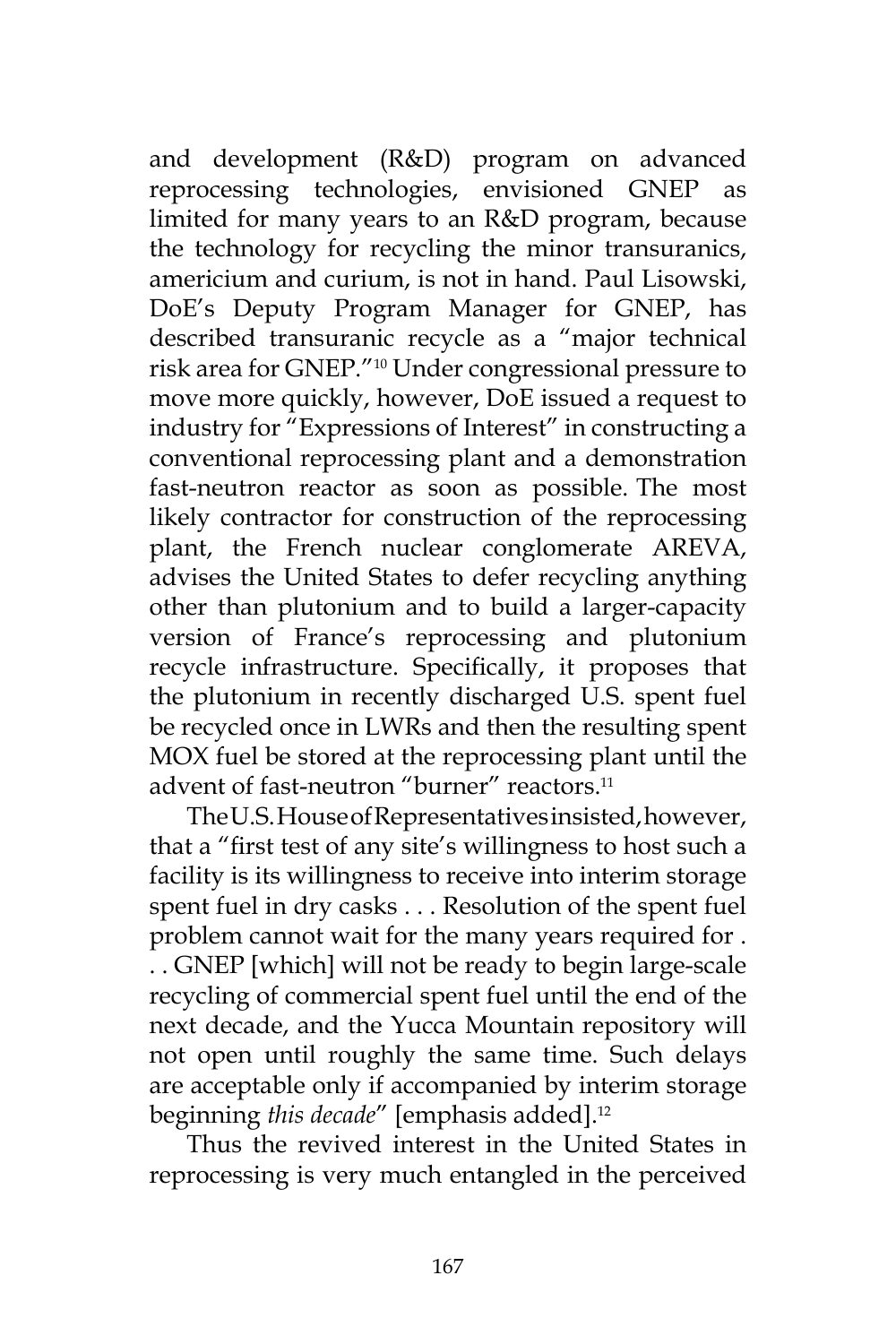and development (R&D) program on advanced reprocessing technologies, envisioned GNEP as limited for many years to an R&D program, because the technology for recycling the minor transuranics, americium and curium, is not in hand. Paul Lisowski, DoE's Deputy Program Manager for GNEP, has described transuranic recycle as a "major technical risk area for GNEP."10 Under congressional pressure to move more quickly, however, DoE issued a request to industry for "Expressions of Interest" in constructing a conventional reprocessing plant and a demonstration fast-neutron reactor as soon as possible. The most likely contractor for construction of the reprocessing plant, the French nuclear conglomerate AREVA, advises the United States to defer recycling anything other than plutonium and to build a larger-capacity version of France's reprocessing and plutonium recycle infrastructure. Specifically, it proposes that the plutonium in recently discharged U.S. spent fuel be recycled once in LWRs and then the resulting spent MOX fuel be stored at the reprocessing plant until the advent of fast-neutron "burner" reactors.<sup>11</sup>

The U.S. House of Representatives insisted, however, that a "first test of any site's willingness to host such a facility is its willingness to receive into interim storage spent fuel in dry casks . . . Resolution of the spent fuel problem cannot wait for the many years required for . . . GNEP [which] will not be ready to begin large-scale recycling of commercial spent fuel until the end of the next decade, and the Yucca Mountain repository will not open until roughly the same time. Such delays are acceptable only if accompanied by interim storage beginning *this decade"* [emphasis added].<sup>12</sup>

Thus the revived interest in the United States in reprocessing is very much entangled in the perceived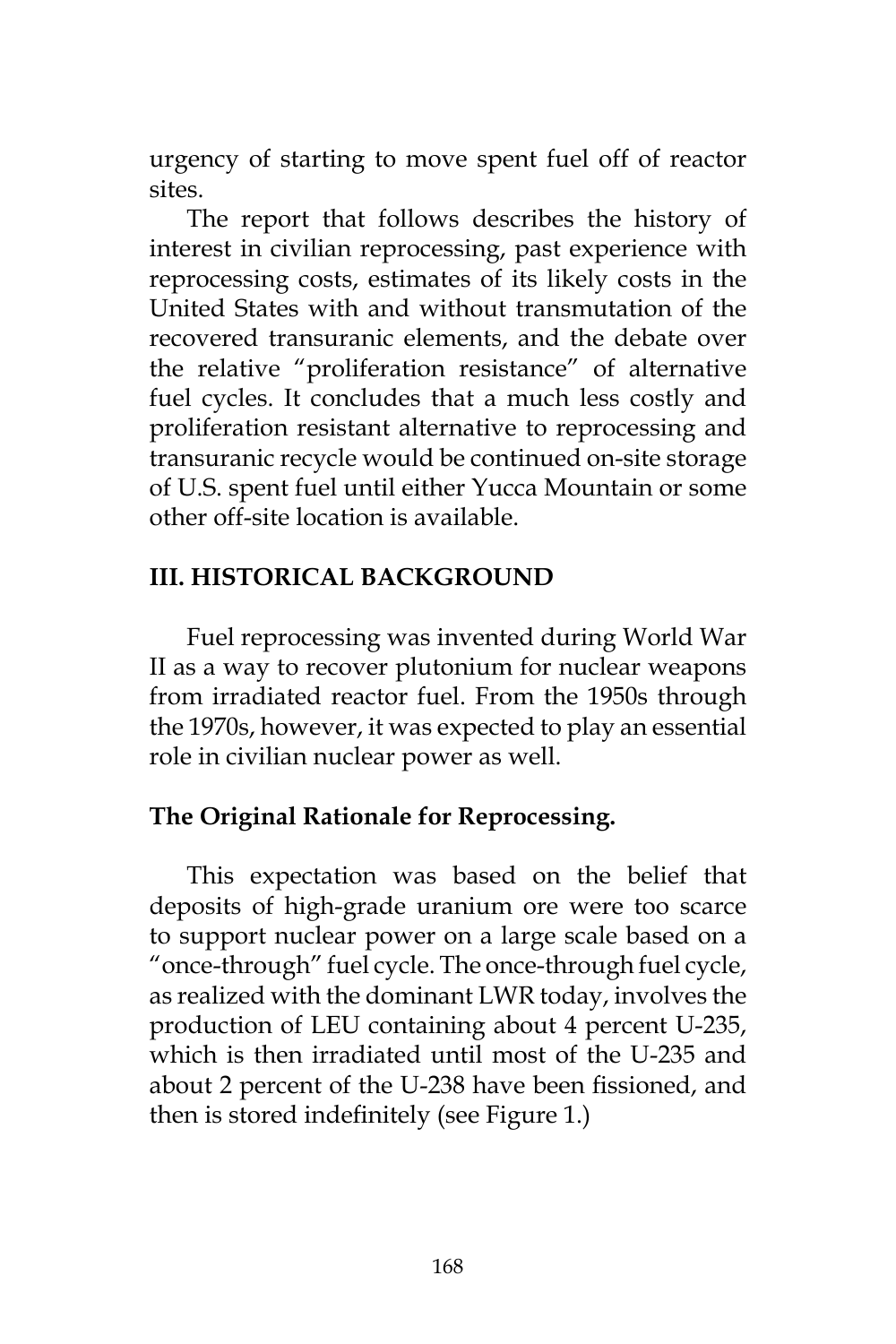urgency of starting to move spent fuel off of reactor sites.

The report that follows describes the history of interest in civilian reprocessing, past experience with reprocessing costs, estimates of its likely costs in the United States with and without transmutation of the recovered transuranic elements, and the debate over the relative "proliferation resistance" of alternative fuel cycles. It concludes that a much less costly and proliferation resistant alternative to reprocessing and transuranic recycle would be continued on-site storage of U.S. spent fuel until either Yucca Mountain or some other off-site location is available.

## **III. HISTORICAL BACKGROUND**

Fuel reprocessing was invented during World War II as a way to recover plutonium for nuclear weapons from irradiated reactor fuel. From the 1950s through the 1970s, however, it was expected to play an essential role in civilian nuclear power as well.

# **The Original Rationale for Reprocessing.**

This expectation was based on the belief that deposits of high-grade uranium ore were too scarce to support nuclear power on a large scale based on a "once-through" fuel cycle. The once-through fuel cycle, as realized with the dominant LWR today, involves the production of LEU containing about 4 percent U-235, which is then irradiated until most of the U-235 and about 2 percent of the U-238 have been fissioned, and then is stored indefinitely (see Figure 1.)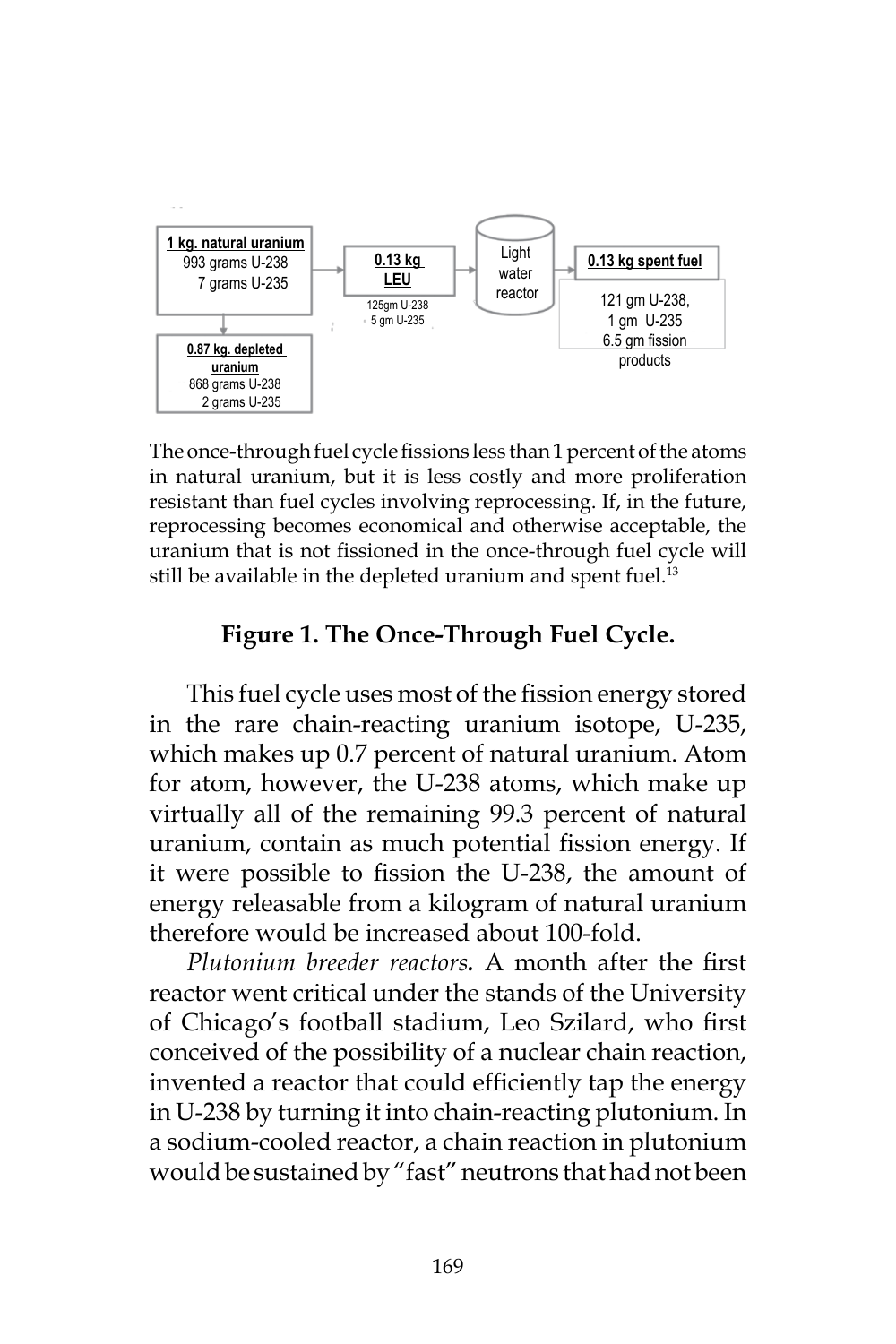

The once-through fuel cycle fissions less than 1 percent of the atoms in natural uranium, but it is less costly and more proliferation resistant than fuel cycles involving reprocessing. If, in the future, reprocessing becomes economical and otherwise acceptable, the uranium that is not fissioned in the once-through fuel cycle will still be available in the depleted uranium and spent fuel.<sup>13</sup>

#### **Figure 1. The Once-Through Fuel Cycle.**

This fuel cycle uses most of the fission energy stored in the rare chain-reacting uranium isotope, U-235, which makes up 0.7 percent of natural uranium. Atom for atom, however, the U-238 atoms, which make up virtually all of the remaining 99.3 percent of natural uranium, contain as much potential fission energy. If it were possible to fission the U-238, the amount of energy releasable from a kilogram of natural uranium therefore would be increased about 100-fold.

*Plutonium breeder reactors.* A month after the first reactor went critical under the stands of the University of Chicago's football stadium, Leo Szilard, who first conceived of the possibility of a nuclear chain reaction, invented a reactor that could efficiently tap the energy in U-238 by turning it into chain-reacting plutonium. In a sodium-cooled reactor, a chain reaction in plutonium would be sustained by "fast" neutrons that had not been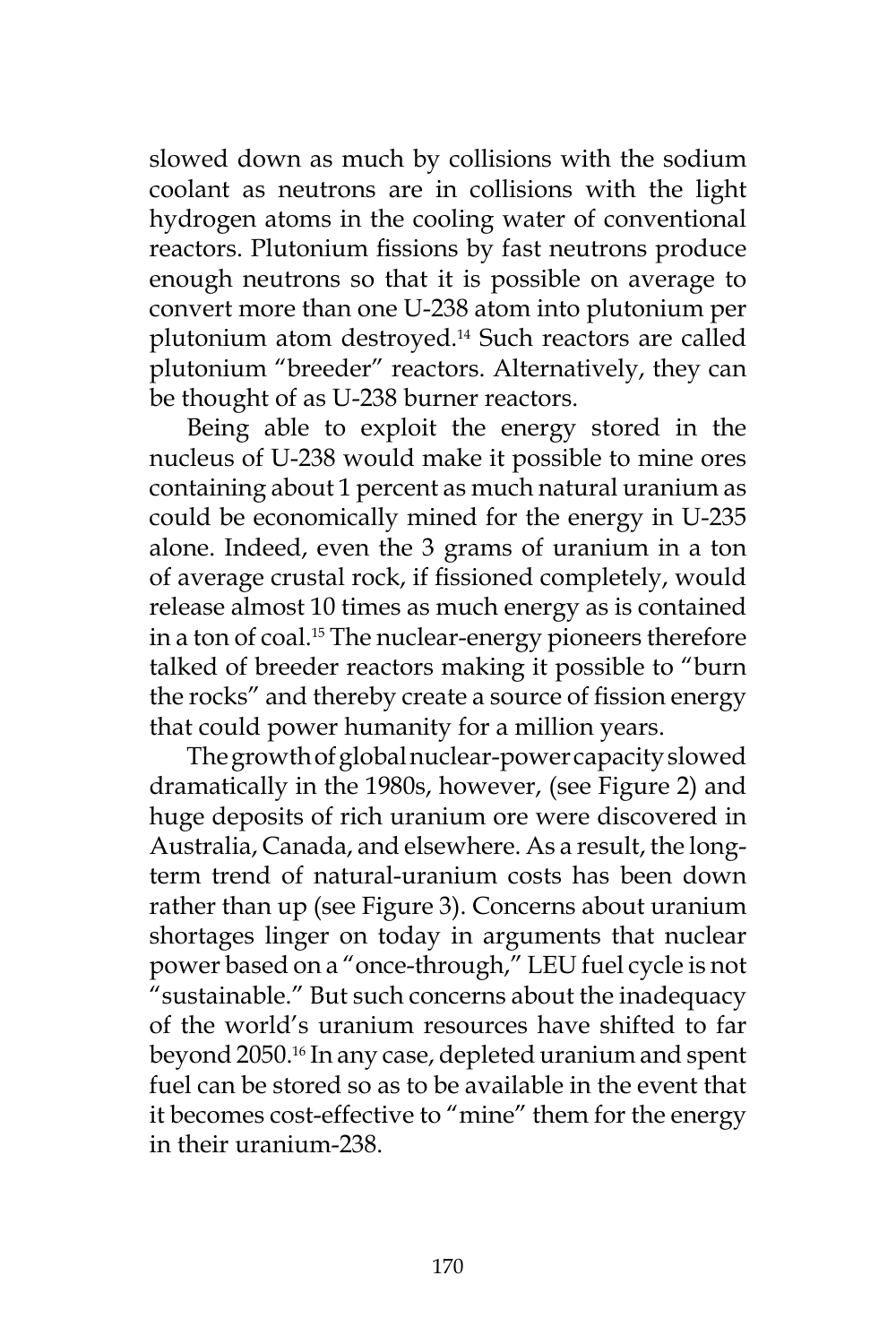slowed down as much by collisions with the sodium coolant as neutrons are in collisions with the light hydrogen atoms in the cooling water of conventional reactors. Plutonium fissions by fast neutrons produce enough neutrons so that it is possible on average to convert more than one U-238 atom into plutonium per plutonium atom destroyed.14 Such reactors are called plutonium "breeder" reactors. Alternatively, they can be thought of as U-238 burner reactors.

Being able to exploit the energy stored in the nucleus of U-238 would make it possible to mine ores containing about 1 percent as much natural uranium as could be economically mined for the energy in U-235 alone. Indeed, even the 3 grams of uranium in a ton of average crustal rock, if fissioned completely, would release almost 10 times as much energy as is contained in a ton of coal.<sup>15</sup> The nuclear-energy pioneers therefore talked of breeder reactors making it possible to "burn the rocks" and thereby create a source of fission energy that could power humanity for a million years.

The growth of global nuclear-power capacity slowed dramatically in the 1980s, however, (see Figure 2) and huge deposits of rich uranium ore were discovered in Australia, Canada, and elsewhere. As a result, the longterm trend of natural-uranium costs has been down rather than up (see Figure 3). Concerns about uranium shortages linger on today in arguments that nuclear power based on a "once-through," LEU fuel cycle is not "sustainable." But such concerns about the inadequacy of the world's uranium resources have shifted to far beyond 2050.16 In any case, depleted uranium and spent fuel can be stored so as to be available in the event that it becomes cost-effective to "mine" them for the energy in their uranium-238.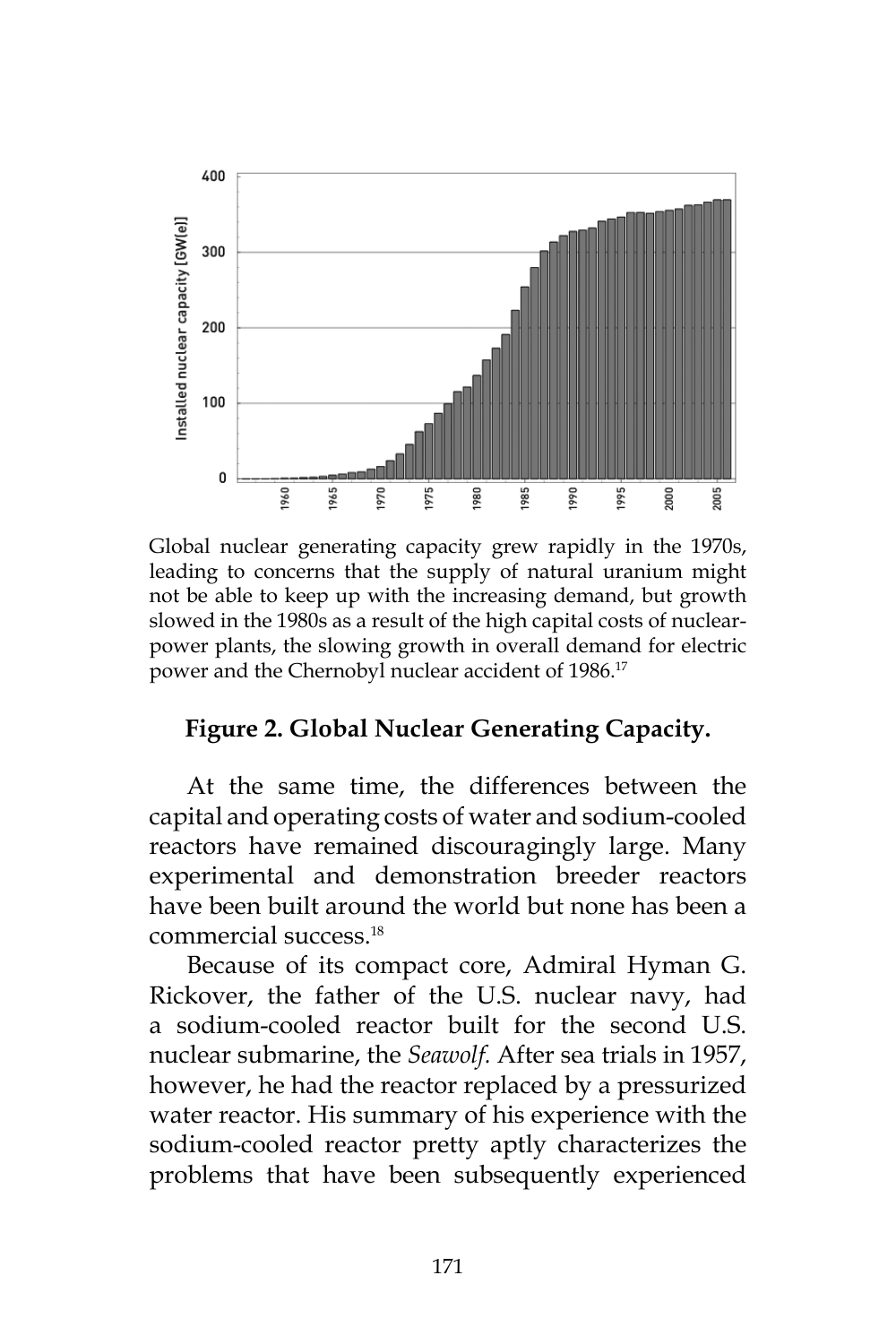

Global nuclear generating capacity grew rapidly in the 1970s, leading to concerns that the supply of natural uranium might not be able to keep up with the increasing demand, but growth slowed in the 1980s as a result of the high capital costs of nuclearpower plants, the slowing growth in overall demand for electric power and the Chernobyl nuclear accident of 1986.<sup>17</sup>

#### **Figure 2. Global Nuclear Generating Capacity.**

At the same time, the differences between the capital and operating costs of water and sodium-cooled reactors have remained discouragingly large. Many experimental and demonstration breeder reactors have been built around the world but none has been a commercial success.18

Because of its compact core, Admiral Hyman G. Rickover, the father of the U.S. nuclear navy, had a sodium-cooled reactor built for the second U.S. nuclear submarine, the *Seawolf.* After sea trials in 1957, however, he had the reactor replaced by a pressurized water reactor. His summary of his experience with the sodium-cooled reactor pretty aptly characterizes the problems that have been subsequently experienced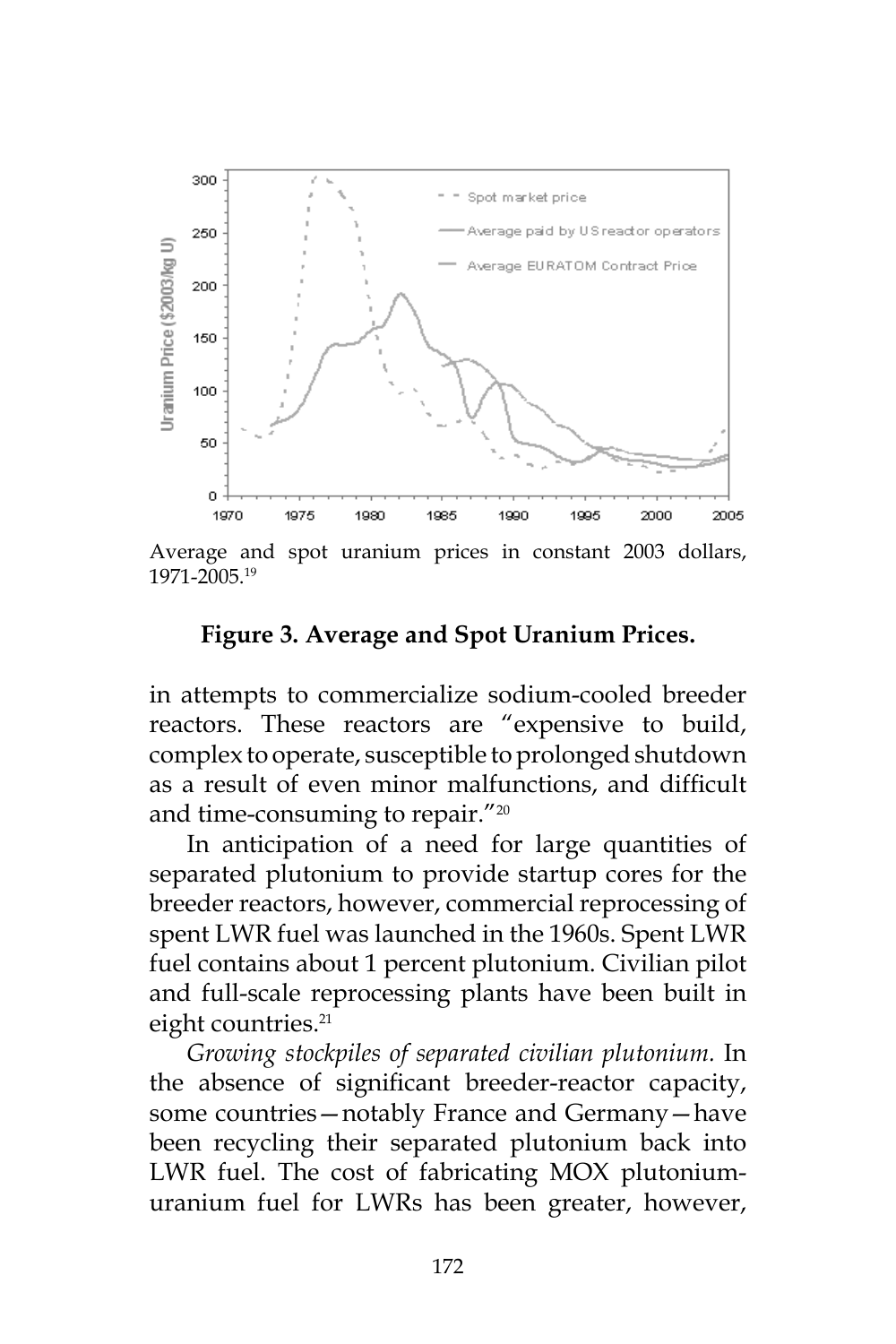

Average and spot uranium prices in constant 2003 dollars, 1971-2005.19

#### **Figure 3. Average and Spot Uranium Prices.**

in attempts to commercialize sodium-cooled breeder reactors. These reactors are "expensive to build, complex to operate, susceptible to prolonged shutdown as a result of even minor malfunctions, and difficult and time-consuming to repair."<sup>20</sup>

In anticipation of a need for large quantities of separated plutonium to provide startup cores for the breeder reactors, however, commercial reprocessing of spent LWR fuel was launched in the 1960s. Spent LWR fuel contains about 1 percent plutonium. Civilian pilot and full-scale reprocessing plants have been built in eight countries.<sup>21</sup>

*Growing stockpiles of separated civilian plutonium.* In the absence of significant breeder-reactor capacity, some countries—notably France and Germany—have been recycling their separated plutonium back into LWR fuel. The cost of fabricating MOX plutoniumuranium fuel for LWRs has been greater, however,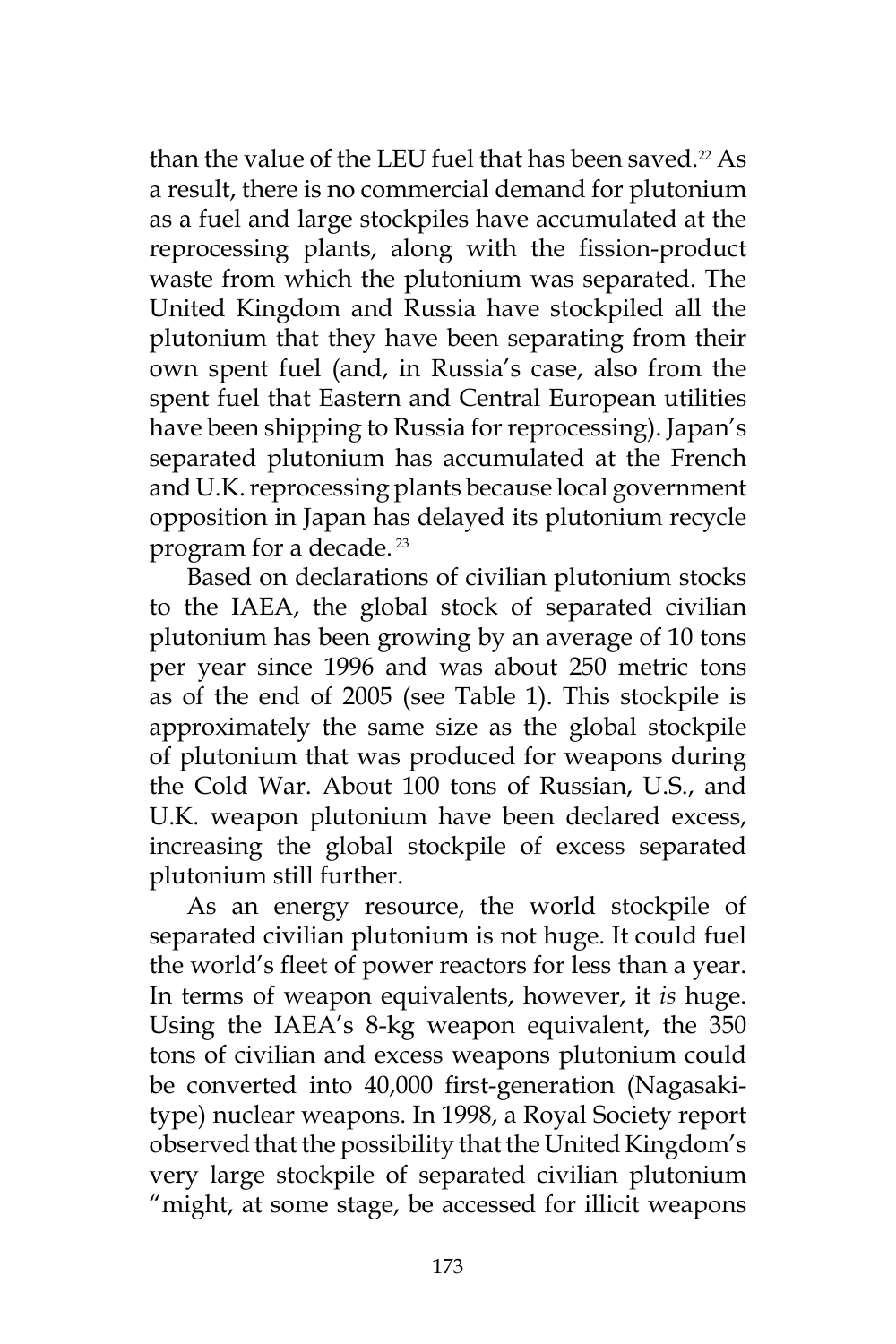than the value of the LEU fuel that has been saved.<sup>22</sup> As a result, there is no commercial demand for plutonium as a fuel and large stockpiles have accumulated at the reprocessing plants, along with the fission-product waste from which the plutonium was separated. The United Kingdom and Russia have stockpiled all the plutonium that they have been separating from their own spent fuel (and, in Russia's case, also from the spent fuel that Eastern and Central European utilities have been shipping to Russia for reprocessing). Japan's separated plutonium has accumulated at the French and U.K. reprocessing plants because local government opposition in Japan has delayed its plutonium recycle program for a decade. 23

Based on declarations of civilian plutonium stocks to the IAEA, the global stock of separated civilian plutonium has been growing by an average of 10 tons per year since 1996 and was about 250 metric tons as of the end of 2005 (see Table 1). This stockpile is approximately the same size as the global stockpile of plutonium that was produced for weapons during the Cold War. About 100 tons of Russian, U.S., and U.K. weapon plutonium have been declared excess, increasing the global stockpile of excess separated plutonium still further.

As an energy resource, the world stockpile of separated civilian plutonium is not huge. It could fuel the world's fleet of power reactors for less than a year. In terms of weapon equivalents, however, it *is* huge. Using the IAEA's 8-kg weapon equivalent, the 350 tons of civilian and excess weapons plutonium could be converted into 40,000 first-generation (Nagasakitype) nuclear weapons. In 1998, a Royal Society report observed that the possibility that the United Kingdom's very large stockpile of separated civilian plutonium "might, at some stage, be accessed for illicit weapons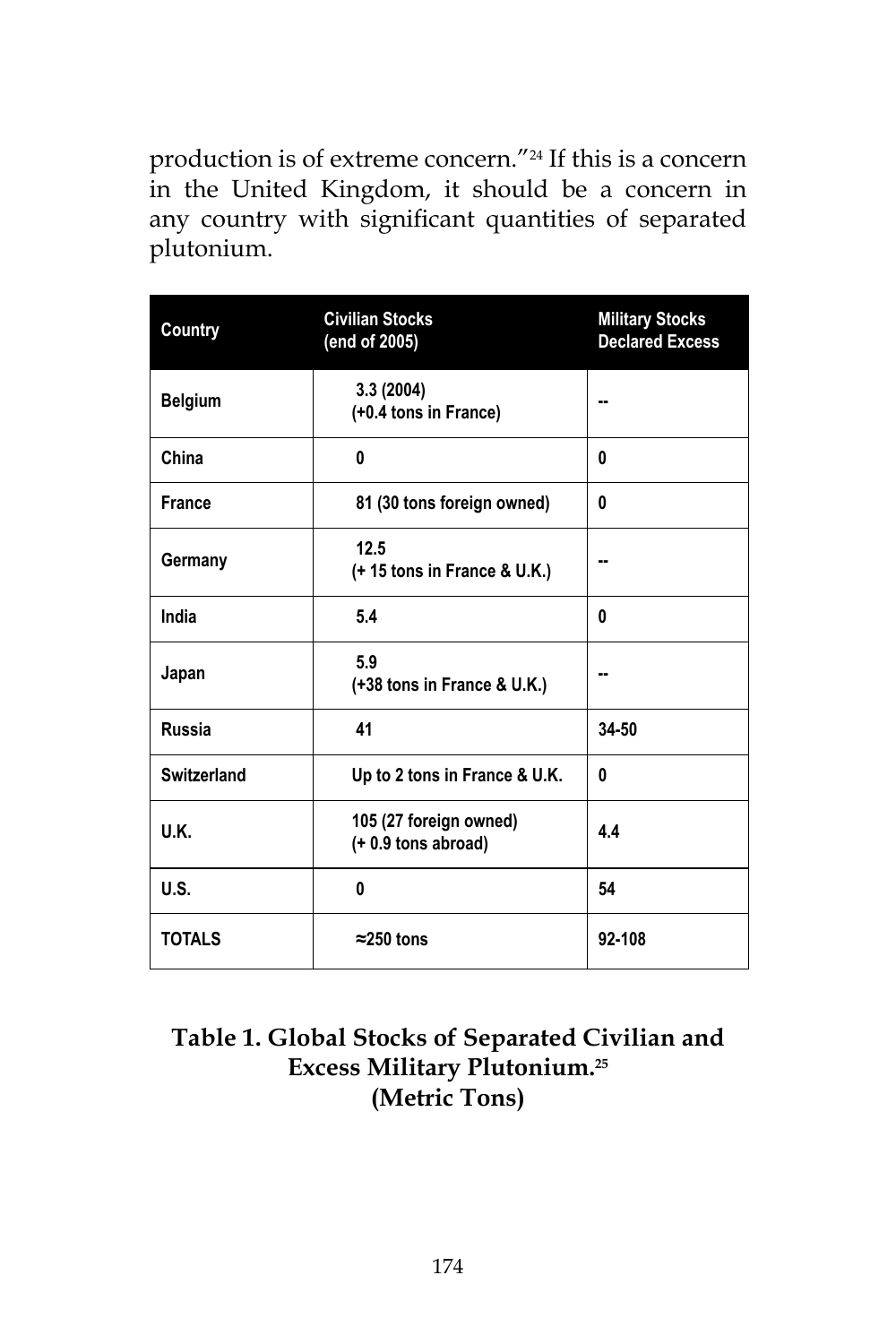production is of extreme concern."24 If this is a concern in the United Kingdom, it should be a concern in any country with significant quantities of separated plutonium.

| Country            | <b>Civilian Stocks</b><br>(end of 2005)         | <b>Military Stocks</b><br><b>Declared Excess</b> |  |
|--------------------|-------------------------------------------------|--------------------------------------------------|--|
| <b>Belgium</b>     | 3.3 (2004)<br>(+0.4 tons in France)             |                                                  |  |
| China              | 0                                               | 0                                                |  |
| <b>France</b>      | 81 (30 tons foreign owned)                      | 0                                                |  |
| Germany            | 12.5<br>(+15 tons in France & U.K.)             |                                                  |  |
| India              | 5.4                                             | 0                                                |  |
| Japan              | 5.9<br>(+38 tons in France & U.K.)              | н.                                               |  |
| <b>Russia</b>      | 41                                              | 34-50                                            |  |
| <b>Switzerland</b> | Up to 2 tons in France & U.K.                   | 0                                                |  |
| U.K.               | 105 (27 foreign owned)<br>$(+ 0.9$ tons abroad) | 4.4                                              |  |
| U.S.               | 0                                               | 54                                               |  |
| <b>TOTALS</b>      | $\approx$ 250 tons                              | 92-108                                           |  |

## **Table 1. Global Stocks of Separated Civilian and Excess Military Plutonium.25 (Metric Tons)**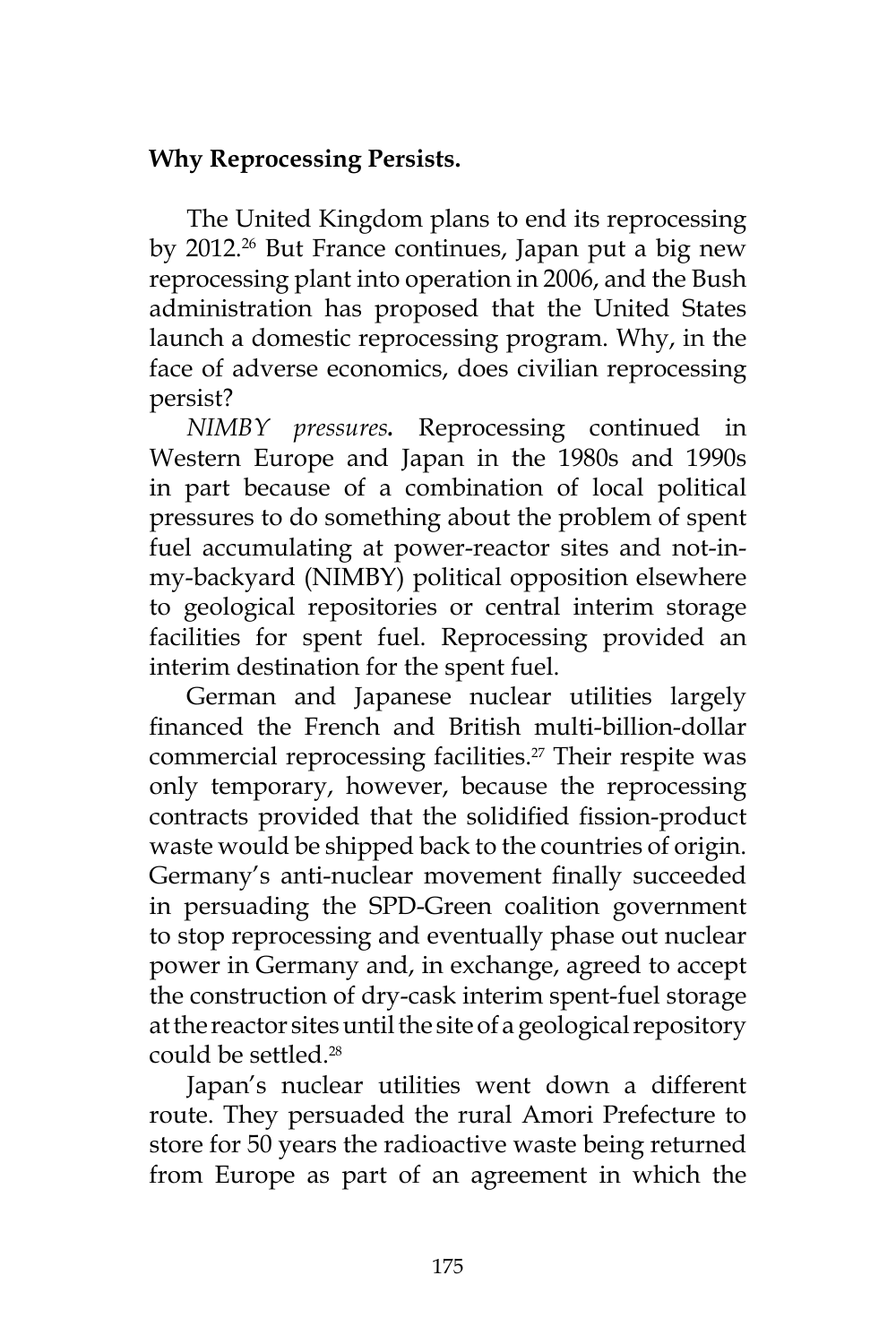## **Why Reprocessing Persists.**

The United Kingdom plans to end its reprocessing by 2012.<sup>26</sup> But France continues, Japan put a big new reprocessing plant into operation in 2006, and the Bush administration has proposed that the United States launch a domestic reprocessing program. Why, in the face of adverse economics, does civilian reprocessing persist?

*NIMBY pressures.* Reprocessing continued in Western Europe and Japan in the 1980s and 1990s in part because of a combination of local political pressures to do something about the problem of spent fuel accumulating at power-reactor sites and not-inmy-backyard (NIMBY) political opposition elsewhere to geological repositories or central interim storage facilities for spent fuel. Reprocessing provided an interim destination for the spent fuel.

German and Japanese nuclear utilities largely financed the French and British multi-billion-dollar commercial reprocessing facilities.<sup>27</sup> Their respite was only temporary, however, because the reprocessing contracts provided that the solidified fission-product waste would be shipped back to the countries of origin. Germany's anti-nuclear movement finally succeeded in persuading the SPD-Green coalition government to stop reprocessing and eventually phase out nuclear power in Germany and, in exchange, agreed to accept the construction of dry-cask interim spent-fuel storage at the reactor sites until the site of a geological repository could be settled.28

Japan's nuclear utilities went down a different route. They persuaded the rural Amori Prefecture to store for 50 years the radioactive waste being returned from Europe as part of an agreement in which the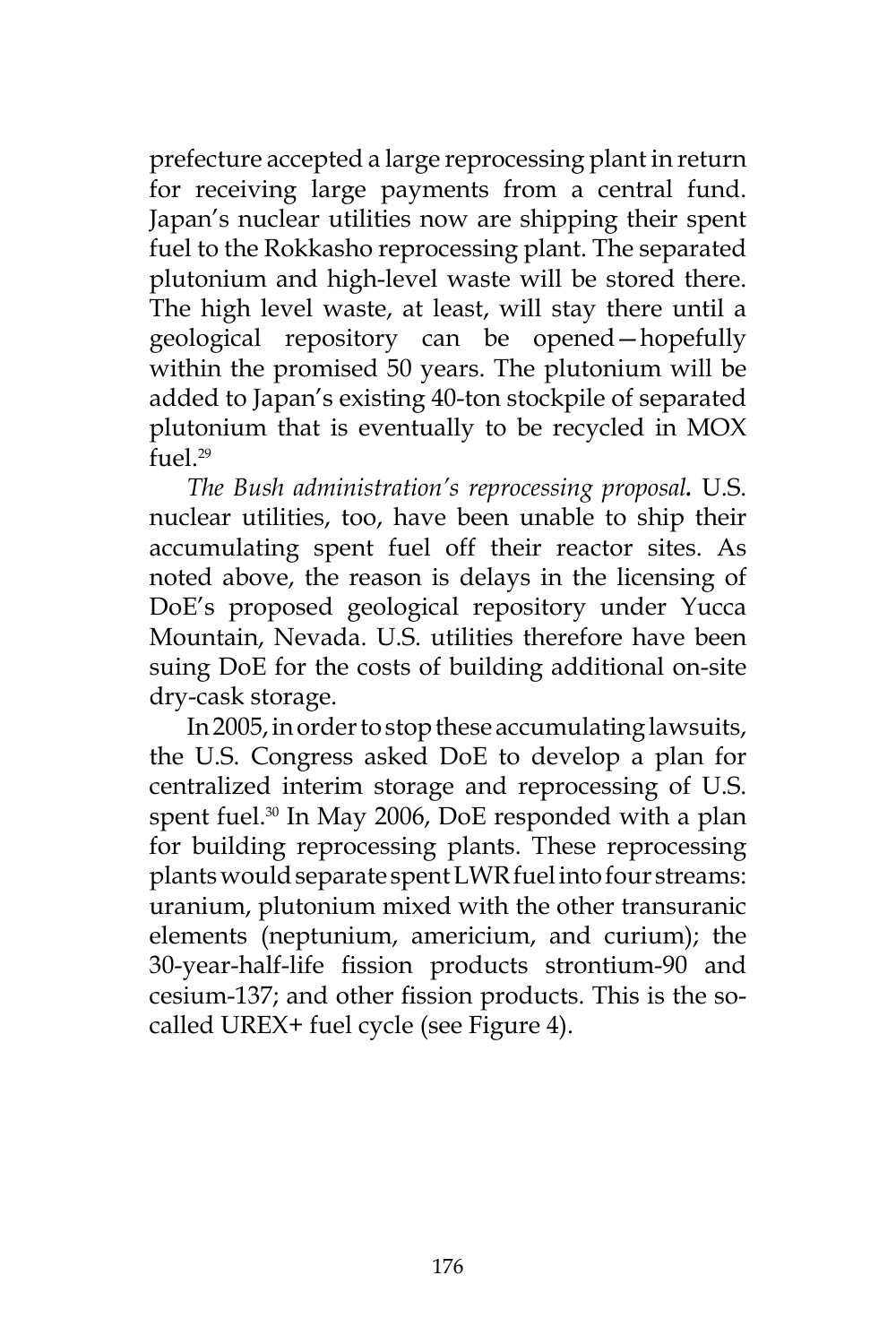prefecture accepted a large reprocessing plant in return for receiving large payments from a central fund. Japan's nuclear utilities now are shipping their spent fuel to the Rokkasho reprocessing plant. The separated plutonium and high-level waste will be stored there. The high level waste, at least, will stay there until a geological repository can be opened—hopefully within the promised 50 years. The plutonium will be added to Japan's existing 40-ton stockpile of separated plutonium that is eventually to be recycled in MOX fuel.<sup>29</sup>

*The Bush administration's reprocessing proposal.* U.S. nuclear utilities, too, have been unable to ship their accumulating spent fuel off their reactor sites. As noted above, the reason is delays in the licensing of DoE's proposed geological repository under Yucca Mountain, Nevada. U.S. utilities therefore have been suing DoE for the costs of building additional on-site dry-cask storage.

In 2005, in order to stop these accumulating lawsuits, the U.S. Congress asked DoE to develop a plan for centralized interim storage and reprocessing of U.S. spent fuel.<sup>30</sup> In May 2006, DoE responded with a plan for building reprocessing plants. These reprocessing plants would separate spent LWR fuel into four streams: uranium, plutonium mixed with the other transuranic elements (neptunium, americium, and curium); the 30-year-half-life fission products strontium-90 and cesium-137; and other fission products. This is the socalled UREX+ fuel cycle (see Figure 4).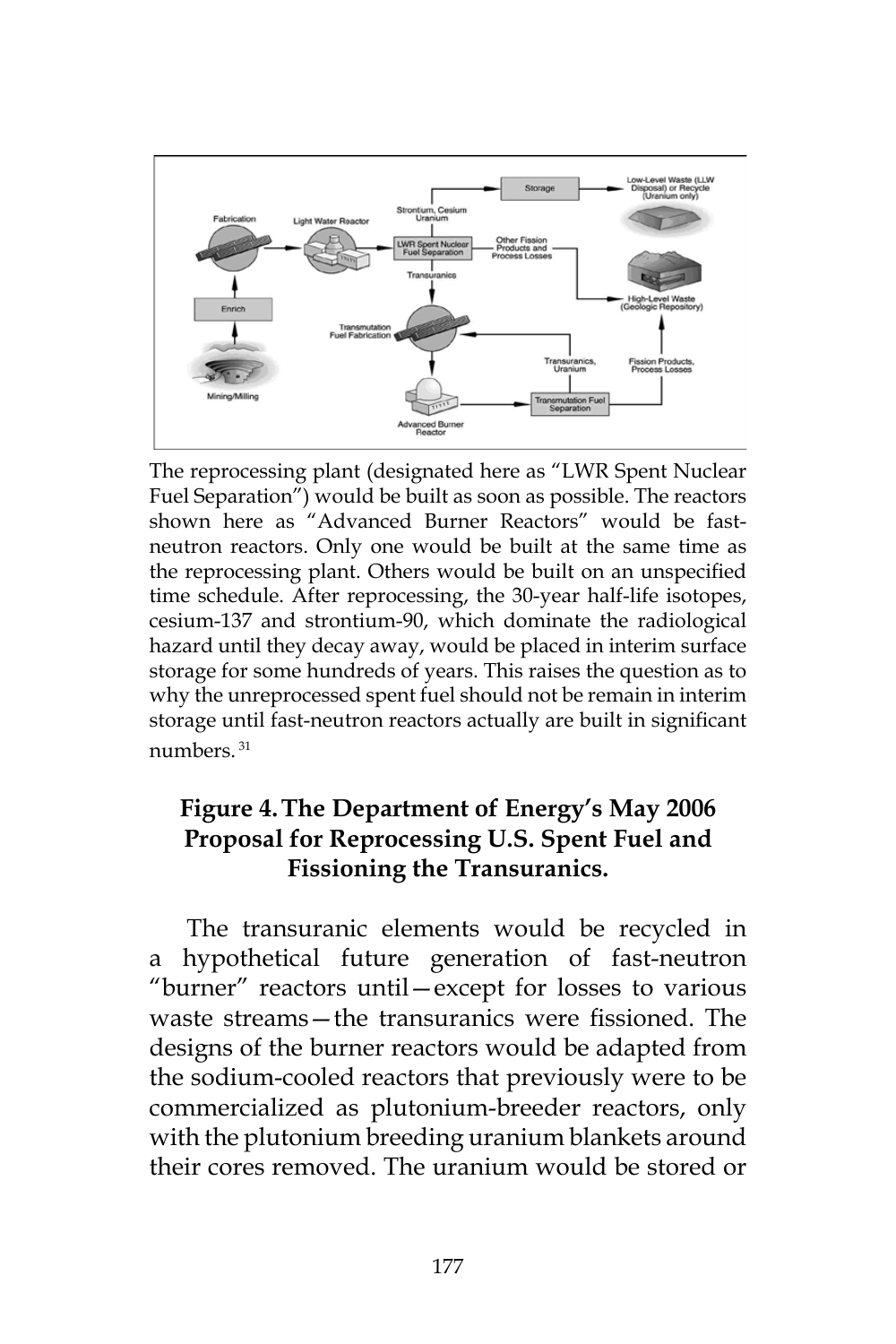

The reprocessing plant (designated here as "LWR Spent Nuclear Fuel Separation") would be built as soon as possible. The reactors shown here as "Advanced Burner Reactors" would be fastneutron reactors. Only one would be built at the same time as the reprocessing plant. Others would be built on an unspecified time schedule. After reprocessing, the 30-year half-life isotopes, cesium-137 and strontium-90, which dominate the radiological hazard until they decay away, would be placed in interim surface storage for some hundreds of years. This raises the question as to why the unreprocessed spent fuel should not be remain in interim storage until fast-neutron reactors actually are built in significant numbers. 31

## **Figure 4.The Department of Energy's May 2006 Proposal for Reprocessing U.S. Spent Fuel and Fissioning the Transuranics.**

The transuranic elements would be recycled in a hypothetical future generation of fast-neutron "burner" reactors until—except for losses to various waste streams—the transuranics were fissioned. The designs of the burner reactors would be adapted from the sodium-cooled reactors that previously were to be commercialized as plutonium-breeder reactors, only with the plutonium breeding uranium blankets around their cores removed. The uranium would be stored or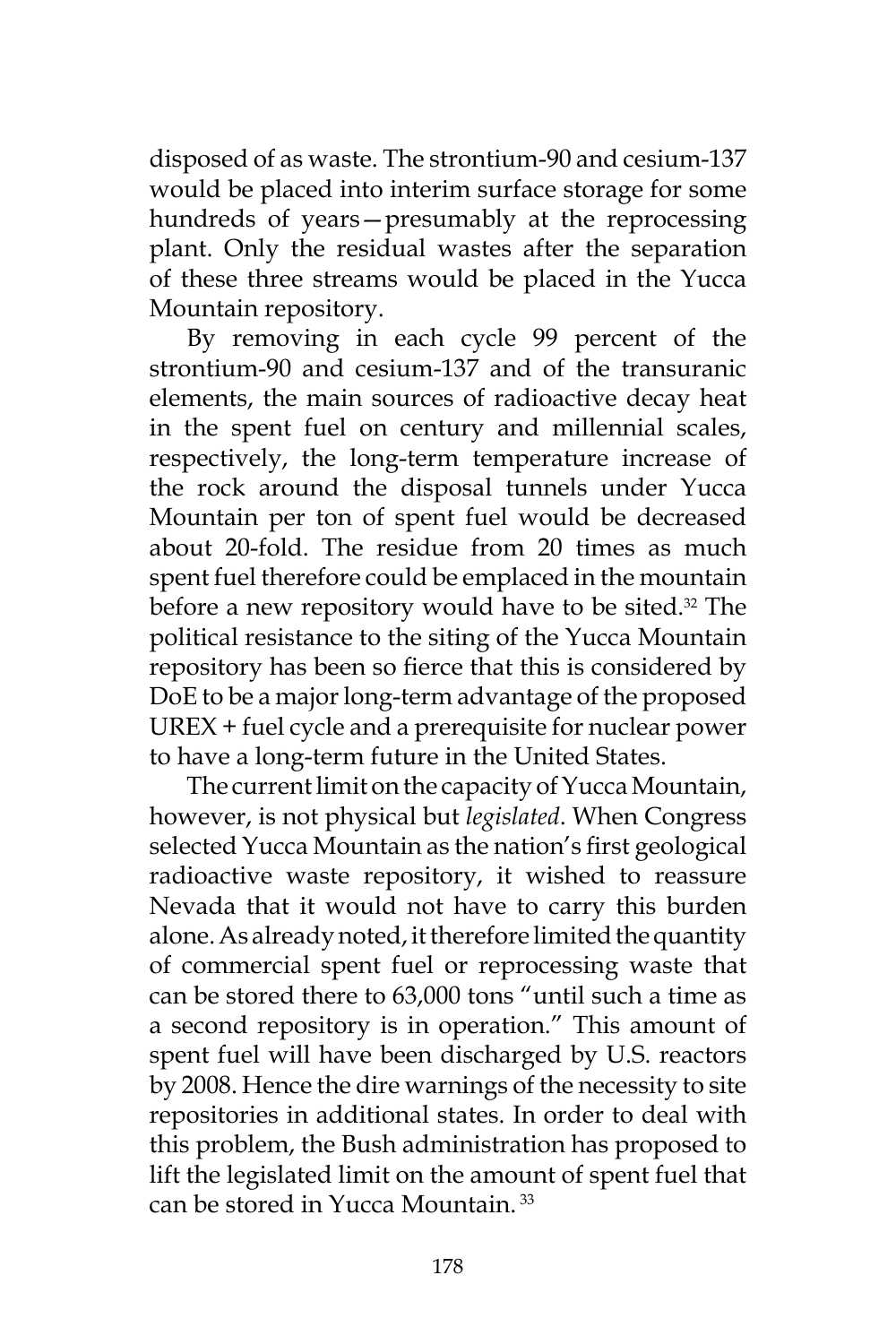disposed of as waste. The strontium-90 and cesium-137 would be placed into interim surface storage for some hundreds of years—presumably at the reprocessing plant. Only the residual wastes after the separation of these three streams would be placed in the Yucca Mountain repository.

By removing in each cycle 99 percent of the strontium-90 and cesium-137 and of the transuranic elements, the main sources of radioactive decay heat in the spent fuel on century and millennial scales, respectively, the long-term temperature increase of the rock around the disposal tunnels under Yucca Mountain per ton of spent fuel would be decreased about 20-fold. The residue from 20 times as much spent fuel therefore could be emplaced in the mountain before a new repository would have to be sited.<sup>32</sup> The political resistance to the siting of the Yucca Mountain repository has been so fierce that this is considered by DoE to be a major long-term advantage of the proposed UREX + fuel cycle and a prerequisite for nuclear power to have a long-term future in the United States.

The current limit on the capacity of Yucca Mountain, however, is not physical but *legislated*. When Congress selected Yucca Mountain as the nation's first geological radioactive waste repository, it wished to reassure Nevada that it would not have to carry this burden alone. As already noted, it therefore limited the quantity of commercial spent fuel or reprocessing waste that can be stored there to 63,000 tons "until such a time as a second repository is in operation." This amount of spent fuel will have been discharged by U.S. reactors by 2008. Hence the dire warnings of the necessity to site repositories in additional states. In order to deal with this problem, the Bush administration has proposed to lift the legislated limit on the amount of spent fuel that can be stored in Yucca Mountain. 33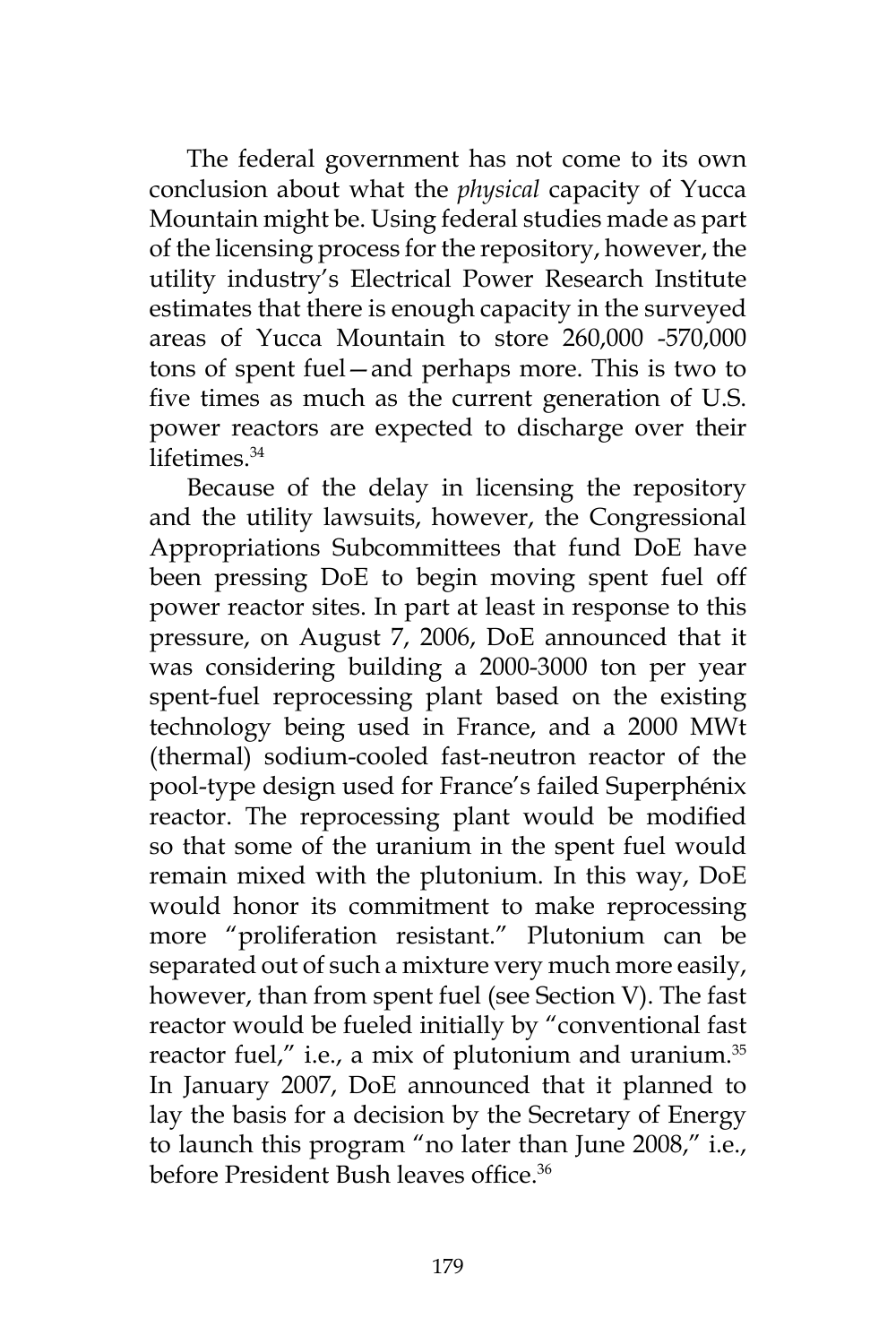The federal government has not come to its own conclusion about what the *physical* capacity of Yucca Mountain might be. Using federal studies made as part of the licensing process for the repository, however, the utility industry's Electrical Power Research Institute estimates that there is enough capacity in the surveyed areas of Yucca Mountain to store 260,000 -570,000 tons of spent fuel—and perhaps more. This is two to five times as much as the current generation of U.S. power reactors are expected to discharge over their lifetimes.<sup>34</sup>

Because of the delay in licensing the repository and the utility lawsuits, however, the Congressional Appropriations Subcommittees that fund DoE have been pressing DoE to begin moving spent fuel off power reactor sites. In part at least in response to this pressure, on August 7, 2006, DoE announced that it was considering building a 2000-3000 ton per year spent-fuel reprocessing plant based on the existing technology being used in France, and a 2000 MWt (thermal) sodium-cooled fast-neutron reactor of the pool-type design used for France's failed Superphénix reactor. The reprocessing plant would be modified so that some of the uranium in the spent fuel would remain mixed with the plutonium. In this way, DoE would honor its commitment to make reprocessing more "proliferation resistant." Plutonium can be separated out of such a mixture very much more easily, however, than from spent fuel (see Section V). The fast reactor would be fueled initially by "conventional fast reactor fuel," i.e., a mix of plutonium and uranium.<sup>35</sup> In January 2007, DoE announced that it planned to lay the basis for a decision by the Secretary of Energy to launch this program "no later than June 2008," i.e., before President Bush leaves office<sup>36</sup>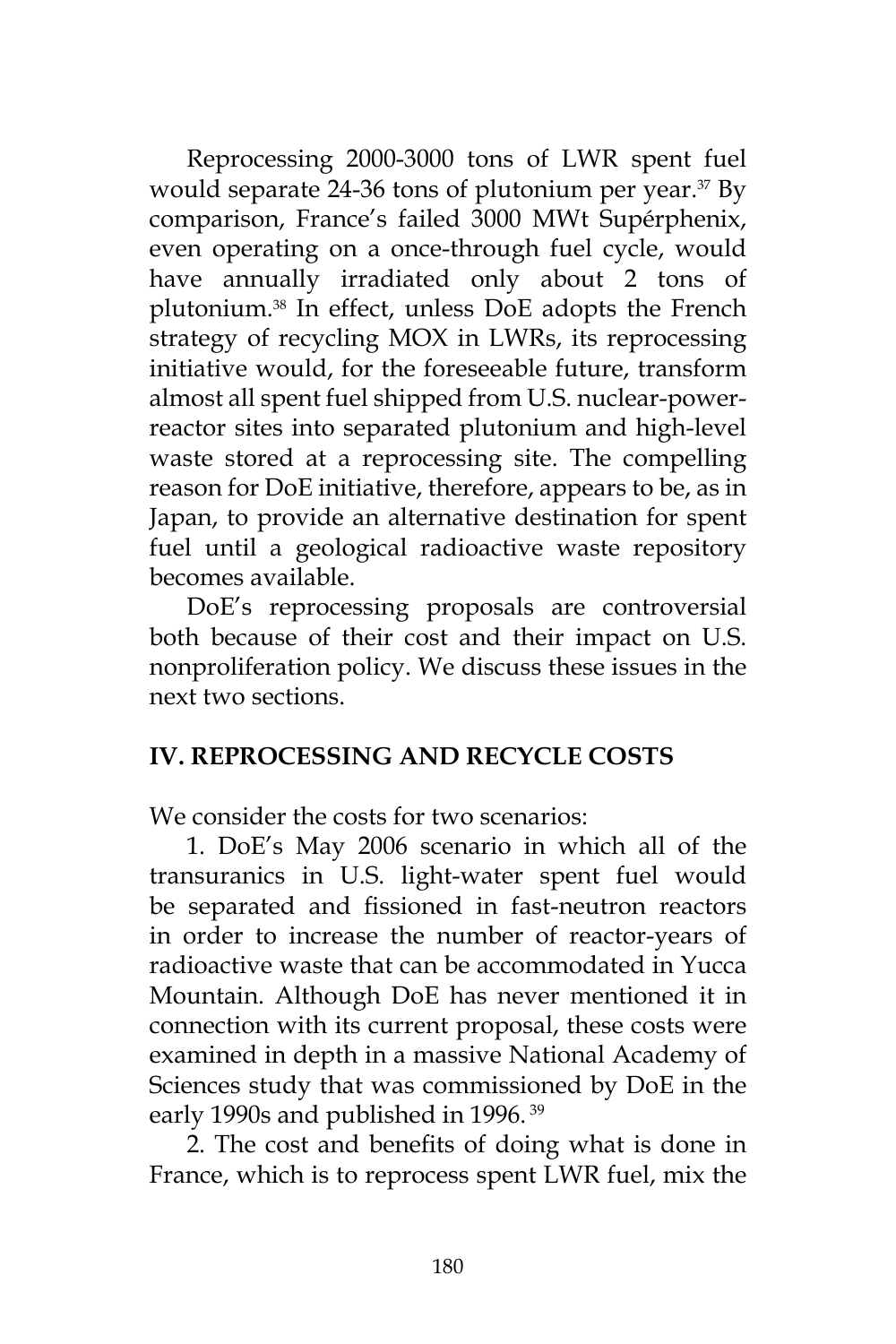Reprocessing 2000-3000 tons of LWR spent fuel would separate  $24-36$  tons of plutonium per year.<sup>37</sup> By comparison, France's failed 3000 MWt Supérphenix, even operating on a once-through fuel cycle, would have annually irradiated only about 2 tons of plutonium.38 In effect, unless DoE adopts the French strategy of recycling MOX in LWRs, its reprocessing initiative would, for the foreseeable future, transform almost all spent fuel shipped from U.S. nuclear-powerreactor sites into separated plutonium and high-level waste stored at a reprocessing site. The compelling reason for DoE initiative, therefore, appears to be, as in Japan, to provide an alternative destination for spent fuel until a geological radioactive waste repository becomes available.

DoE's reprocessing proposals are controversial both because of their cost and their impact on U.S. nonproliferation policy. We discuss these issues in the next two sections.

## **IV. REPROCESSING AND RECYCLE COSTS**

We consider the costs for two scenarios:

1. DoE's May 2006 scenario in which all of the transuranics in U.S. light-water spent fuel would be separated and fissioned in fast-neutron reactors in order to increase the number of reactor-years of radioactive waste that can be accommodated in Yucca Mountain. Although DoE has never mentioned it in connection with its current proposal, these costs were examined in depth in a massive National Academy of Sciences study that was commissioned by DoE in the early 1990s and published in 1996.<sup>39</sup>

2. The cost and benefits of doing what is done in France, which is to reprocess spent LWR fuel, mix the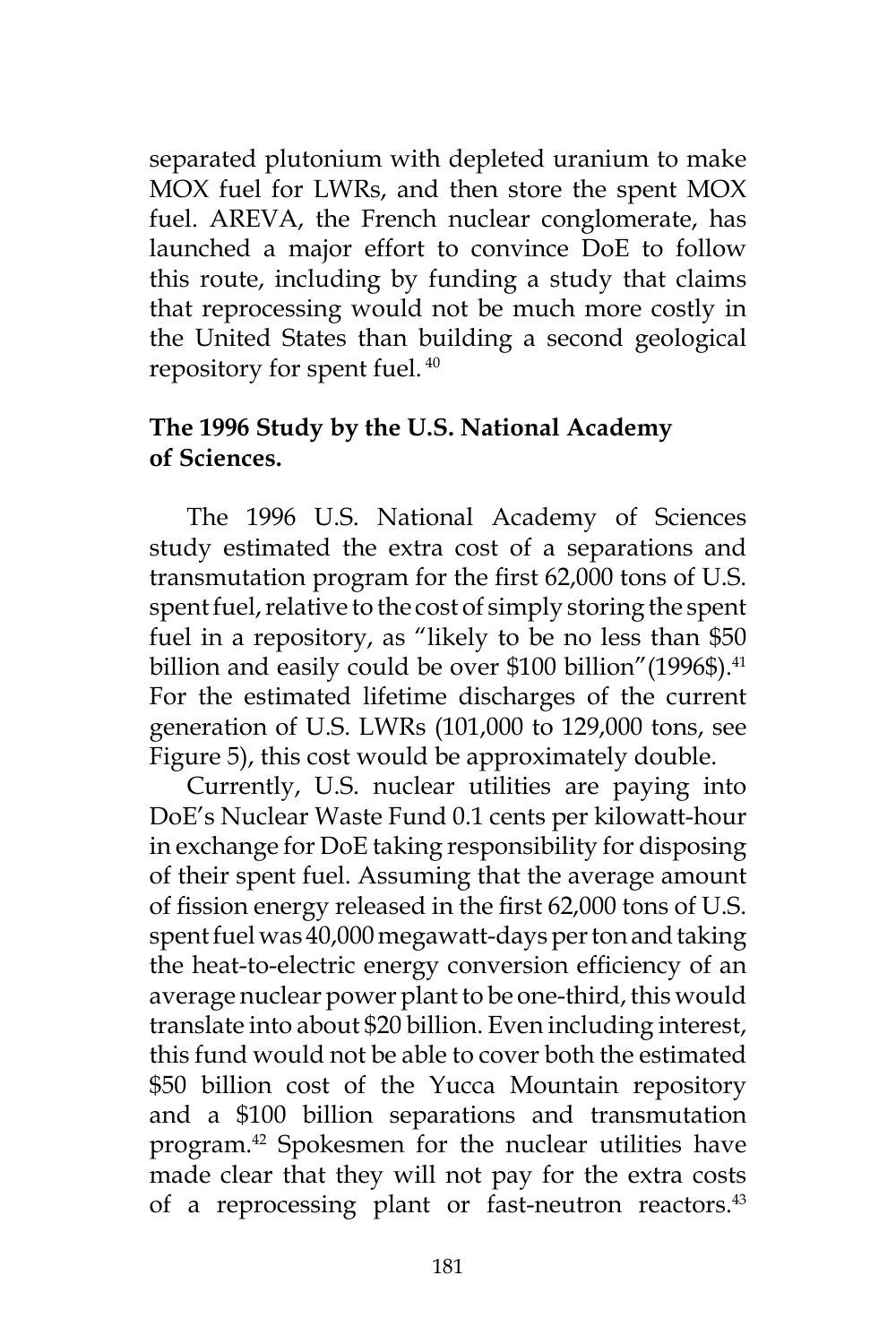separated plutonium with depleted uranium to make MOX fuel for LWRs, and then store the spent MOX fuel. AREVA, the French nuclear conglomerate, has launched a major effort to convince DoE to follow this route, including by funding a study that claims that reprocessing would not be much more costly in the United States than building a second geological repository for spent fuel. 40

#### **The 1996 Study by the U.S. National Academy of Sciences.**

The 1996 U.S. National Academy of Sciences study estimated the extra cost of a separations and transmutation program for the first 62,000 tons of U.S. spent fuel, relative to the cost of simply storing the spent fuel in a repository, as "likely to be no less than \$50 billion and easily could be over \$100 billion" (1996\$).<sup>41</sup> For the estimated lifetime discharges of the current generation of U.S. LWRs (101,000 to 129,000 tons, see Figure 5), this cost would be approximately double.

Currently, U.S. nuclear utilities are paying into DoE's Nuclear Waste Fund 0.1 cents per kilowatt-hour in exchange for DoE taking responsibility for disposing of their spent fuel. Assuming that the average amount of fission energy released in the first 62,000 tons of U.S. spent fuel was 40,000 megawatt-days per ton and taking the heat-to-electric energy conversion efficiency of an average nuclear power plant to be one-third, this would translate into about \$20 billion. Even including interest, this fund would not be able to cover both the estimated \$50 billion cost of the Yucca Mountain repository and a \$100 billion separations and transmutation program.42 Spokesmen for the nuclear utilities have made clear that they will not pay for the extra costs of a reprocessing plant or fast-neutron reactors.<sup>43</sup>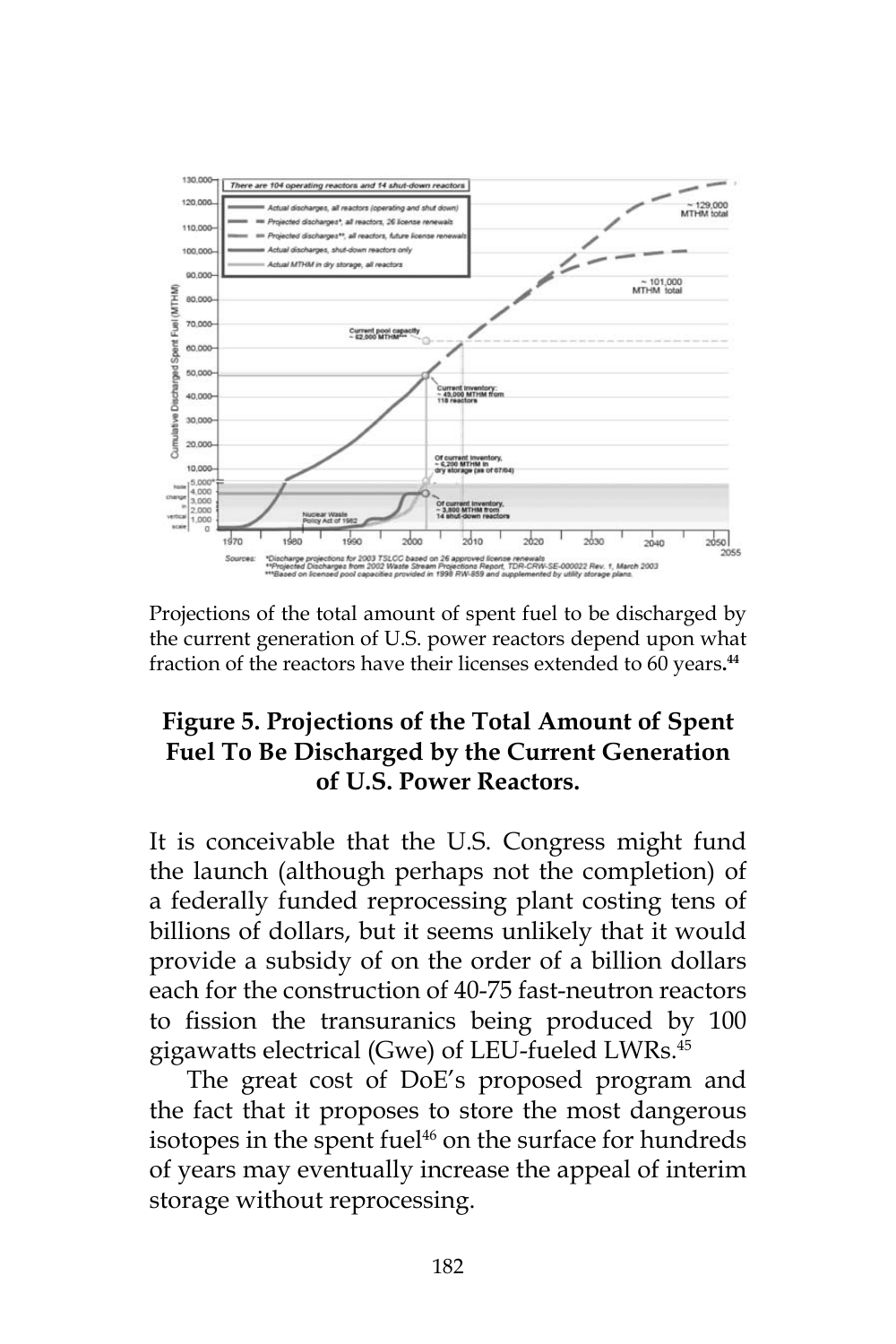

Projections of the total amount of spent fuel to be discharged by the current generation of U.S. power reactors depend upon what fraction of the reactors have their licenses extended to 60 years**. 44**

## **Figure 5. Projections of the Total Amount of Spent Fuel To Be Discharged by the Current Generation of U.S. Power Reactors.**

It is conceivable that the U.S. Congress might fund the launch (although perhaps not the completion) of a federally funded reprocessing plant costing tens of billions of dollars, but it seems unlikely that it would provide a subsidy of on the order of a billion dollars each for the construction of 40-75 fast-neutron reactors to fission the transuranics being produced by 100 gigawatts electrical (Gwe) of LEU-fueled LWRs.45

The great cost of DoE's proposed program and the fact that it proposes to store the most dangerous isotopes in the spent fuel<sup>46</sup> on the surface for hundreds of years may eventually increase the appeal of interim storage without reprocessing.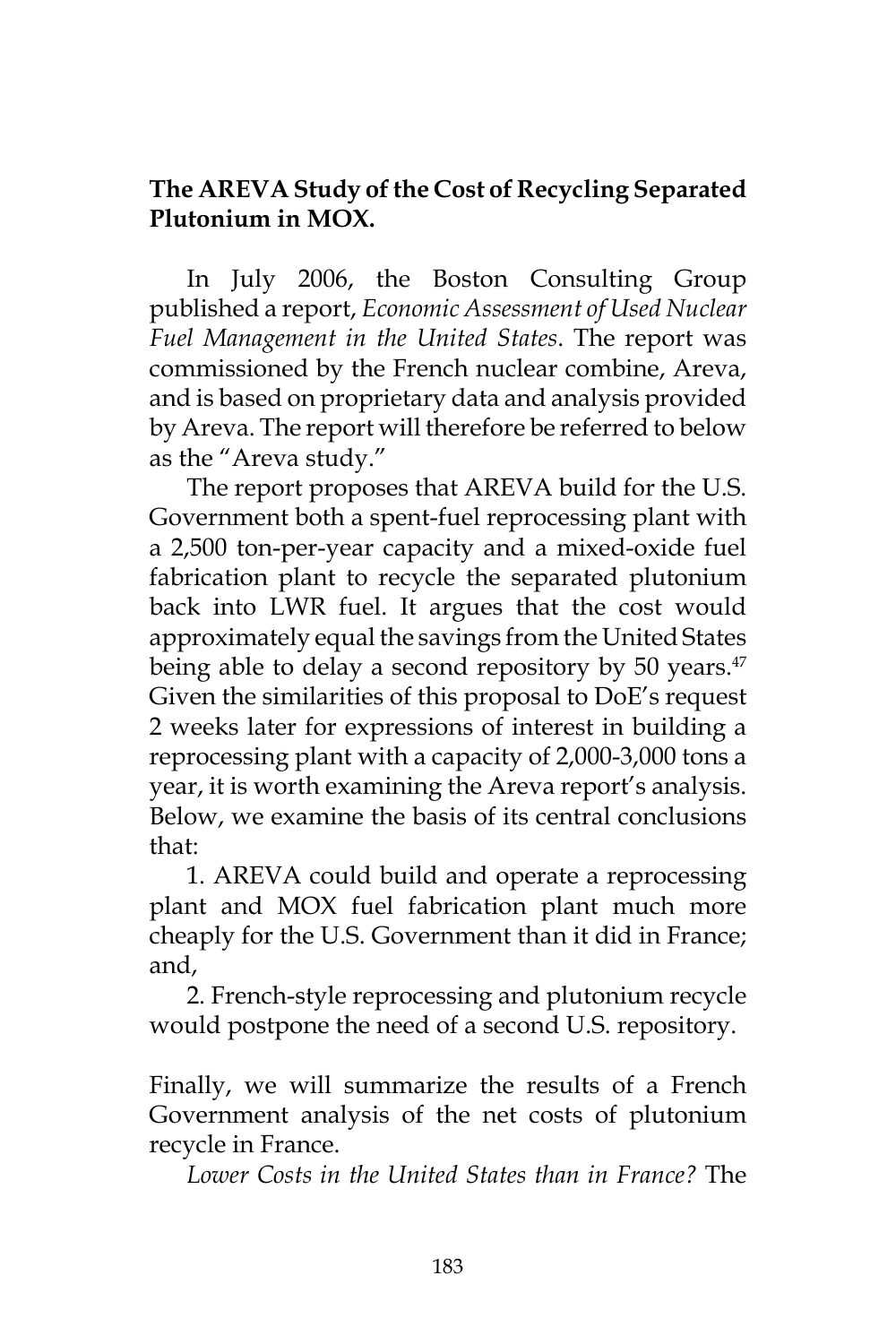## **The AREVA Study of the Cost of Recycling Separated Plutonium in MOX.**

In July 2006, the Boston Consulting Group published a report, *Economic Assessment of Used Nuclear Fuel Management in the United States*. The report was commissioned by the French nuclear combine, Areva, and is based on proprietary data and analysis provided by Areva. The report will therefore be referred to below as the "Areva study."

The report proposes that AREVA build for the U.S. Government both a spent-fuel reprocessing plant with a 2,500 ton-per-year capacity and a mixed-oxide fuel fabrication plant to recycle the separated plutonium back into LWR fuel. It argues that the cost would approximately equal the savings from the United States being able to delay a second repository by 50 years.<sup>47</sup> Given the similarities of this proposal to DoE's request 2 weeks later for expressions of interest in building a reprocessing plant with a capacity of 2,000-3,000 tons a year, it is worth examining the Areva report's analysis. Below, we examine the basis of its central conclusions that:

1. AREVA could build and operate a reprocessing plant and MOX fuel fabrication plant much more cheaply for the U.S. Government than it did in France; and,

2. French-style reprocessing and plutonium recycle would postpone the need of a second U.S. repository.

Finally, we will summarize the results of a French Government analysis of the net costs of plutonium recycle in France.

*Lower Costs in the United States than in France?* The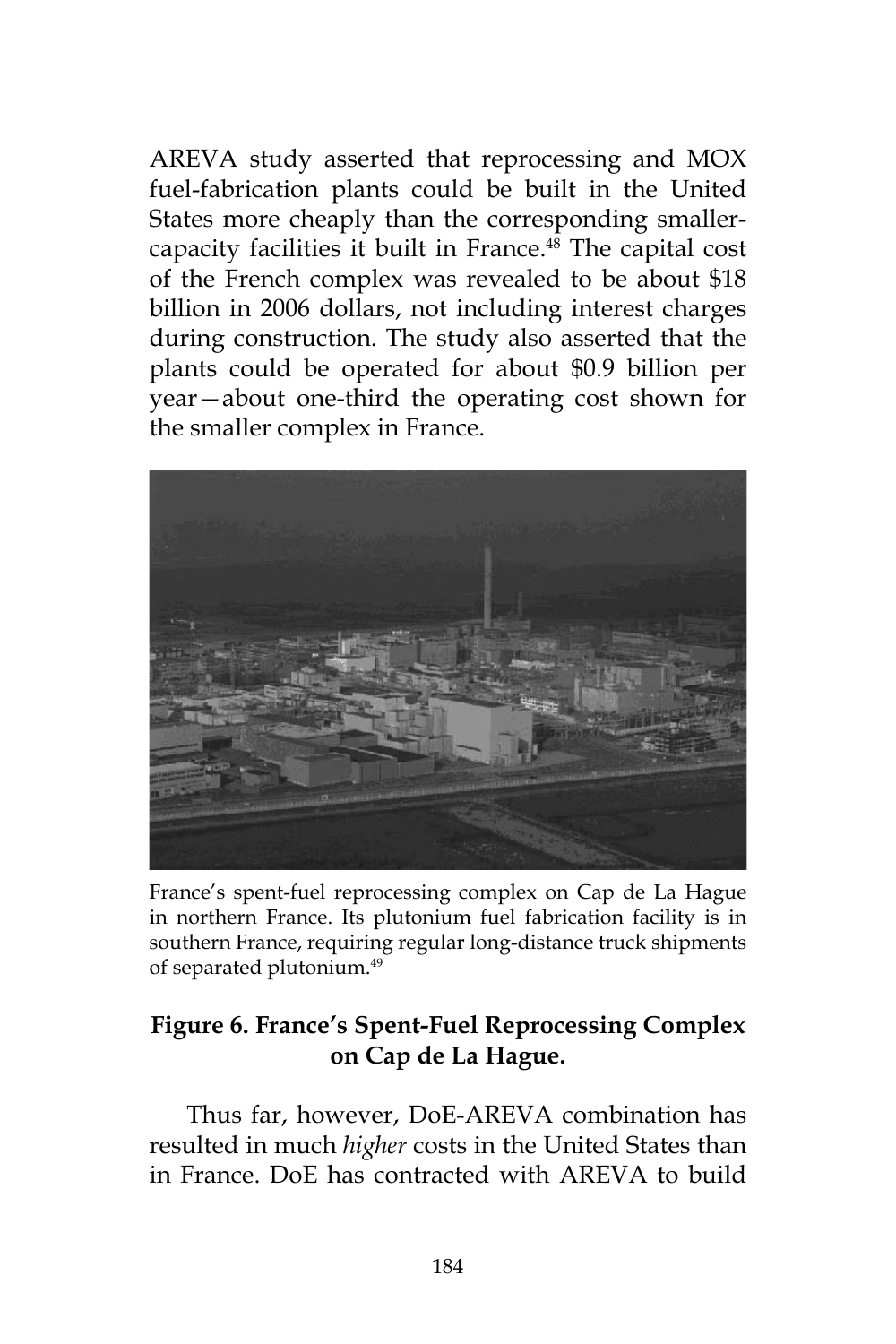AREVA study asserted that reprocessing and MOX fuel-fabrication plants could be built in the United States more cheaply than the corresponding smallercapacity facilities it built in France.<sup>48</sup> The capital cost of the French complex was revealed to be about \$18 billion in 2006 dollars, not including interest charges during construction. The study also asserted that the plants could be operated for about \$0.9 billion per year—about one-third the operating cost shown for the smaller complex in France.



France's spent-fuel reprocessing complex on Cap de La Hague in northern France. Its plutonium fuel fabrication facility is in southern France, requiring regular long-distance truck shipments of separated plutonium.49

# **Figure 6. France's Spent-Fuel Reprocessing Complex on Cap de La Hague.**

Thus far, however, DoE-AREVA combination has resulted in much *higher* costs in the United States than in France. DoE has contracted with AREVA to build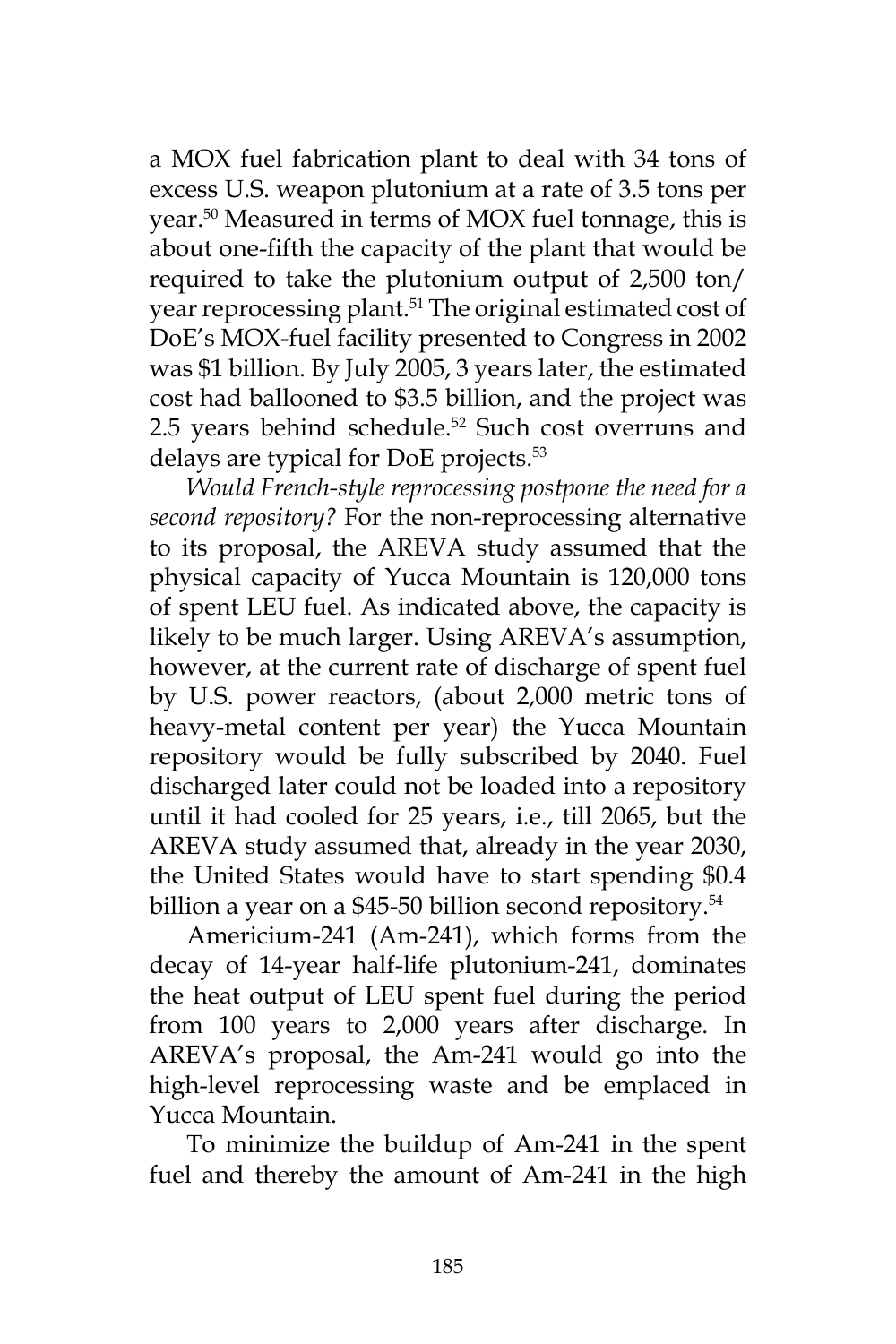a MOX fuel fabrication plant to deal with 34 tons of excess U.S. weapon plutonium at a rate of 3.5 tons per year.50 Measured in terms of MOX fuel tonnage, this is about one-fifth the capacity of the plant that would be required to take the plutonium output of 2,500 ton/ year reprocessing plant.<sup>51</sup> The original estimated cost of DoE's MOX-fuel facility presented to Congress in 2002 was \$1 billion. By July 2005, 3 years later, the estimated cost had ballooned to \$3.5 billion, and the project was 2.5 years behind schedule.<sup>52</sup> Such cost overruns and delays are typical for DoE projects.<sup>53</sup>

*Would French-style reprocessing postpone the need for a second repository?* For the non-reprocessing alternative to its proposal, the AREVA study assumed that the physical capacity of Yucca Mountain is 120,000 tons of spent LEU fuel. As indicated above, the capacity is likely to be much larger. Using AREVA's assumption, however, at the current rate of discharge of spent fuel by U.S. power reactors, (about 2,000 metric tons of heavy-metal content per year) the Yucca Mountain repository would be fully subscribed by 2040. Fuel discharged later could not be loaded into a repository until it had cooled for 25 years, i.e., till 2065, but the AREVA study assumed that, already in the year 2030, the United States would have to start spending \$0.4 billion a year on a \$45-50 billion second repository.<sup>54</sup>

Americium-241 (Am-241), which forms from the decay of 14-year half-life plutonium-241, dominates the heat output of LEU spent fuel during the period from 100 years to 2,000 years after discharge. In AREVA's proposal, the Am-241 would go into the high-level reprocessing waste and be emplaced in Yucca Mountain.

To minimize the buildup of Am-241 in the spent fuel and thereby the amount of Am-241 in the high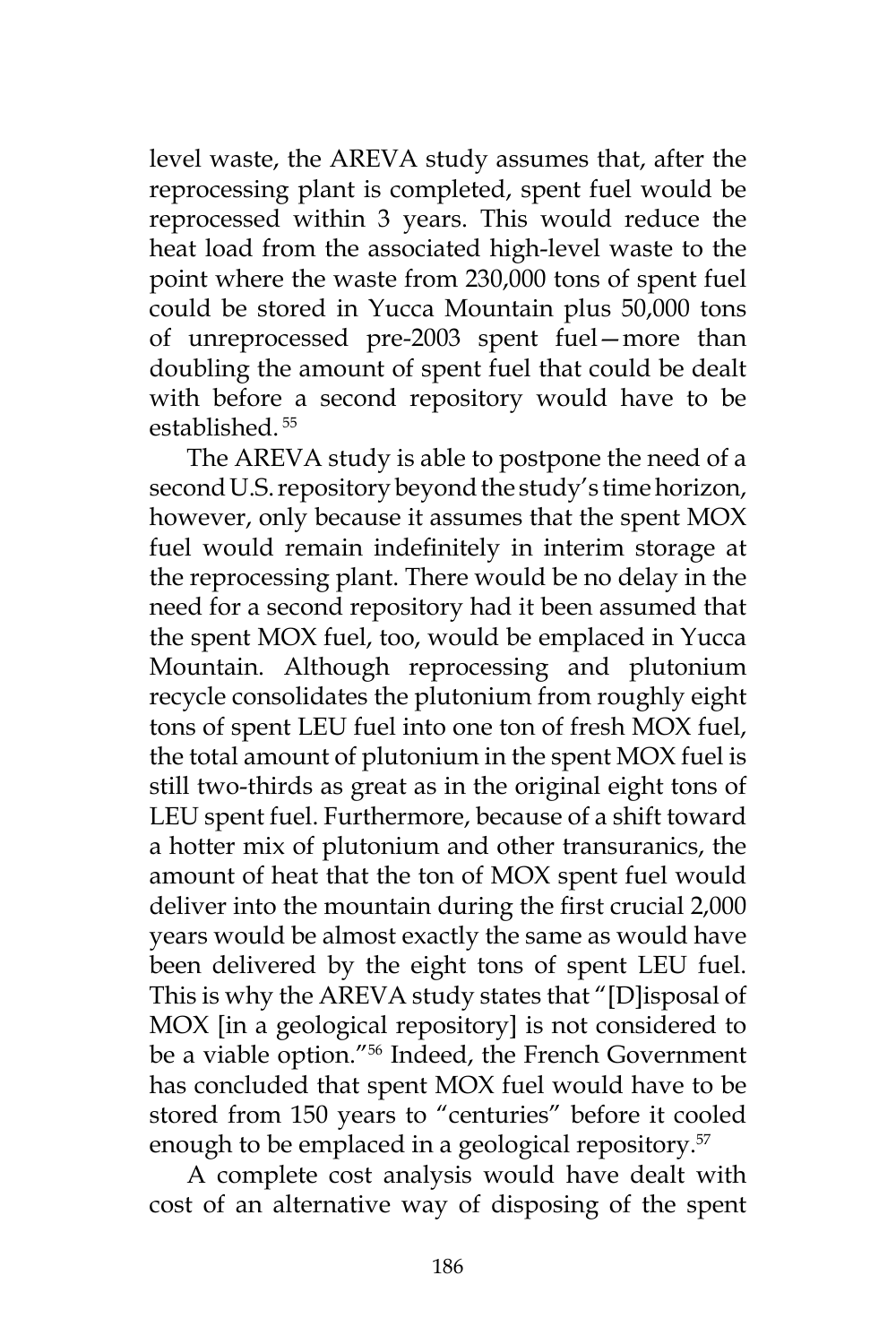level waste, the AREVA study assumes that, after the reprocessing plant is completed, spent fuel would be reprocessed within 3 years. This would reduce the heat load from the associated high-level waste to the point where the waste from 230,000 tons of spent fuel could be stored in Yucca Mountain plus 50,000 tons of unreprocessed pre-2003 spent fuel—more than doubling the amount of spent fuel that could be dealt with before a second repository would have to be established. 55

The AREVA study is able to postpone the need of a second U.S. repository beyond the study's time horizon, however, only because it assumes that the spent MOX fuel would remain indefinitely in interim storage at the reprocessing plant. There would be no delay in the need for a second repository had it been assumed that the spent MOX fuel, too, would be emplaced in Yucca Mountain. Although reprocessing and plutonium recycle consolidates the plutonium from roughly eight tons of spent LEU fuel into one ton of fresh MOX fuel, the total amount of plutonium in the spent MOX fuel is still two-thirds as great as in the original eight tons of LEU spent fuel. Furthermore, because of a shift toward a hotter mix of plutonium and other transuranics, the amount of heat that the ton of MOX spent fuel would deliver into the mountain during the first crucial 2,000 years would be almost exactly the same as would have been delivered by the eight tons of spent LEU fuel. This is why the AREVA study states that "[D]isposal of MOX [in a geological repository] is not considered to be a viable option."56 Indeed, the French Government has concluded that spent MOX fuel would have to be stored from 150 years to "centuries" before it cooled enough to be emplaced in a geological repository.<sup>57</sup>

A complete cost analysis would have dealt with cost of an alternative way of disposing of the spent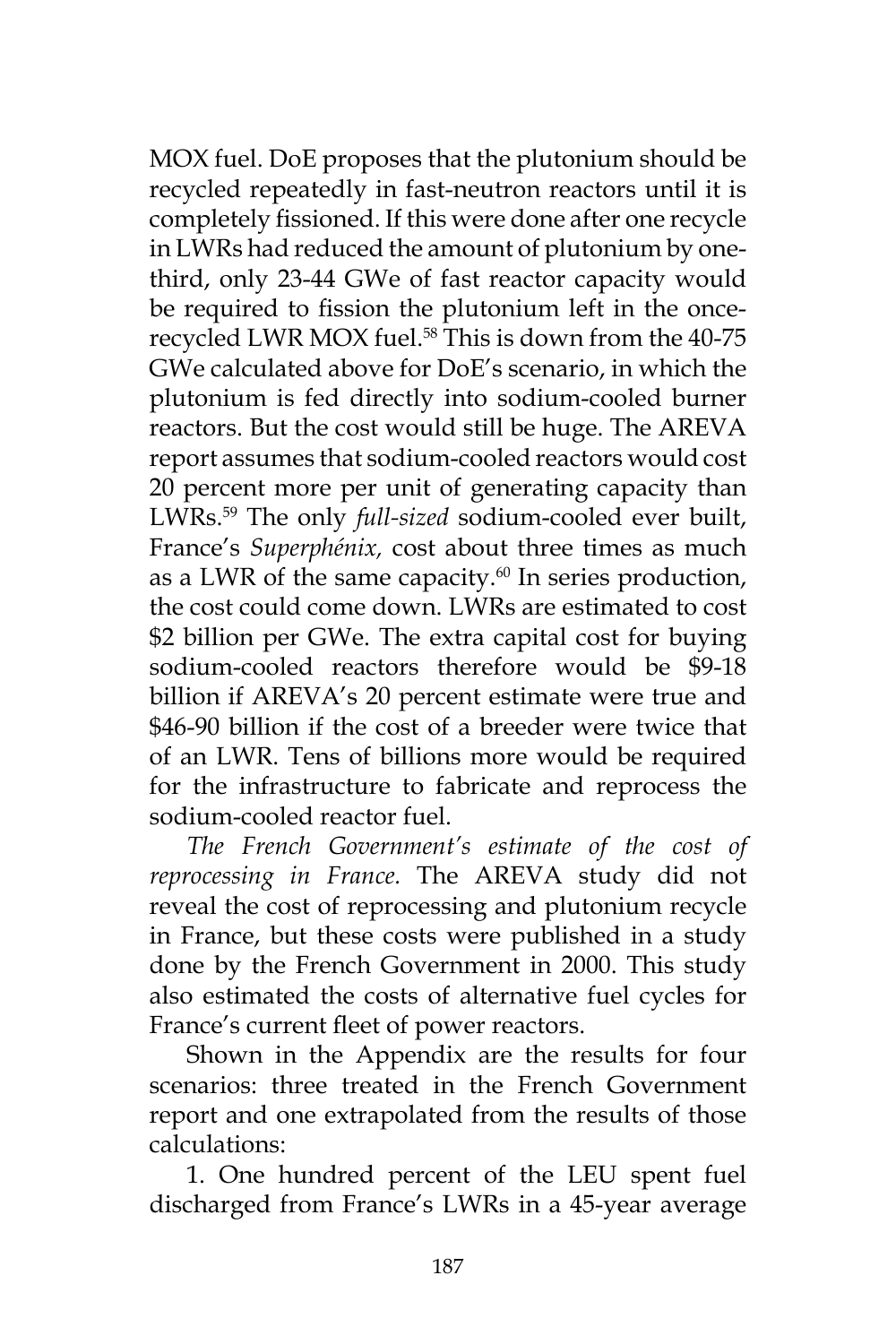MOX fuel. DoE proposes that the plutonium should be recycled repeatedly in fast-neutron reactors until it is completely fissioned. If this were done after one recycle in LWRs had reduced the amount of plutonium by onethird, only 23-44 GWe of fast reactor capacity would be required to fission the plutonium left in the oncerecycled LWR MOX fuel.<sup>58</sup> This is down from the 40-75 GWe calculated above for DoE's scenario, in which the plutonium is fed directly into sodium-cooled burner reactors. But the cost would still be huge. The AREVA report assumes that sodium-cooled reactors would cost 20 percent more per unit of generating capacity than LWRs.59 The only *full-sized* sodium-cooled ever built, France's *Superphénix,* cost about three times as much as a LWR of the same capacity. $60$  In series production, the cost could come down. LWRs are estimated to cost \$2 billion per GWe. The extra capital cost for buying sodium-cooled reactors therefore would be \$9-18 billion if AREVA's 20 percent estimate were true and \$46-90 billion if the cost of a breeder were twice that of an LWR. Tens of billions more would be required for the infrastructure to fabricate and reprocess the sodium-cooled reactor fuel.

*The French Government's estimate of the cost of reprocessing in France.* The AREVA study did not reveal the cost of reprocessing and plutonium recycle in France, but these costs were published in a study done by the French Government in 2000. This study also estimated the costs of alternative fuel cycles for France's current fleet of power reactors.

Shown in the Appendix are the results for four scenarios: three treated in the French Government report and one extrapolated from the results of those calculations:

1. One hundred percent of the LEU spent fuel discharged from France's LWRs in a 45-year average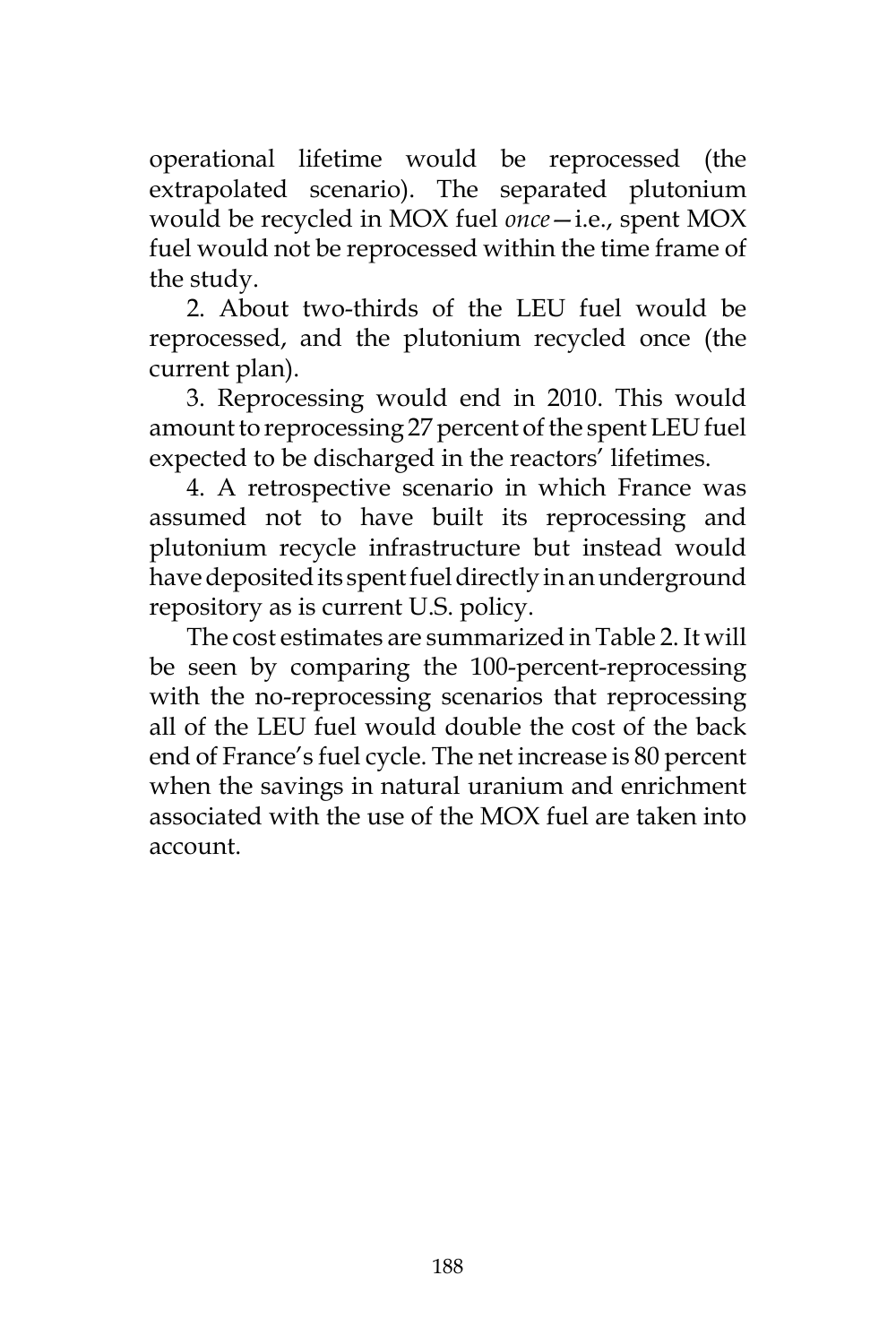operational lifetime would be reprocessed (the extrapolated scenario). The separated plutonium would be recycled in MOX fuel *once*—i.e., spent MOX fuel would not be reprocessed within the time frame of the study.

2. About two-thirds of the LEU fuel would be reprocessed, and the plutonium recycled once (the current plan).

3. Reprocessing would end in 2010. This would amount to reprocessing 27 percent of the spent LEU fuel expected to be discharged in the reactors' lifetimes.

4. A retrospective scenario in which France was assumed not to have built its reprocessing and plutonium recycle infrastructure but instead would have deposited its spent fuel directly in an underground repository as is current U.S. policy.

The cost estimates are summarized in Table 2. It will be seen by comparing the 100-percent-reprocessing with the no-reprocessing scenarios that reprocessing all of the LEU fuel would double the cost of the back end of France's fuel cycle. The net increase is 80 percent when the savings in natural uranium and enrichment associated with the use of the MOX fuel are taken into account.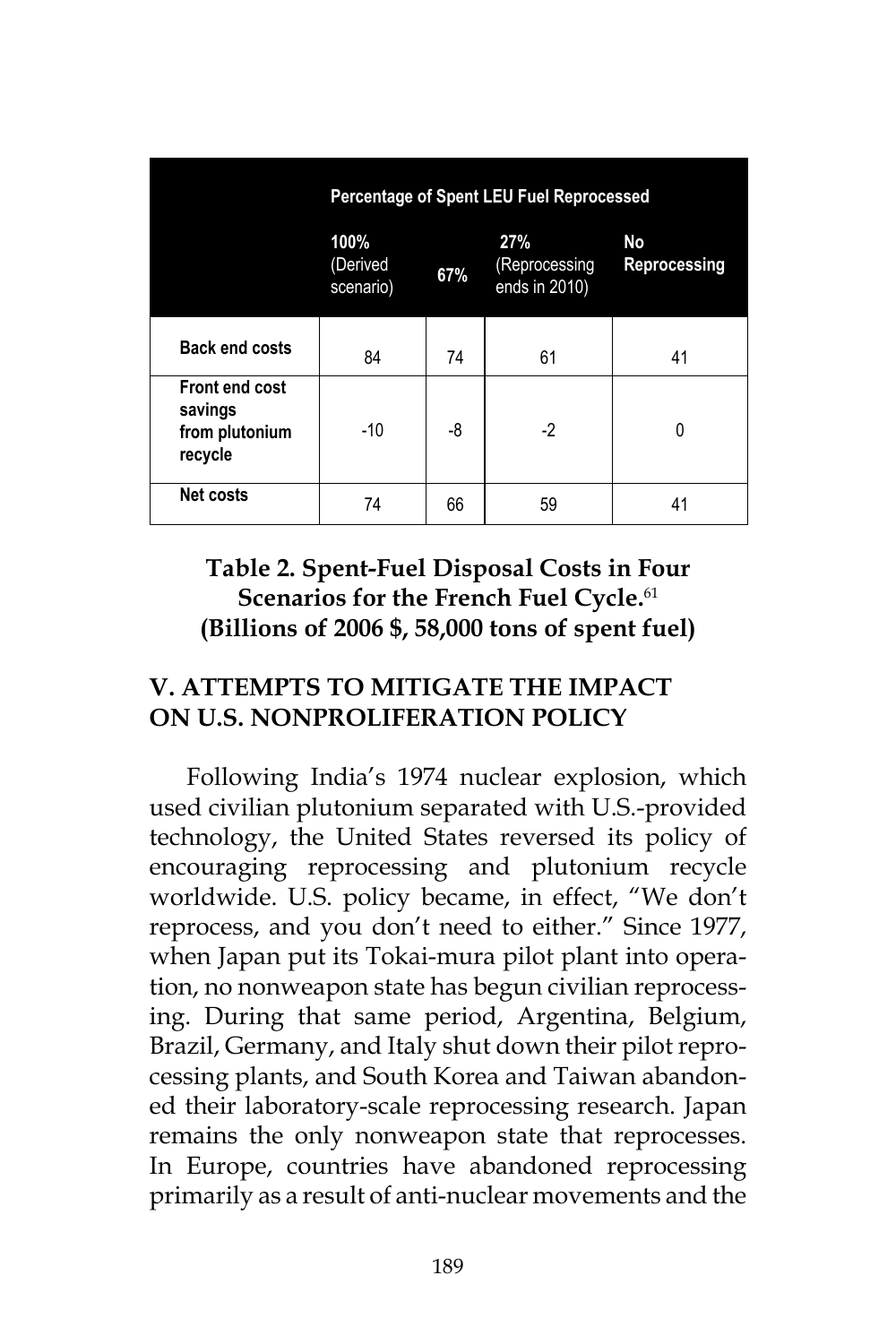|                                                        | <b>Percentage of Spent LEU Fuel Reprocessed</b> |     |                                       |                    |  |  |  |
|--------------------------------------------------------|-------------------------------------------------|-----|---------------------------------------|--------------------|--|--|--|
|                                                        | 100%<br>(Derived<br>scenario)                   | 67% | 27%<br>(Reprocessing<br>ends in 2010) | No<br>Reprocessing |  |  |  |
| <b>Back end costs</b>                                  | 84                                              | 74  | 61                                    | 41                 |  |  |  |
| Front end cost<br>savings<br>from plutonium<br>recycle | $-10$                                           | -8  | $-2$                                  | 0                  |  |  |  |
| <b>Net costs</b>                                       | 74                                              | 66  | 59                                    | 41                 |  |  |  |

## **Table 2. Spent-Fuel Disposal Costs in Four Scenarios for the French Fuel Cycle.**<sup>61</sup> **(Billions of 2006 \$, 58,000 tons of spent fuel)**

## **V. ATTEMPTS TO MITIGATE THE IMPACT ON U.S. NONPROLIFERATION POLICY**

Following India's 1974 nuclear explosion, which used civilian plutonium separated with U.S.-provided technology, the United States reversed its policy of encouraging reprocessing and plutonium recycle worldwide. U.S. policy became, in effect, "We don't reprocess, and you don't need to either." Since 1977, when Japan put its Tokai-mura pilot plant into operation, no nonweapon state has begun civilian reprocessing. During that same period, Argentina, Belgium, Brazil, Germany, and Italy shut down their pilot reprocessing plants, and South Korea and Taiwan abandoned their laboratory-scale reprocessing research. Japan remains the only nonweapon state that reprocesses. In Europe, countries have abandoned reprocessing primarily as a result of anti-nuclear movements and the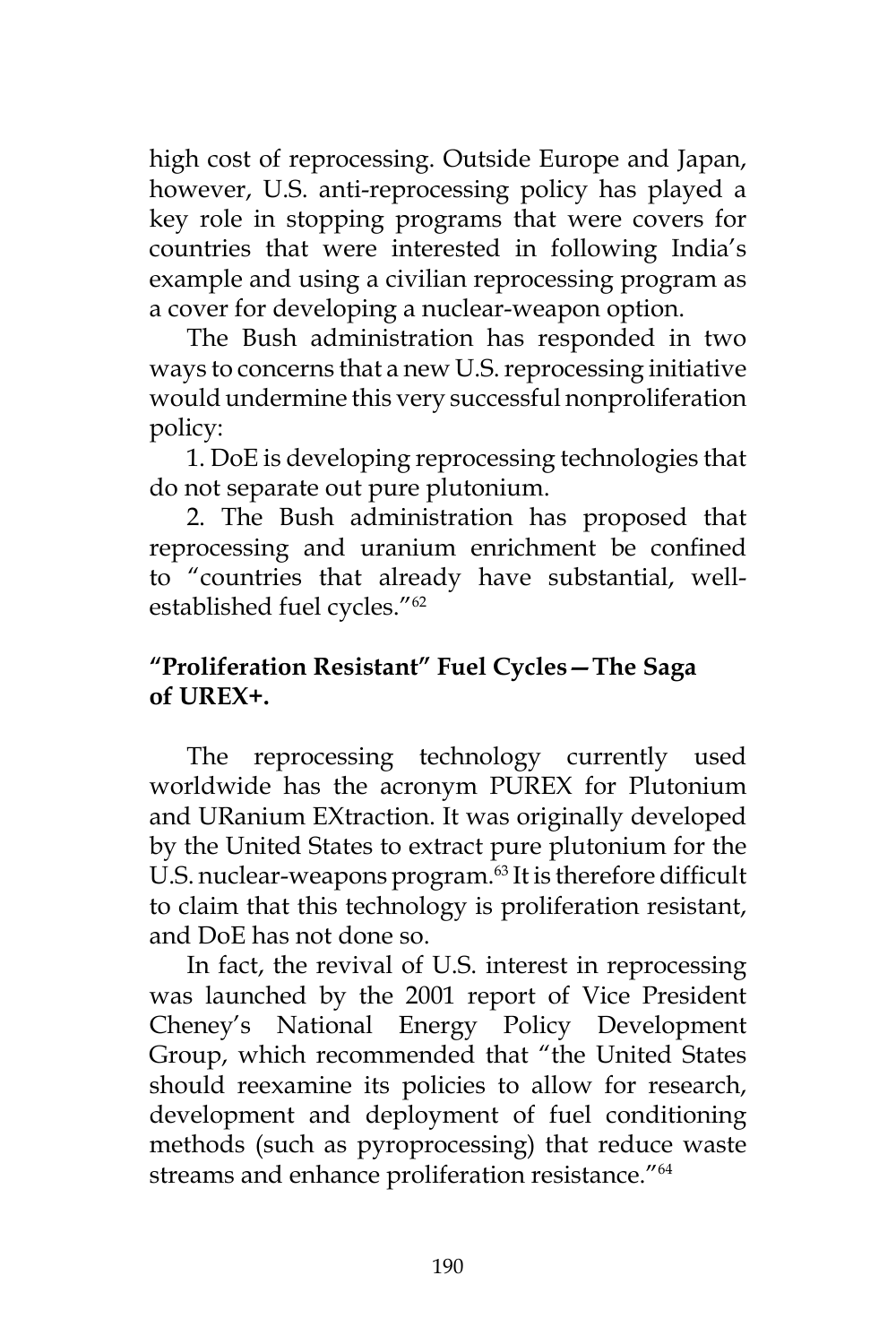high cost of reprocessing. Outside Europe and Japan, however, U.S. anti-reprocessing policy has played a key role in stopping programs that were covers for countries that were interested in following India's example and using a civilian reprocessing program as a cover for developing a nuclear-weapon option.

The Bush administration has responded in two ways to concerns that a new U.S. reprocessing initiative would undermine this very successful nonproliferation policy:

1. DoE is developing reprocessing technologies that do not separate out pure plutonium.

2. The Bush administration has proposed that reprocessing and uranium enrichment be confined to "countries that already have substantial, wellestablished fuel cycles."62

## **"Proliferation Resistant" Fuel Cycles—The Saga of UREX+.**

The reprocessing technology currently used worldwide has the acronym PUREX for Plutonium and URanium EXtraction. It was originally developed by the United States to extract pure plutonium for the U.S. nuclear-weapons program.<sup>63</sup> It is therefore difficult to claim that this technology is proliferation resistant, and DoE has not done so.

In fact, the revival of U.S. interest in reprocessing was launched by the 2001 report of Vice President Cheney's National Energy Policy Development Group, which recommended that "the United States should reexamine its policies to allow for research, development and deployment of fuel conditioning methods (such as pyroprocessing) that reduce waste streams and enhance proliferation resistance."64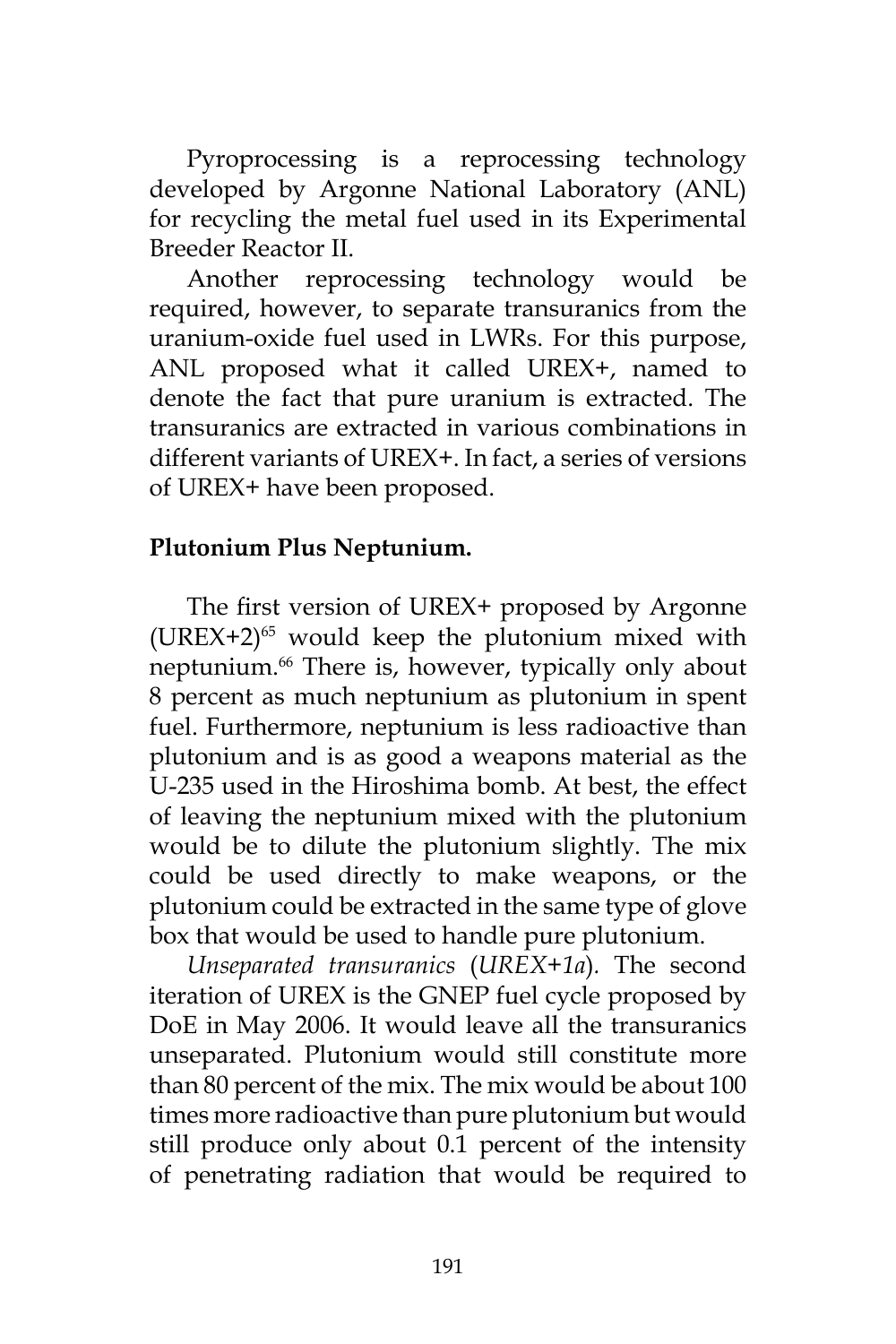Pyroprocessing is a reprocessing technology developed by Argonne National Laboratory (ANL) for recycling the metal fuel used in its Experimental Breeder Reactor II.

Another reprocessing technology would be required, however, to separate transuranics from the uranium-oxide fuel used in LWRs. For this purpose, ANL proposed what it called UREX+, named to denote the fact that pure uranium is extracted. The transuranics are extracted in various combinations in different variants of UREX+. In fact, a series of versions of UREX+ have been proposed.

## **Plutonium Plus Neptunium.**

The first version of UREX+ proposed by Argonne  $(UREX+2)^{65}$  would keep the plutonium mixed with neptunium.<sup>66</sup> There is, however, typically only about 8 percent as much neptunium as plutonium in spent fuel. Furthermore, neptunium is less radioactive than plutonium and is as good a weapons material as the U-235 used in the Hiroshima bomb. At best, the effect of leaving the neptunium mixed with the plutonium would be to dilute the plutonium slightly. The mix could be used directly to make weapons, or the plutonium could be extracted in the same type of glove box that would be used to handle pure plutonium.

*Unseparated transuranics* (*UREX+1a*)*.* The second iteration of UREX is the GNEP fuel cycle proposed by DoE in May 2006. It would leave all the transuranics unseparated. Plutonium would still constitute more than 80 percent of the mix. The mix would be about 100 times more radioactive than pure plutonium but would still produce only about 0.1 percent of the intensity of penetrating radiation that would be required to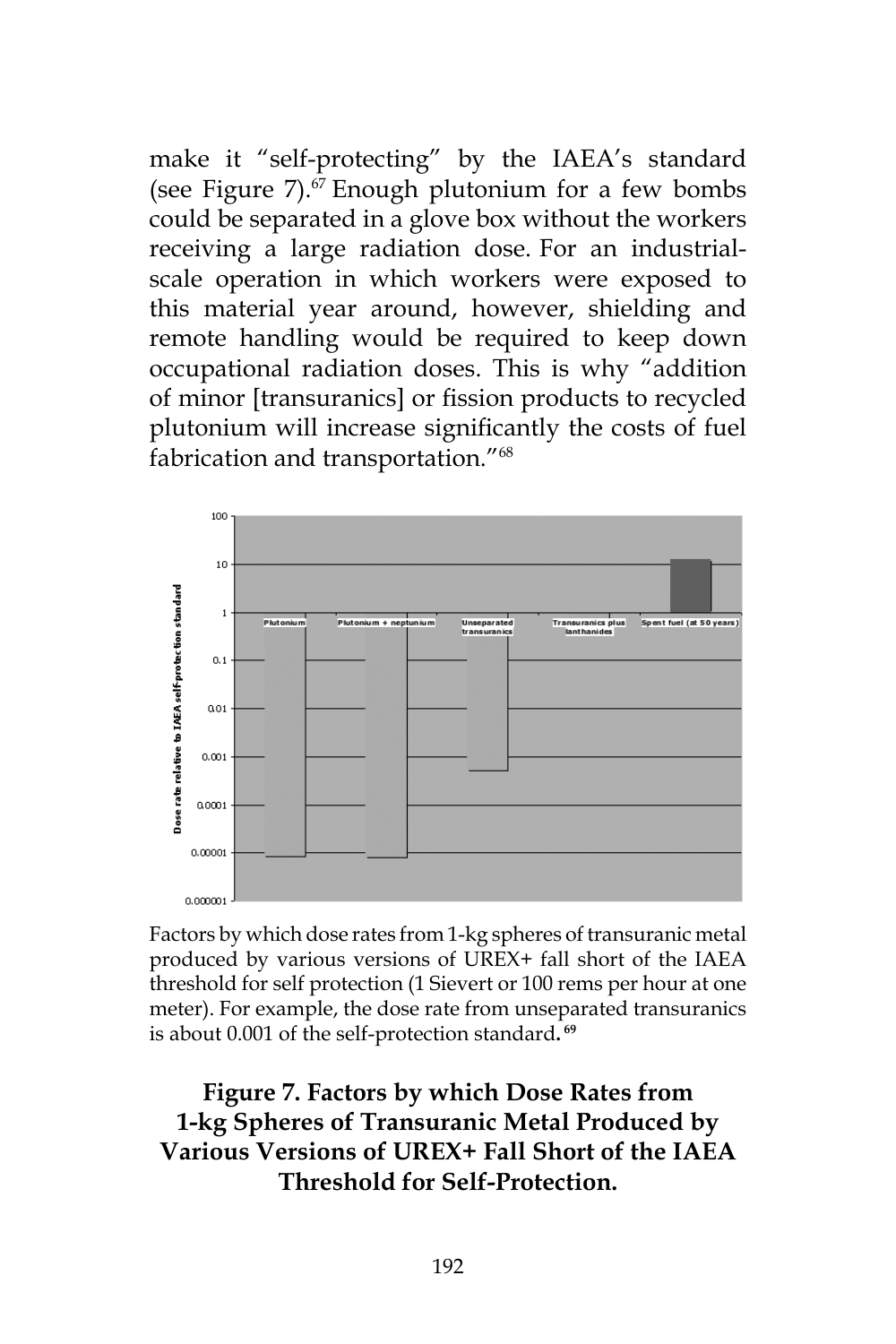make it "self-protecting" by the IAEA's standard (see Figure  $7$ ).<sup>67</sup> Enough plutonium for a few bombs could be separated in a glove box without the workers receiving a large radiation dose. For an industrialscale operation in which workers were exposed to this material year around, however, shielding and remote handling would be required to keep down occupational radiation doses. This is why "addition of minor [transuranics] or fission products to recycled plutonium will increase significantly the costs of fuel fabrication and transportation."68



Factors by which dose rates from 1-kg spheres of transuranic metal produced by various versions of UREX+ fall short of the IAEA threshold for self protection (1 Sievert or 100 rems per hour at one meter). For example, the dose rate from unseparated transuranics is about 0.001 of the self-protection standard**. 69**

**Figure 7. Factors by which Dose Rates from 1-kg Spheres of Transuranic Metal Produced by Various Versions of UREX+ Fall Short of the IAEA Threshold for Self-Protection.**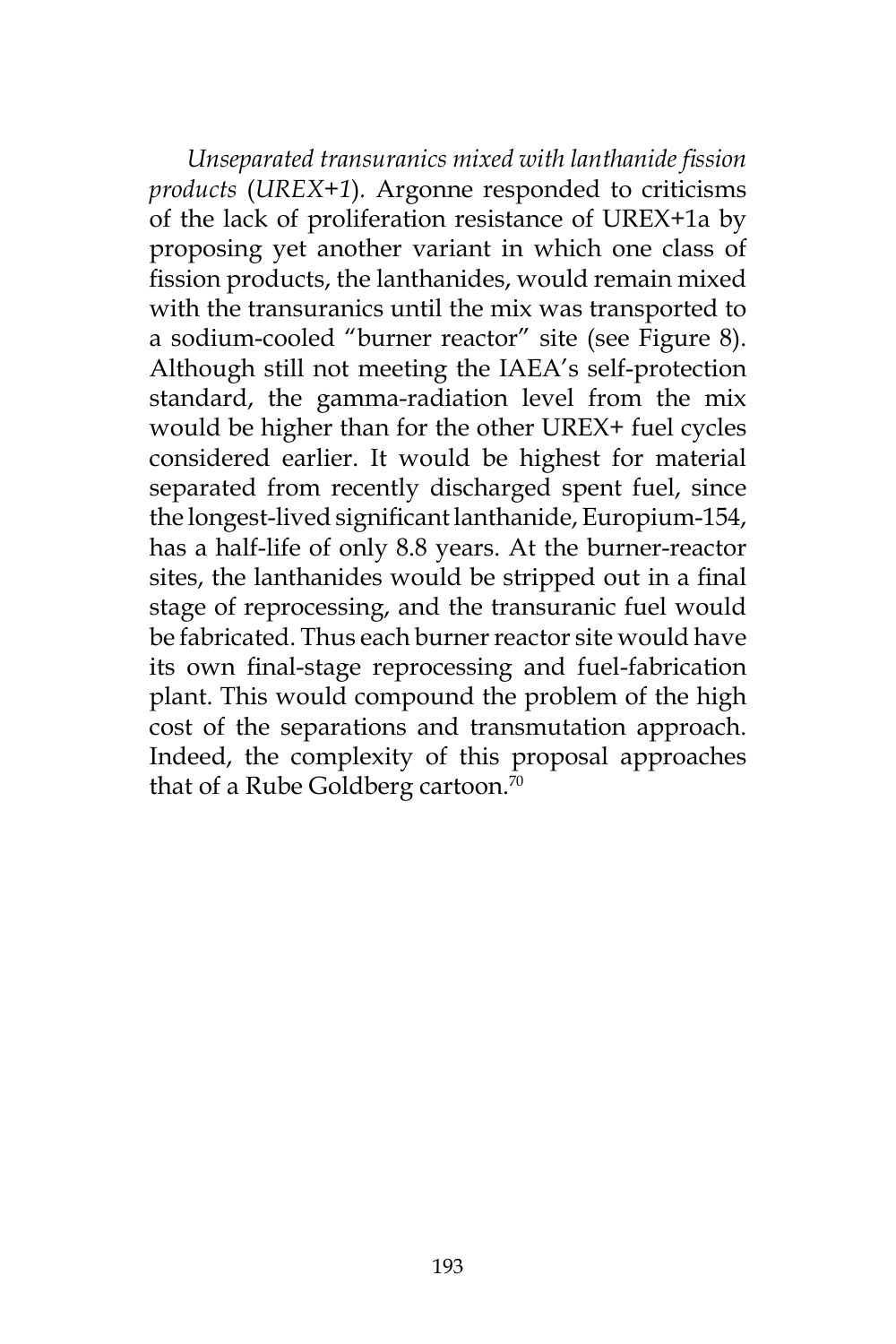*Unseparated transuranics mixed with lanthanide fission products* (*UREX+1*)*.* Argonne responded to criticisms of the lack of proliferation resistance of UREX+1a by proposing yet another variant in which one class of fission products, the lanthanides, would remain mixed with the transuranics until the mix was transported to a sodium-cooled "burner reactor" site (see Figure 8). Although still not meeting the IAEA's self-protection standard, the gamma-radiation level from the mix would be higher than for the other UREX+ fuel cycles considered earlier. It would be highest for material separated from recently discharged spent fuel, since the longest-lived significant lanthanide, Europium-154, has a half-life of only 8.8 years. At the burner-reactor sites, the lanthanides would be stripped out in a final stage of reprocessing, and the transuranic fuel would be fabricated. Thus each burner reactor site would have its own final-stage reprocessing and fuel-fabrication plant. This would compound the problem of the high cost of the separations and transmutation approach. Indeed, the complexity of this proposal approaches that of a Rube Goldberg cartoon.<sup>70</sup>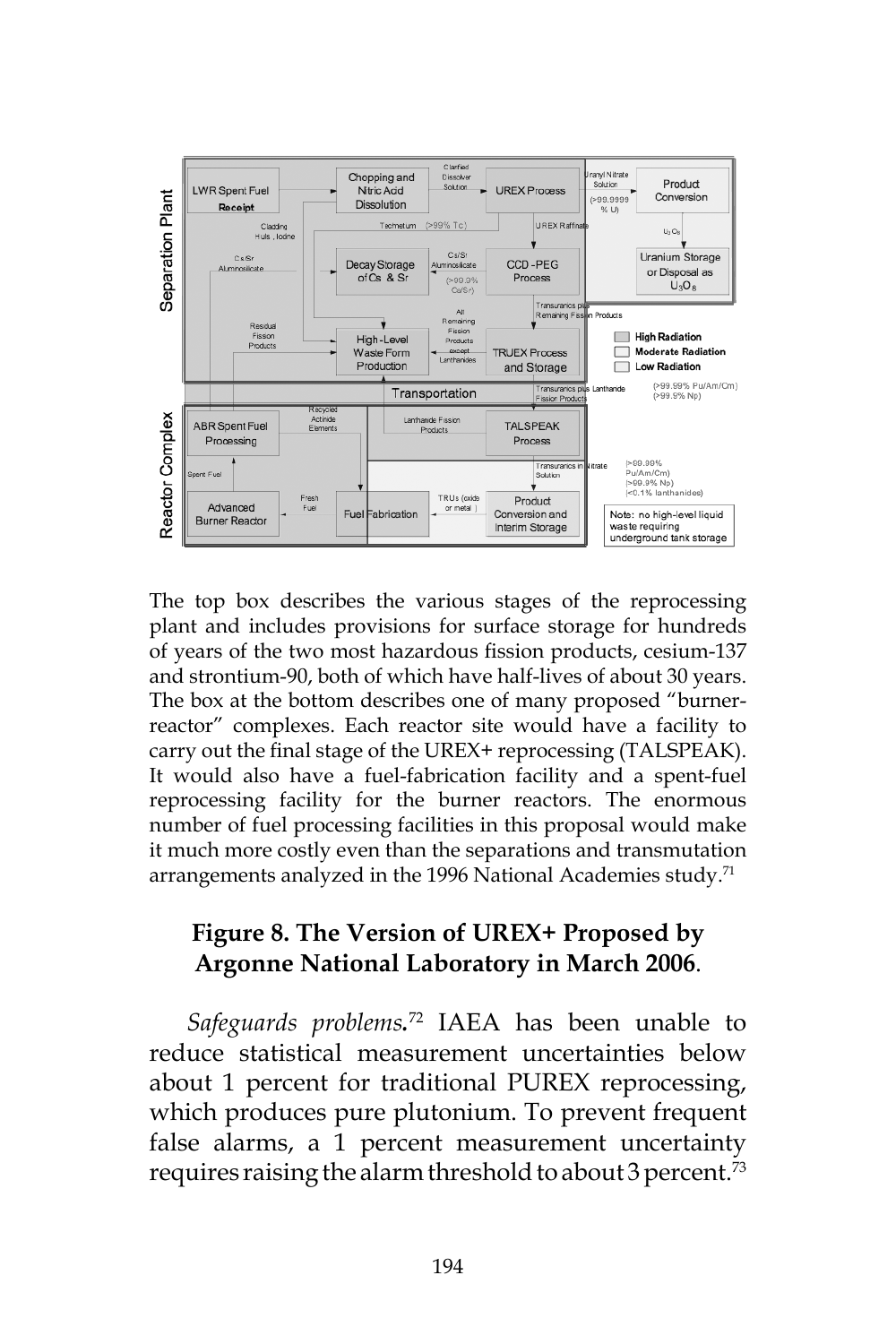

The top box describes the various stages of the reprocessing plant and includes provisions for surface storage for hundreds of years of the two most hazardous fission products, cesium-137 and strontium-90, both of which have half-lives of about 30 years. The box at the bottom describes one of many proposed "burnerreactor" complexes. Each reactor site would have a facility to carry out the final stage of the UREX+ reprocessing (TALSPEAK). It would also have a fuel-fabrication facility and a spent-fuel reprocessing facility for the burner reactors. The enormous number of fuel processing facilities in this proposal would make it much more costly even than the separations and transmutation arrangements analyzed in the 1996 National Academies study.<sup>71</sup>

## **Figure 8. The Version of UREX+ Proposed by Argonne National Laboratory in March 2006**.

*Safeguards problems.* 72 IAEA has been unable to reduce statistical measurement uncertainties below about 1 percent for traditional PUREX reprocessing, which produces pure plutonium. To prevent frequent false alarms, a 1 percent measurement uncertainty requires raising the alarm threshold to about 3 percent.73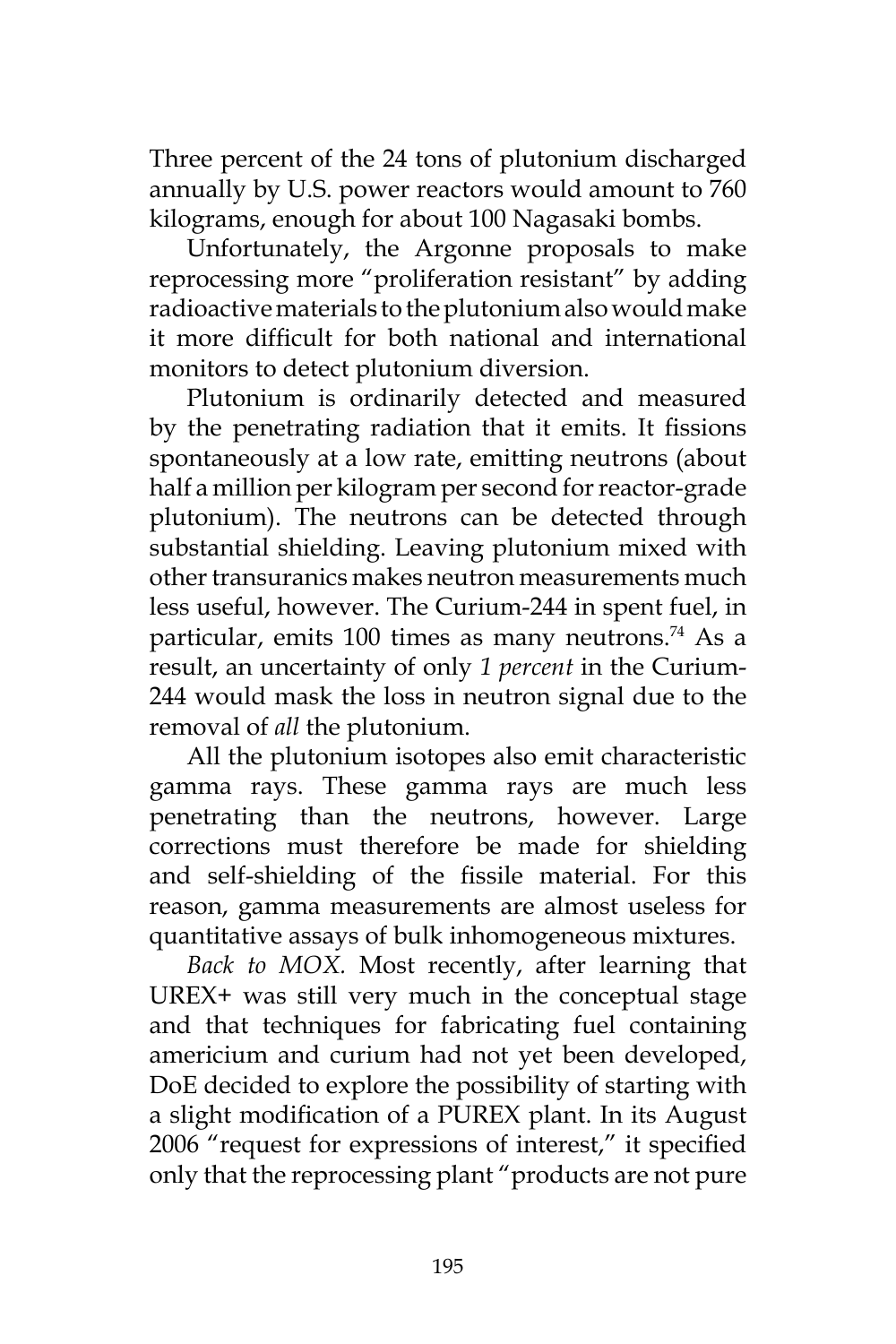Three percent of the 24 tons of plutonium discharged annually by U.S. power reactors would amount to 760 kilograms, enough for about 100 Nagasaki bombs.

Unfortunately, the Argonne proposals to make reprocessing more "proliferation resistant" by adding radioactive materials to the plutonium also would make it more difficult for both national and international monitors to detect plutonium diversion.

Plutonium is ordinarily detected and measured by the penetrating radiation that it emits. It fissions spontaneously at a low rate, emitting neutrons (about half a million per kilogram per second for reactor-grade plutonium). The neutrons can be detected through substantial shielding. Leaving plutonium mixed with other transuranics makes neutron measurements much less useful, however. The Curium-244 in spent fuel, in particular, emits 100 times as many neutrons.<sup>74</sup> As a result, an uncertainty of only *1 percent* in the Curium-244 would mask the loss in neutron signal due to the removal of *all* the plutonium.

All the plutonium isotopes also emit characteristic gamma rays. These gamma rays are much less penetrating than the neutrons, however. Large corrections must therefore be made for shielding and self-shielding of the fissile material. For this reason, gamma measurements are almost useless for quantitative assays of bulk inhomogeneous mixtures.

*Back to MOX.* Most recently, after learning that UREX+ was still very much in the conceptual stage and that techniques for fabricating fuel containing americium and curium had not yet been developed, DoE decided to explore the possibility of starting with a slight modification of a PUREX plant. In its August 2006 "request for expressions of interest," it specified only that the reprocessing plant "products are not pure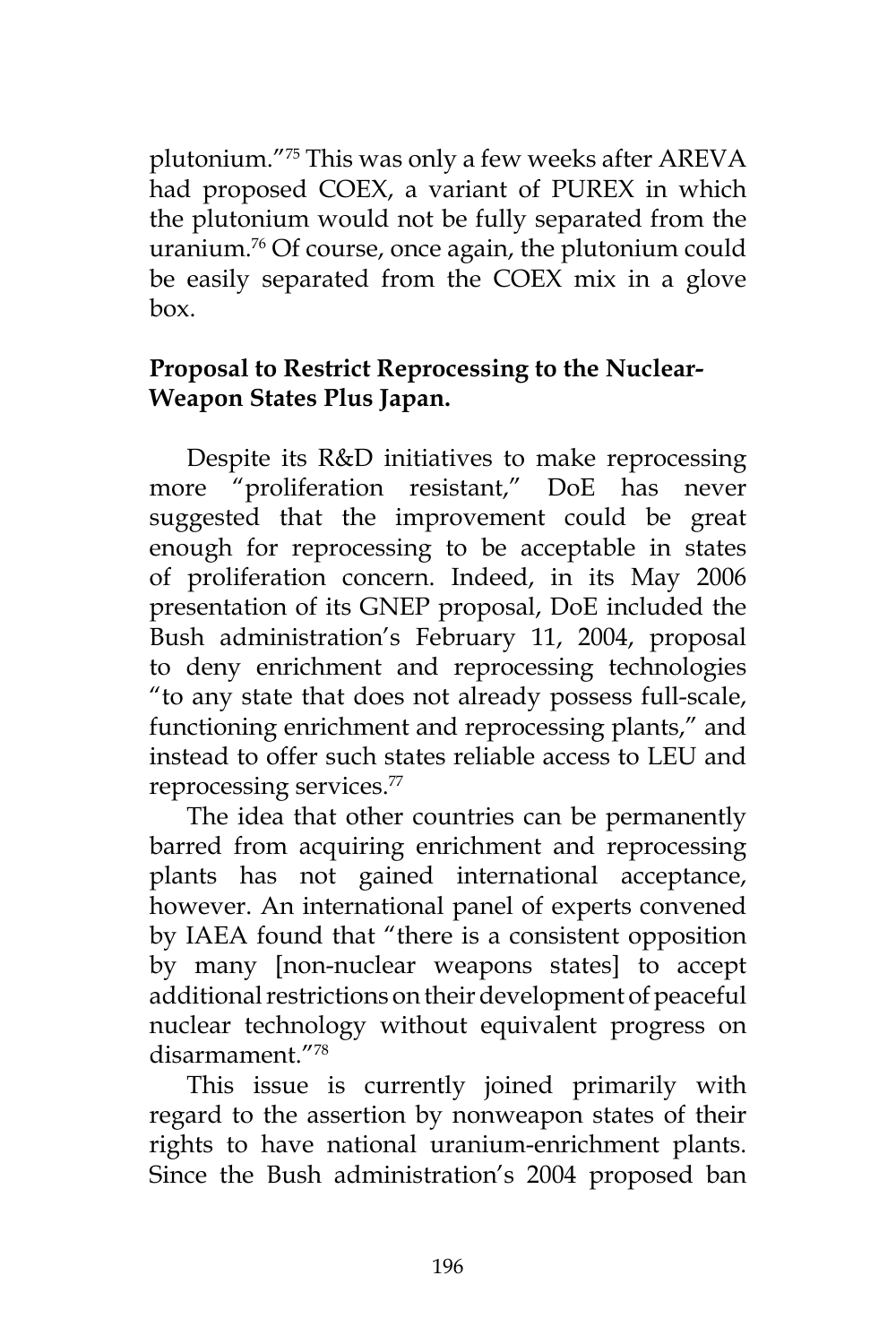plutonium."75 This was only a few weeks after AREVA had proposed COEX, a variant of PUREX in which the plutonium would not be fully separated from the uranium.76 Of course, once again, the plutonium could be easily separated from the COEX mix in a glove box.

## **Proposal to Restrict Reprocessing to the Nuclear-Weapon States Plus Japan.**

Despite its R&D initiatives to make reprocessing more "proliferation resistant," DoE has never suggested that the improvement could be great enough for reprocessing to be acceptable in states of proliferation concern. Indeed, in its May 2006 presentation of its GNEP proposal, DoE included the Bush administration's February 11, 2004, proposal to deny enrichment and reprocessing technologies "to any state that does not already possess full-scale, functioning enrichment and reprocessing plants," and instead to offer such states reliable access to LEU and reprocessing services.77

The idea that other countries can be permanently barred from acquiring enrichment and reprocessing plants has not gained international acceptance, however. An international panel of experts convened by IAEA found that "there is a consistent opposition by many [non-nuclear weapons states] to accept additional restrictions on their development of peaceful nuclear technology without equivalent progress on disarmament."78

This issue is currently joined primarily with regard to the assertion by nonweapon states of their rights to have national uranium-enrichment plants. Since the Bush administration's 2004 proposed ban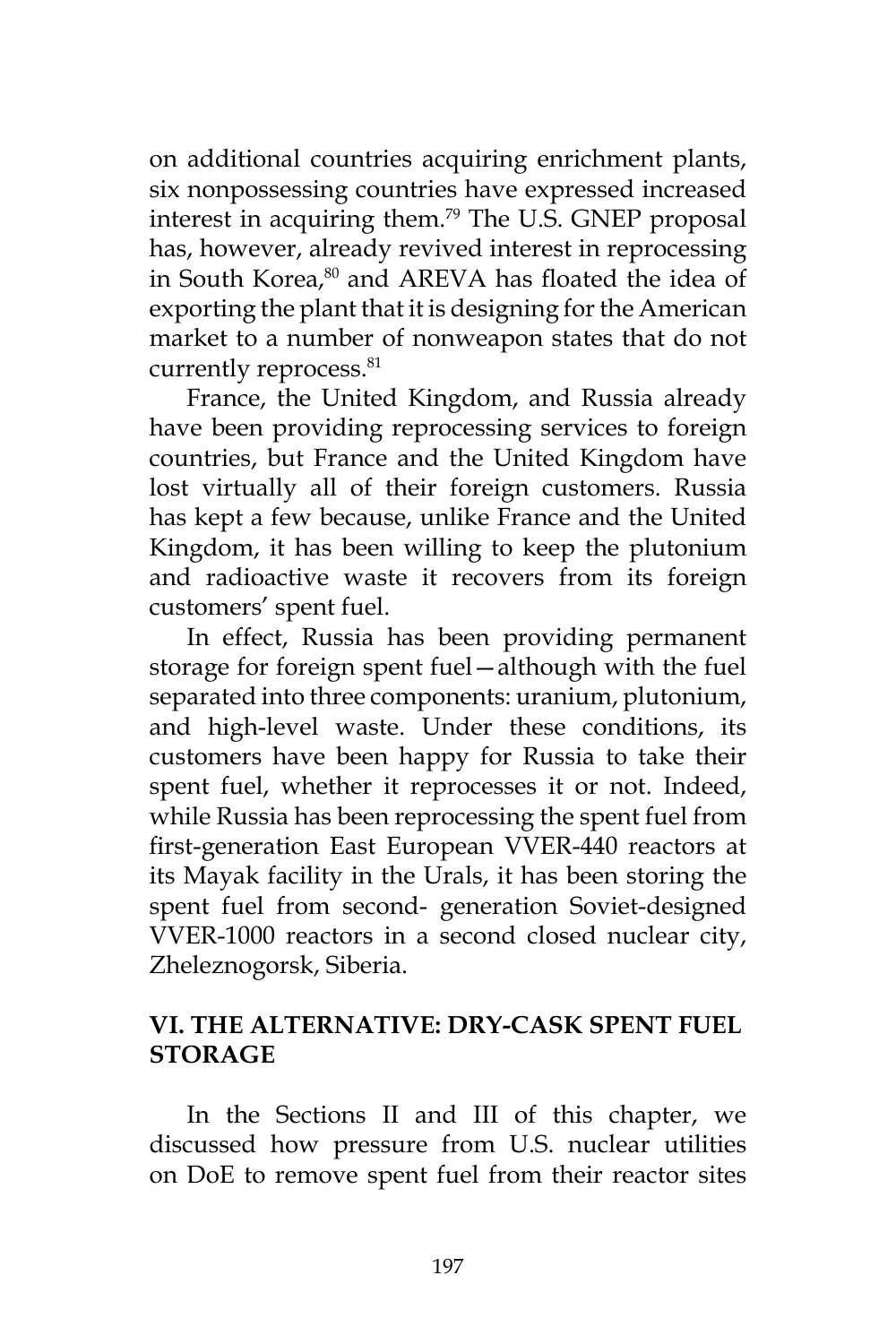on additional countries acquiring enrichment plants, six nonpossessing countries have expressed increased interest in acquiring them.79 The U.S. GNEP proposal has, however, already revived interest in reprocessing in South Korea,<sup>80</sup> and AREVA has floated the idea of exporting the plant that it is designing for the American market to a number of nonweapon states that do not currently reprocess.<sup>81</sup>

France, the United Kingdom, and Russia already have been providing reprocessing services to foreign countries, but France and the United Kingdom have lost virtually all of their foreign customers. Russia has kept a few because, unlike France and the United Kingdom, it has been willing to keep the plutonium and radioactive waste it recovers from its foreign customers' spent fuel.

In effect, Russia has been providing permanent storage for foreign spent fuel—although with the fuel separated into three components: uranium, plutonium, and high-level waste. Under these conditions, its customers have been happy for Russia to take their spent fuel, whether it reprocesses it or not. Indeed, while Russia has been reprocessing the spent fuel from first-generation East European VVER-440 reactors at its Mayak facility in the Urals, it has been storing the spent fuel from second- generation Soviet-designed VVER-1000 reactors in a second closed nuclear city, Zheleznogorsk, Siberia.

## **VI. THE ALTERNATIVE: DRY-CASK SPENT FUEL STORAGE**

In the Sections II and III of this chapter, we discussed how pressure from U.S. nuclear utilities on DoE to remove spent fuel from their reactor sites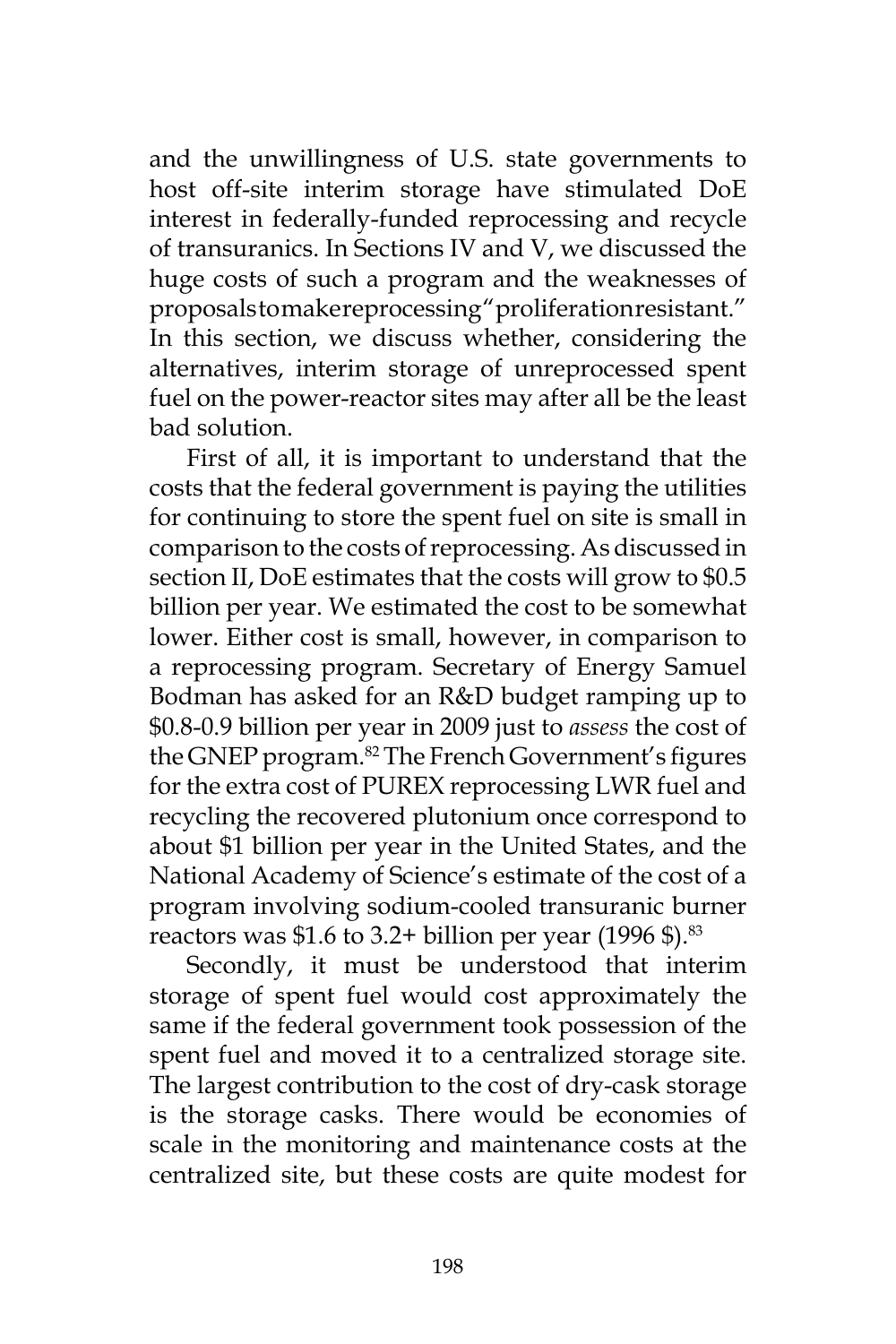and the unwillingness of U.S. state governments to host off-site interim storage have stimulated DoE interest in federally-funded reprocessing and recycle of transuranics. In Sections IV and V, we discussed the huge costs of such a program and the weaknesses of proposals to make reprocessing "proliferation resistant." In this section, we discuss whether, considering the alternatives, interim storage of unreprocessed spent fuel on the power-reactor sites may after all be the least bad solution.

First of all, it is important to understand that the costs that the federal government is paying the utilities for continuing to store the spent fuel on site is small in comparison to the costs of reprocessing. As discussed in section II, DoE estimates that the costs will grow to \$0.5 billion per year. We estimated the cost to be somewhat lower. Either cost is small, however, in comparison to a reprocessing program. Secretary of Energy Samuel Bodman has asked for an R&D budget ramping up to \$0.8-0.9 billion per year in 2009 just to *assess* the cost of the GNEP program.<sup>82</sup> The French Government's figures for the extra cost of PUREX reprocessing LWR fuel and recycling the recovered plutonium once correspond to about \$1 billion per year in the United States, and the National Academy of Science's estimate of the cost of a program involving sodium-cooled transuranic burner reactors was  $$1.6$  to 3.2+ billion per year (1996 \$).<sup>83</sup>

Secondly, it must be understood that interim storage of spent fuel would cost approximately the same if the federal government took possession of the spent fuel and moved it to a centralized storage site. The largest contribution to the cost of dry-cask storage is the storage casks. There would be economies of scale in the monitoring and maintenance costs at the centralized site, but these costs are quite modest for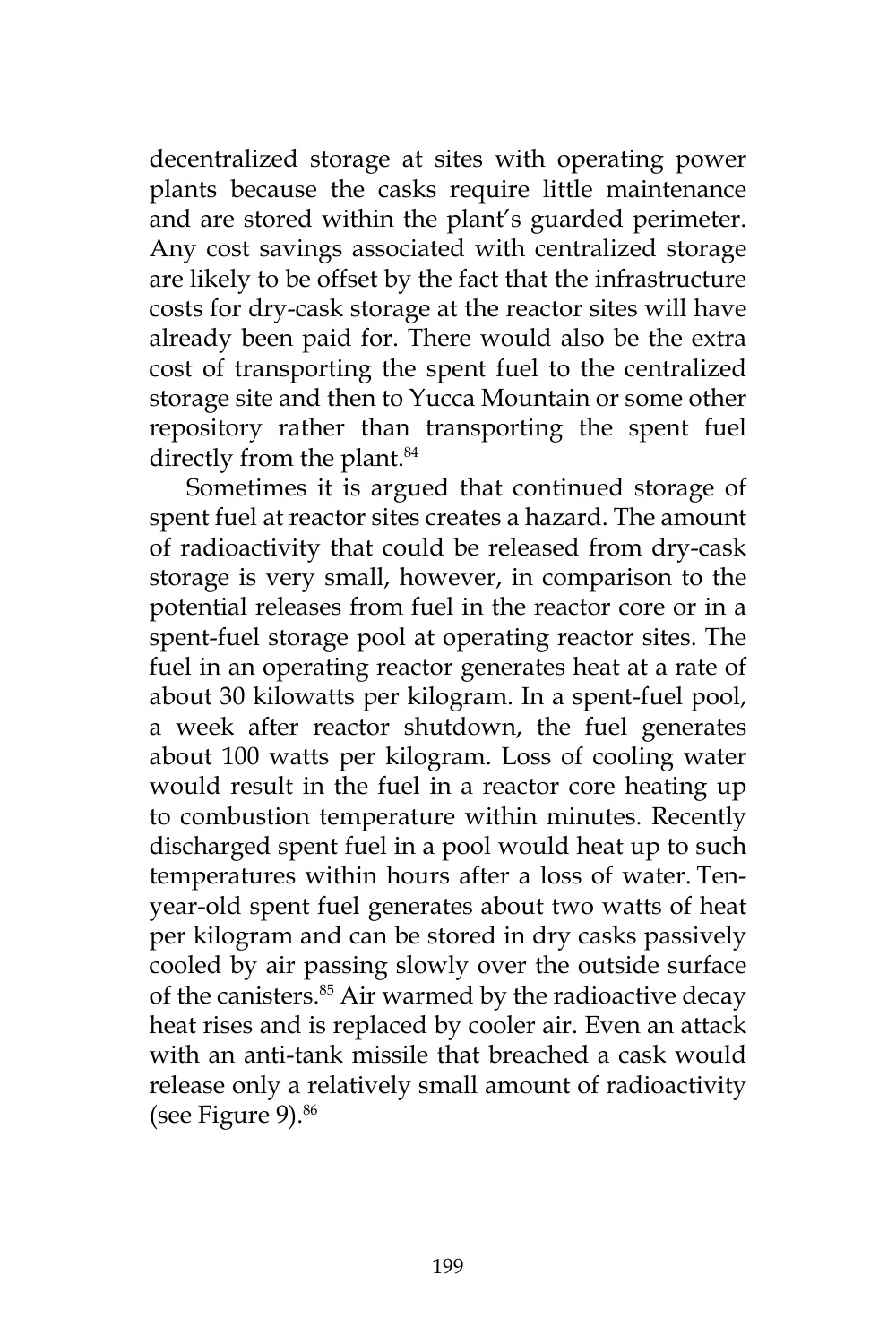decentralized storage at sites with operating power plants because the casks require little maintenance and are stored within the plant's guarded perimeter. Any cost savings associated with centralized storage are likely to be offset by the fact that the infrastructure costs for dry-cask storage at the reactor sites will have already been paid for. There would also be the extra cost of transporting the spent fuel to the centralized storage site and then to Yucca Mountain or some other repository rather than transporting the spent fuel directly from the plant.<sup>84</sup>

Sometimes it is argued that continued storage of spent fuel at reactor sites creates a hazard. The amount of radioactivity that could be released from dry-cask storage is very small, however, in comparison to the potential releases from fuel in the reactor core or in a spent-fuel storage pool at operating reactor sites. The fuel in an operating reactor generates heat at a rate of about 30 kilowatts per kilogram. In a spent-fuel pool, a week after reactor shutdown, the fuel generates about 100 watts per kilogram. Loss of cooling water would result in the fuel in a reactor core heating up to combustion temperature within minutes. Recently discharged spent fuel in a pool would heat up to such temperatures within hours after a loss of water. Tenyear-old spent fuel generates about two watts of heat per kilogram and can be stored in dry casks passively cooled by air passing slowly over the outside surface of the canisters.<sup>85</sup> Air warmed by the radioactive decay heat rises and is replaced by cooler air. Even an attack with an anti-tank missile that breached a cask would release only a relatively small amount of radioactivity (see Figure 9).<sup>86</sup>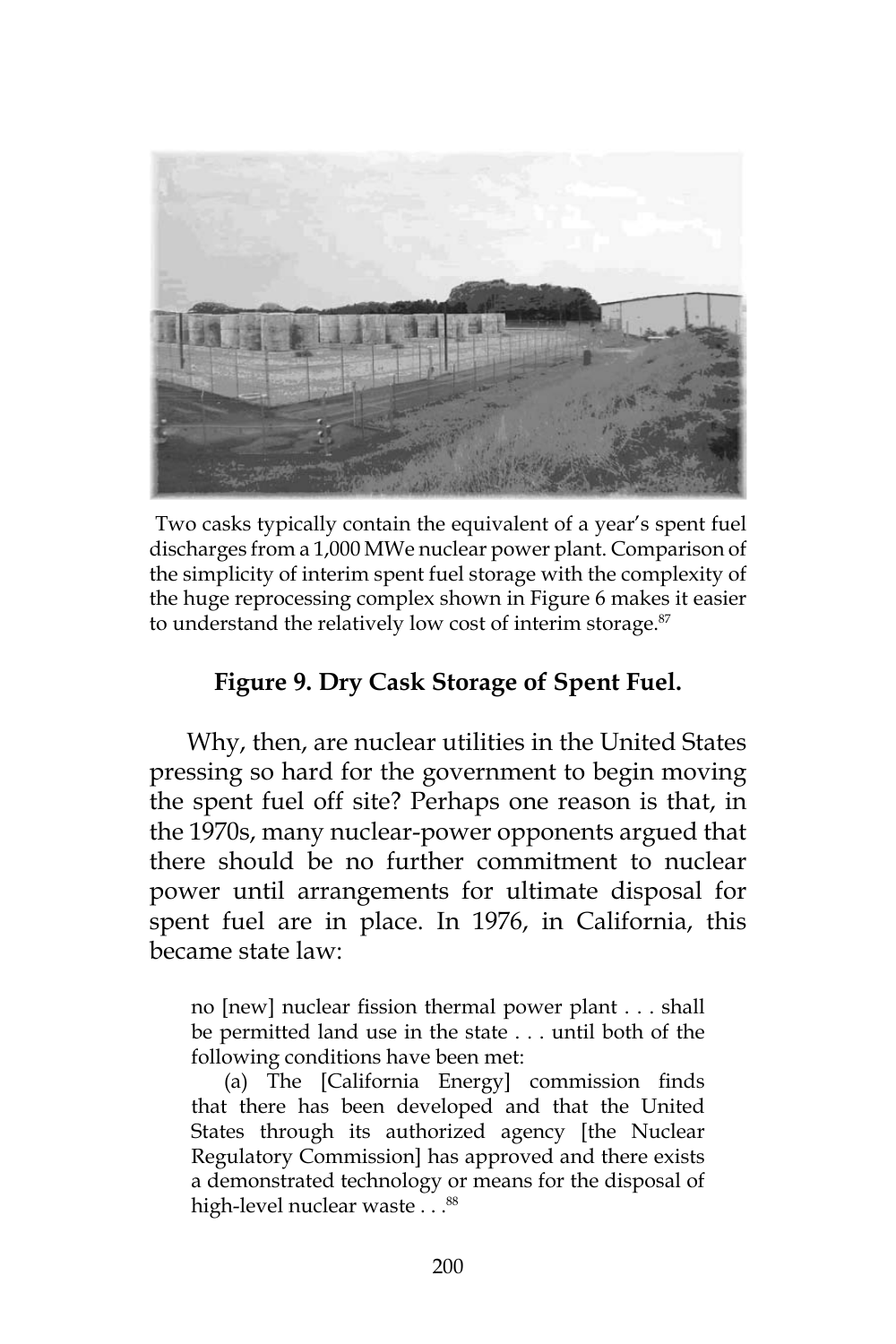

Two casks typically contain the equivalent of a year's spent fuel discharges from a 1,000 MWe nuclear power plant. Comparison of the simplicity of interim spent fuel storage with the complexity of the huge reprocessing complex shown in Figure 6 makes it easier to understand the relatively low cost of interim storage. $87$ 

## **Figure 9. Dry Cask Storage of Spent Fuel.**

Why, then, are nuclear utilities in the United States pressing so hard for the government to begin moving the spent fuel off site? Perhaps one reason is that, in the 1970s, many nuclear-power opponents argued that there should be no further commitment to nuclear power until arrangements for ultimate disposal for spent fuel are in place. In 1976, in California, this became state law:

no [new] nuclear fission thermal power plant . . . shall be permitted land use in the state . . . until both of the following conditions have been met:

(a) The [California Energy] commission finds that there has been developed and that the United States through its authorized agency [the Nuclear Regulatory Commission] has approved and there exists a demonstrated technology or means for the disposal of high-level nuclear waste . . .<sup>88</sup>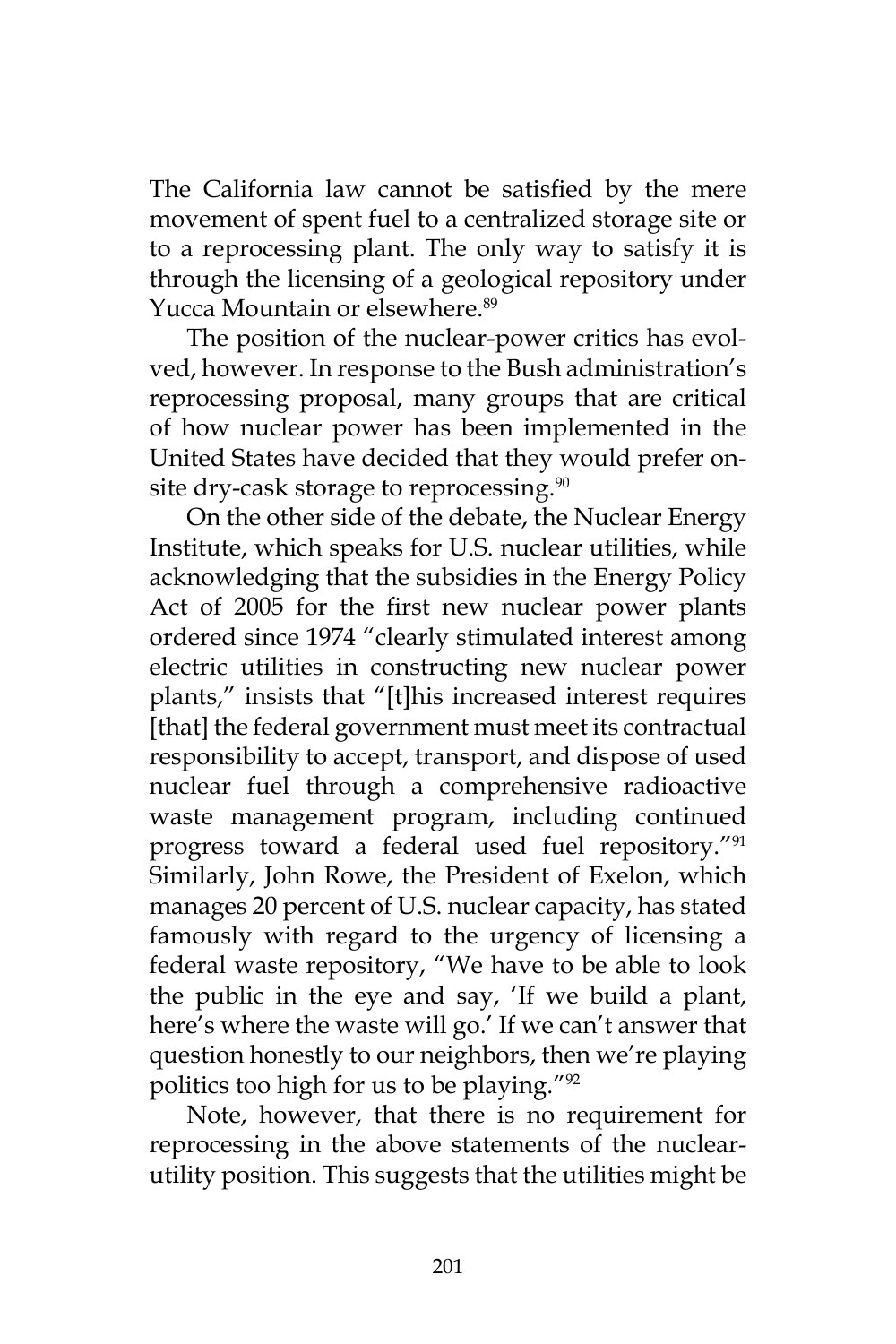The California law cannot be satisfied by the mere movement of spent fuel to a centralized storage site or to a reprocessing plant. The only way to satisfy it is through the licensing of a geological repository under Yucca Mountain or elsewhere.<sup>89</sup>

The position of the nuclear-power critics has evolved, however. In response to the Bush administration's reprocessing proposal, many groups that are critical of how nuclear power has been implemented in the United States have decided that they would prefer onsite dry-cask storage to reprocessing.<sup>90</sup>

On the other side of the debate, the Nuclear Energy Institute, which speaks for U.S. nuclear utilities, while acknowledging that the subsidies in the Energy Policy Act of 2005 for the first new nuclear power plants ordered since 1974 "clearly stimulated interest among electric utilities in constructing new nuclear power plants," insists that "[t]his increased interest requires [that] the federal government must meet its contractual responsibility to accept, transport, and dispose of used nuclear fuel through a comprehensive radioactive waste management program, including continued progress toward a federal used fuel repository."91 Similarly, John Rowe, the President of Exelon, which manages 20 percent of U.S. nuclear capacity, has stated famously with regard to the urgency of licensing a federal waste repository, "We have to be able to look the public in the eye and say, 'If we build a plant, here's where the waste will go.' If we can't answer that question honestly to our neighbors, then we're playing politics too high for us to be playing."92

Note, however, that there is no requirement for reprocessing in the above statements of the nuclearutility position. This suggests that the utilities might be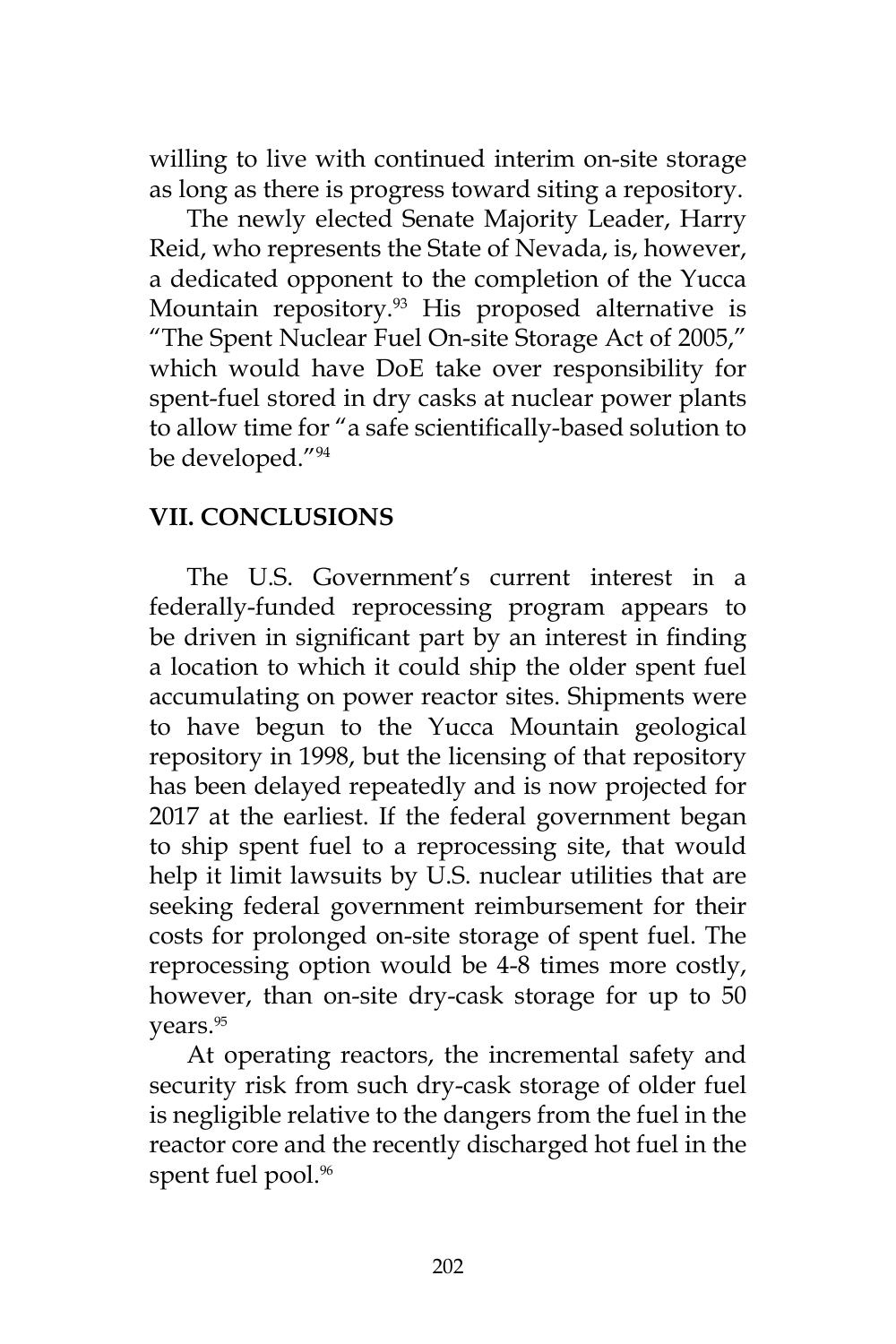willing to live with continued interim on-site storage as long as there is progress toward siting a repository.

The newly elected Senate Majority Leader, Harry Reid, who represents the State of Nevada, is, however, a dedicated opponent to the completion of the Yucca Mountain repository.<sup>93</sup> His proposed alternative is "The Spent Nuclear Fuel On-site Storage Act of 2005," which would have DoE take over responsibility for spent-fuel stored in dry casks at nuclear power plants to allow time for "a safe scientifically-based solution to be developed."94

#### **VII. CONCLUSIONS**

The U.S. Government's current interest in a federally-funded reprocessing program appears to be driven in significant part by an interest in finding a location to which it could ship the older spent fuel accumulating on power reactor sites. Shipments were to have begun to the Yucca Mountain geological repository in 1998, but the licensing of that repository has been delayed repeatedly and is now projected for 2017 at the earliest. If the federal government began to ship spent fuel to a reprocessing site, that would help it limit lawsuits by U.S. nuclear utilities that are seeking federal government reimbursement for their costs for prolonged on-site storage of spent fuel. The reprocessing option would be 4-8 times more costly, however, than on-site dry-cask storage for up to 50 years.<sup>95</sup>

At operating reactors, the incremental safety and security risk from such dry-cask storage of older fuel is negligible relative to the dangers from the fuel in the reactor core and the recently discharged hot fuel in the spent fuel pool.<sup>96</sup>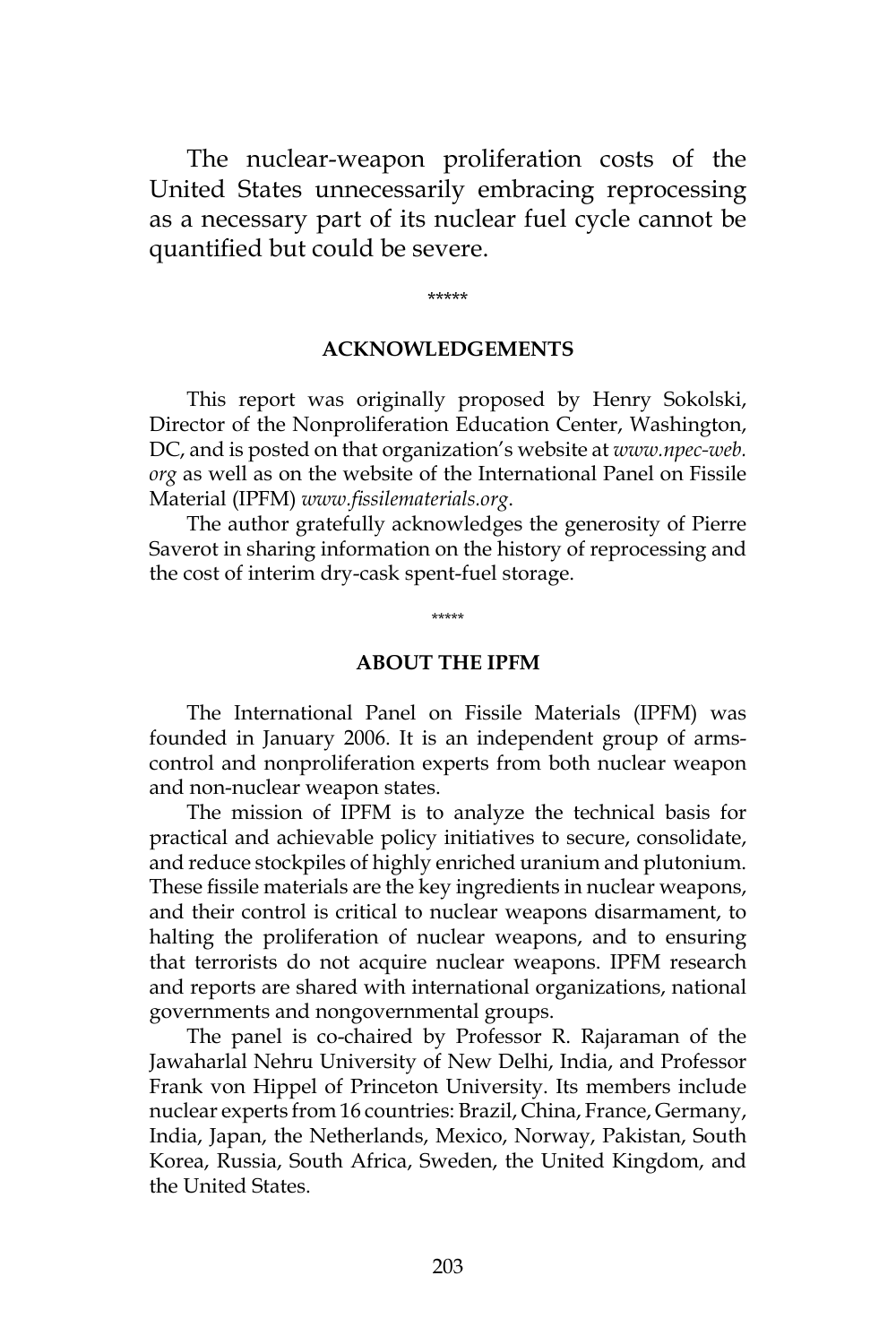The nuclear-weapon proliferation costs of the United States unnecessarily embracing reprocessing as a necessary part of its nuclear fuel cycle cannot be quantified but could be severe.

\*\*\*\*\*

#### **ACKNOWLEDGEMENTS**

This report was originally proposed by Henry Sokolski, Director of the Nonproliferation Education Center, Washington, DC, and is posted on that organization's website at *www.npec-web. org* as well as on the website of the International Panel on Fissile Material (IPFM) *www.fissilematerials.org*.

The author gratefully acknowledges the generosity of Pierre Saverot in sharing information on the history of reprocessing and the cost of interim dry-cask spent-fuel storage.

**ABOUT THE IPFM**

\*\*\*\*\*

The International Panel on Fissile Materials (IPFM) was founded in January 2006. It is an independent group of armscontrol and nonproliferation experts from both nuclear weapon and non-nuclear weapon states.

The mission of IPFM is to analyze the technical basis for practical and achievable policy initiatives to secure, consolidate, and reduce stockpiles of highly enriched uranium and plutonium. These fissile materials are the key ingredients in nuclear weapons, and their control is critical to nuclear weapons disarmament, to halting the proliferation of nuclear weapons, and to ensuring that terrorists do not acquire nuclear weapons. IPFM research and reports are shared with international organizations, national governments and nongovernmental groups.

The panel is co-chaired by Professor R. Rajaraman of the Jawaharlal Nehru University of New Delhi, India, and Professor Frank von Hippel of Princeton University. Its members include nuclear experts from 16 countries: Brazil, China, France, Germany, India, Japan, the Netherlands, Mexico, Norway, Pakistan, South Korea, Russia, South Africa, Sweden, the United Kingdom, and the United States.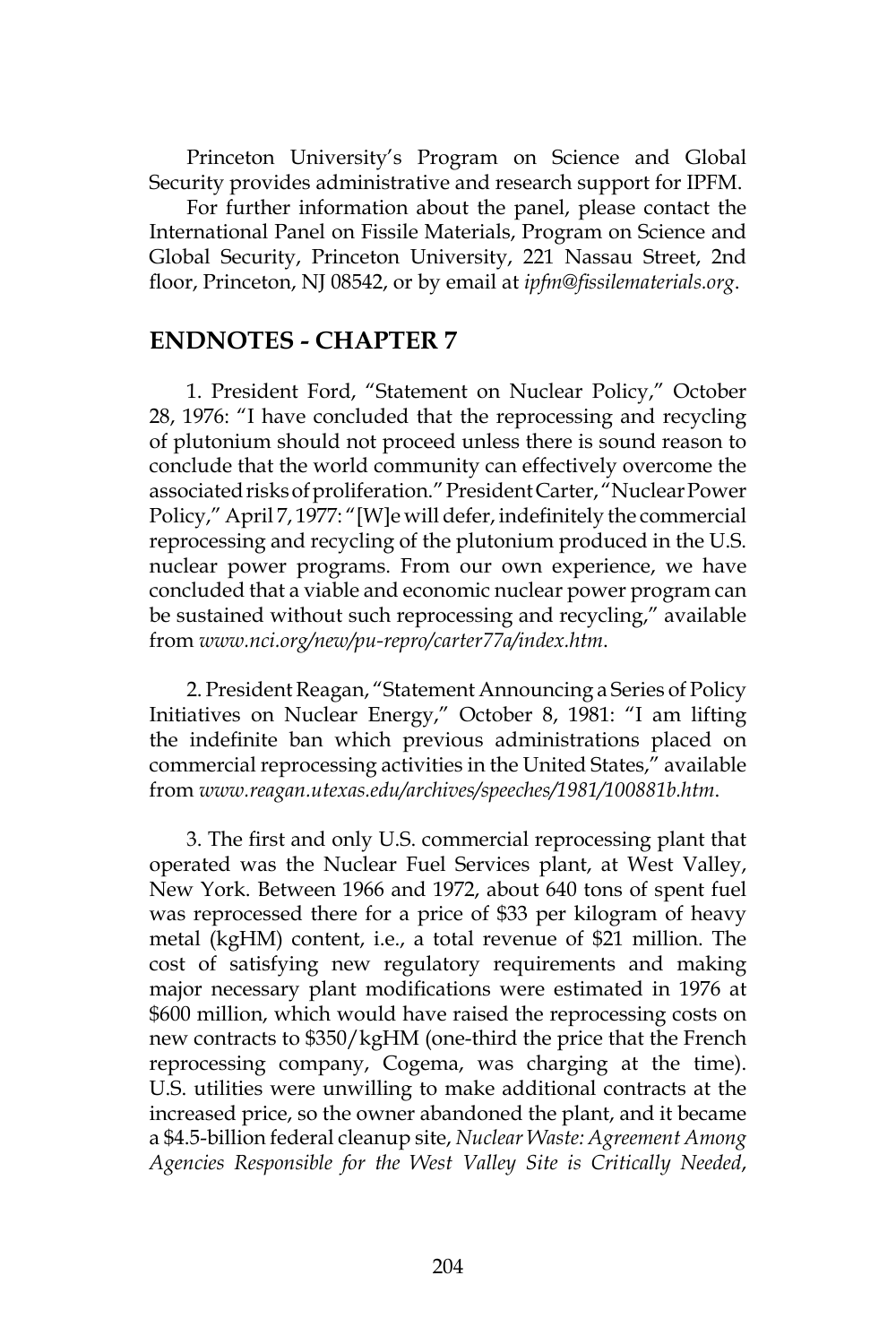Princeton University's Program on Science and Global Security provides administrative and research support for IPFM.

For further information about the panel, please contact the International Panel on Fissile Materials, Program on Science and Global Security, Princeton University, 221 Nassau Street, 2nd floor, Princeton, NJ 08542, or by email at *ipfm@fissilematerials.org*.

#### **ENDNOTES - CHAPTER 7**

1. President Ford, "Statement on Nuclear Policy," October 28, 1976: "I have concluded that the reprocessing and recycling of plutonium should not proceed unless there is sound reason to conclude that the world community can effectively overcome the associated risks of proliferation." President Carter, "Nuclear Power Policy," April 7, 1977: "[W]e will defer, indefinitely the commercial reprocessing and recycling of the plutonium produced in the U.S. nuclear power programs. From our own experience, we have concluded that a viable and economic nuclear power program can be sustained without such reprocessing and recycling," available from *www.nci.org/new/pu-repro/carter77a/index.htm*.

2. President Reagan, "Statement Announcing a Series of Policy Initiatives on Nuclear Energy," October 8, 1981: "I am lifting the indefinite ban which previous administrations placed on commercial reprocessing activities in the United States," available from *www.reagan.utexas.edu/archives/speeches/1981/100881b.htm*.

3. The first and only U.S. commercial reprocessing plant that operated was the Nuclear Fuel Services plant, at West Valley, New York. Between 1966 and 1972, about 640 tons of spent fuel was reprocessed there for a price of \$33 per kilogram of heavy metal (kgHM) content, i.e., a total revenue of \$21 million. The cost of satisfying new regulatory requirements and making major necessary plant modifications were estimated in 1976 at \$600 million, which would have raised the reprocessing costs on new contracts to \$350/kgHM (one-third the price that the French reprocessing company, Cogema, was charging at the time). U.S. utilities were unwilling to make additional contracts at the increased price, so the owner abandoned the plant, and it became a \$4.5-billion federal cleanup site, *Nuclear Waste: Agreement Among Agencies Responsible for the West Valley Site is Critically Needed*,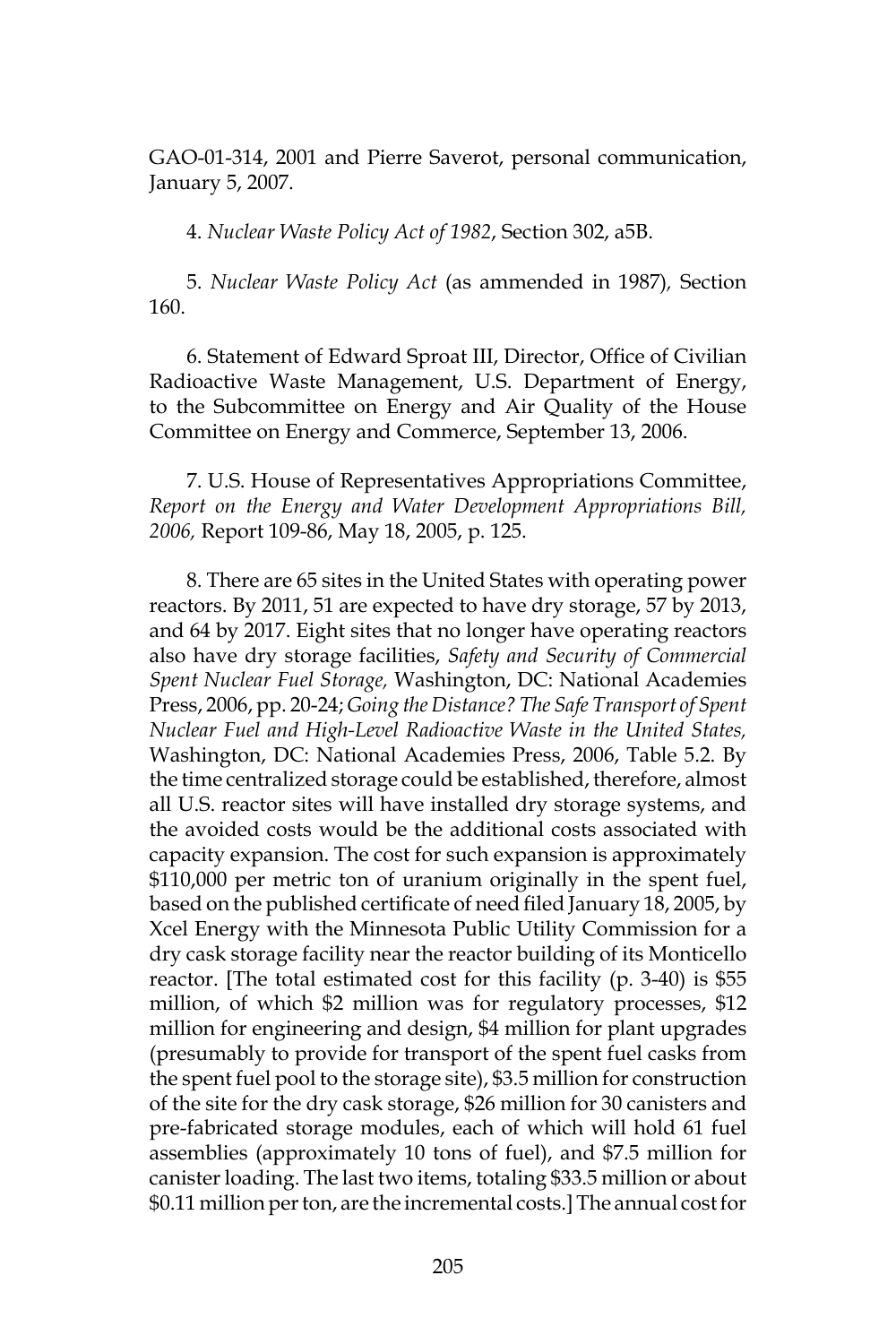GAO-01-314, 2001 and Pierre Saverot, personal communication, January 5, 2007.

4. *Nuclear Waste Policy Act of 1982*, Section 302, a5B.

5. *Nuclear Waste Policy Act* (as ammended in 1987)*,* Section 160.

6. Statement of Edward Sproat III, Director, Office of Civilian Radioactive Waste Management, U.S. Department of Energy, to the Subcommittee on Energy and Air Quality of the House Committee on Energy and Commerce, September 13, 2006.

7. U.S. House of Representatives Appropriations Committee, *Report on the Energy and Water Development Appropriations Bill, 2006,* Report 109-86, May 18, 2005, p. 125.

8. There are 65 sites in the United States with operating power reactors. By 2011, 51 are expected to have dry storage, 57 by 2013, and 64 by 2017. Eight sites that no longer have operating reactors also have dry storage facilities, *Safety and Security of Commercial Spent Nuclear Fuel Storage,* Washington, DC: National Academies Press, 2006, pp. 20-24; *Going the Distance? The Safe Transport of Spent Nuclear Fuel and High-Level Radioactive Waste in the United States,* Washington, DC: National Academies Press, 2006, Table 5.2. By the time centralized storage could be established, therefore, almost all U.S. reactor sites will have installed dry storage systems, and the avoided costs would be the additional costs associated with capacity expansion. The cost for such expansion is approximately \$110,000 per metric ton of uranium originally in the spent fuel, based on the published certificate of need filed January 18, 2005, by Xcel Energy with the Minnesota Public Utility Commission for a dry cask storage facility near the reactor building of its Monticello reactor. [The total estimated cost for this facility (p. 3-40) is \$55 million, of which \$2 million was for regulatory processes, \$12 million for engineering and design, \$4 million for plant upgrades (presumably to provide for transport of the spent fuel casks from the spent fuel pool to the storage site), \$3.5 million for construction of the site for the dry cask storage, \$26 million for 30 canisters and pre-fabricated storage modules, each of which will hold 61 fuel assemblies (approximately 10 tons of fuel), and \$7.5 million for canister loading. The last two items, totaling \$33.5 million or about \$0.11 million per ton, are the incremental costs.] The annual cost for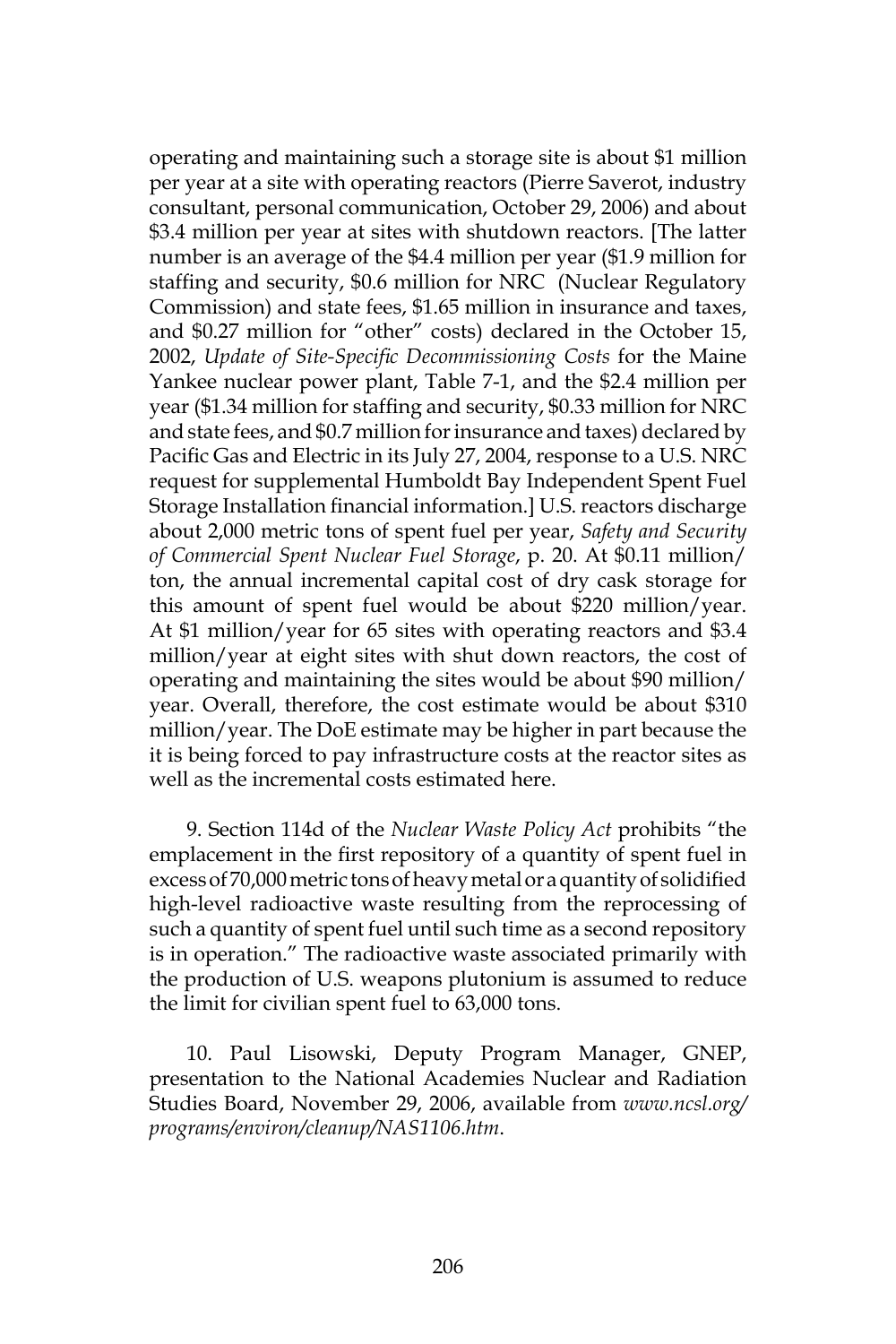operating and maintaining such a storage site is about \$1 million per year at a site with operating reactors (Pierre Saverot, industry consultant, personal communication, October 29, 2006) and about \$3.4 million per year at sites with shutdown reactors. [The latter number is an average of the \$4.4 million per year (\$1.9 million for staffing and security, \$0.6 million for NRC (Nuclear Regulatory Commission) and state fees, \$1.65 million in insurance and taxes, and \$0.27 million for "other" costs) declared in the October 15, 2002, *Update of Site-Specific Decommissioning Costs* for the Maine Yankee nuclear power plant, Table 7-1, and the \$2.4 million per year (\$1.34 million for staffing and security, \$0.33 million for NRC and state fees, and \$0.7 million for insurance and taxes) declared by Pacific Gas and Electric in its July 27, 2004, response to a U.S. NRC request for supplemental Humboldt Bay Independent Spent Fuel Storage Installation financial information.] U.S. reactors discharge about 2,000 metric tons of spent fuel per year, *Safety and Security of Commercial Spent Nuclear Fuel Storage*, p. 20. At \$0.11 million/ ton, the annual incremental capital cost of dry cask storage for this amount of spent fuel would be about \$220 million/year. At \$1 million/year for 65 sites with operating reactors and \$3.4 million/year at eight sites with shut down reactors, the cost of operating and maintaining the sites would be about \$90 million/ year. Overall, therefore, the cost estimate would be about \$310 million/year. The DoE estimate may be higher in part because the it is being forced to pay infrastructure costs at the reactor sites as well as the incremental costs estimated here.

9. Section 114d of the *Nuclear Waste Policy Act* prohibits "the emplacement in the first repository of a quantity of spent fuel in excess of 70,000 metric tons of heavy metal or a quantity of solidified high-level radioactive waste resulting from the reprocessing of such a quantity of spent fuel until such time as a second repository is in operation." The radioactive waste associated primarily with the production of U.S. weapons plutonium is assumed to reduce the limit for civilian spent fuel to 63,000 tons.

10. Paul Lisowski, Deputy Program Manager, GNEP, presentation to the National Academies Nuclear and Radiation Studies Board, November 29, 2006, available from *www.ncsl.org/ programs/environ/cleanup/NAS1106.htm*.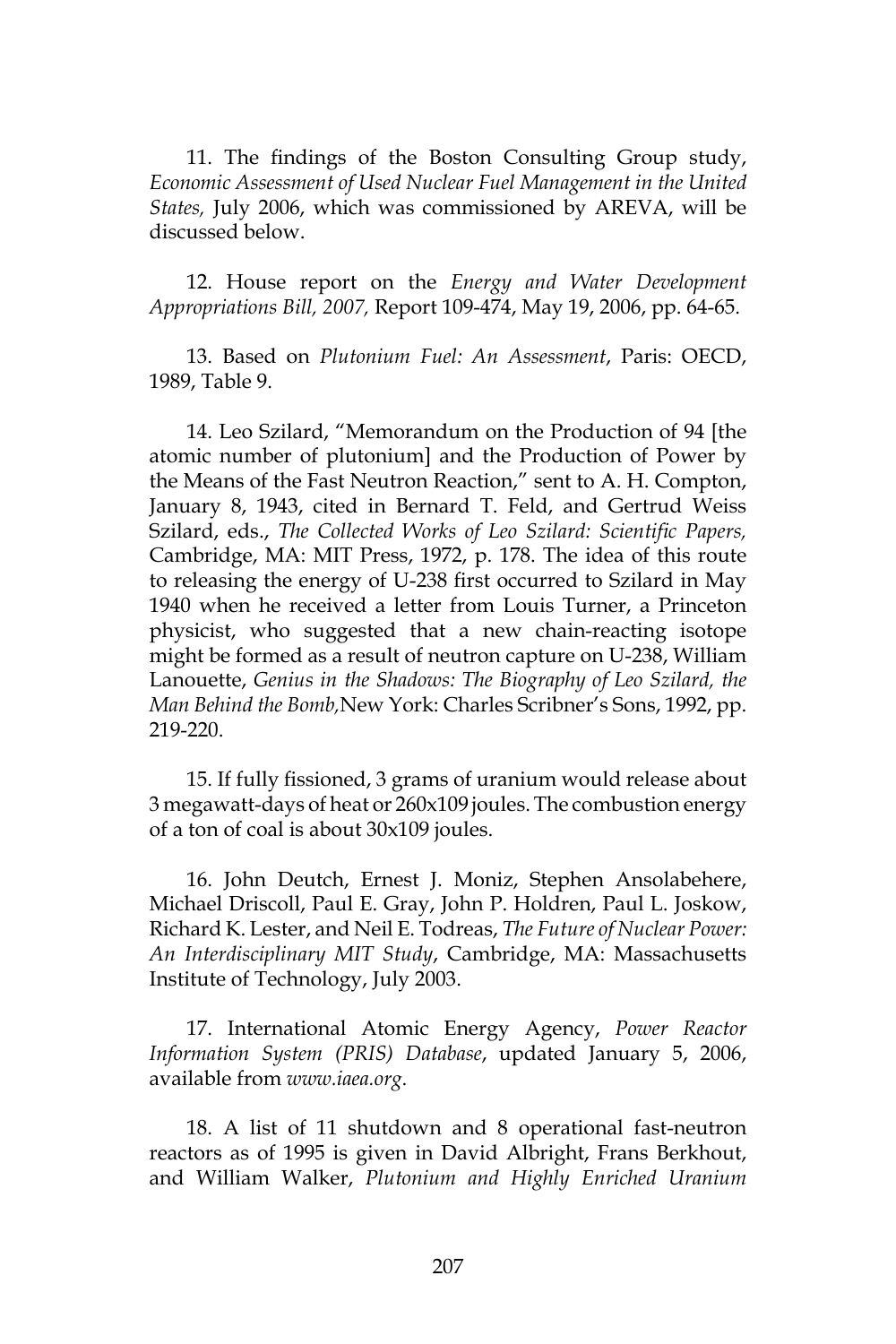11. The findings of the Boston Consulting Group study, *Economic Assessment of Used Nuclear Fuel Management in the United States,* July 2006, which was commissioned by AREVA, will be discussed below.

12. House report on the *Energy and Water Development Appropriations Bill, 2007,* Report 109-474, May 19, 2006, pp. 64-65.

13. Based on *Plutonium Fuel: An Assessment*, Paris: OECD, 1989, Table 9.

14. Leo Szilard, "Memorandum on the Production of 94 [the atomic number of plutonium] and the Production of Power by the Means of the Fast Neutron Reaction," sent to A. H. Compton, January 8, 1943, cited in Bernard T. Feld, and Gertrud Weiss Szilard, eds., *The Collected Works of Leo Szilard: Scientific Papers,*  Cambridge, MA: MIT Press, 1972, p. 178. The idea of this route to releasing the energy of U-238 first occurred to Szilard in May 1940 when he received a letter from Louis Turner, a Princeton physicist, who suggested that a new chain-reacting isotope might be formed as a result of neutron capture on U-238, William Lanouette, *Genius in the Shadows: The Biography of Leo Szilard, the Man Behind the Bomb,*New York: Charles Scribner's Sons, 1992, pp. 219-220.

15. If fully fissioned, 3 grams of uranium would release about 3 megawatt-days of heat or 260x109 joules. The combustion energy of a ton of coal is about 30x109 joules.

16. John Deutch, Ernest J. Moniz, Stephen Ansolabehere, Michael Driscoll, Paul E. Gray, John P. Holdren, Paul L. Joskow, Richard K. Lester, and Neil E. Todreas, *The Future of Nuclear Power: An Interdisciplinary MIT Study*, Cambridge, MA: Massachusetts Institute of Technology, July 2003.

17. International Atomic Energy Agency, *Power Reactor Information System (PRIS) Database*, updated January 5, 2006, available from *www.iaea.org*.

18. A list of 11 shutdown and 8 operational fast-neutron reactors as of 1995 is given in David Albright, Frans Berkhout, and William Walker, *Plutonium and Highly Enriched Uranium*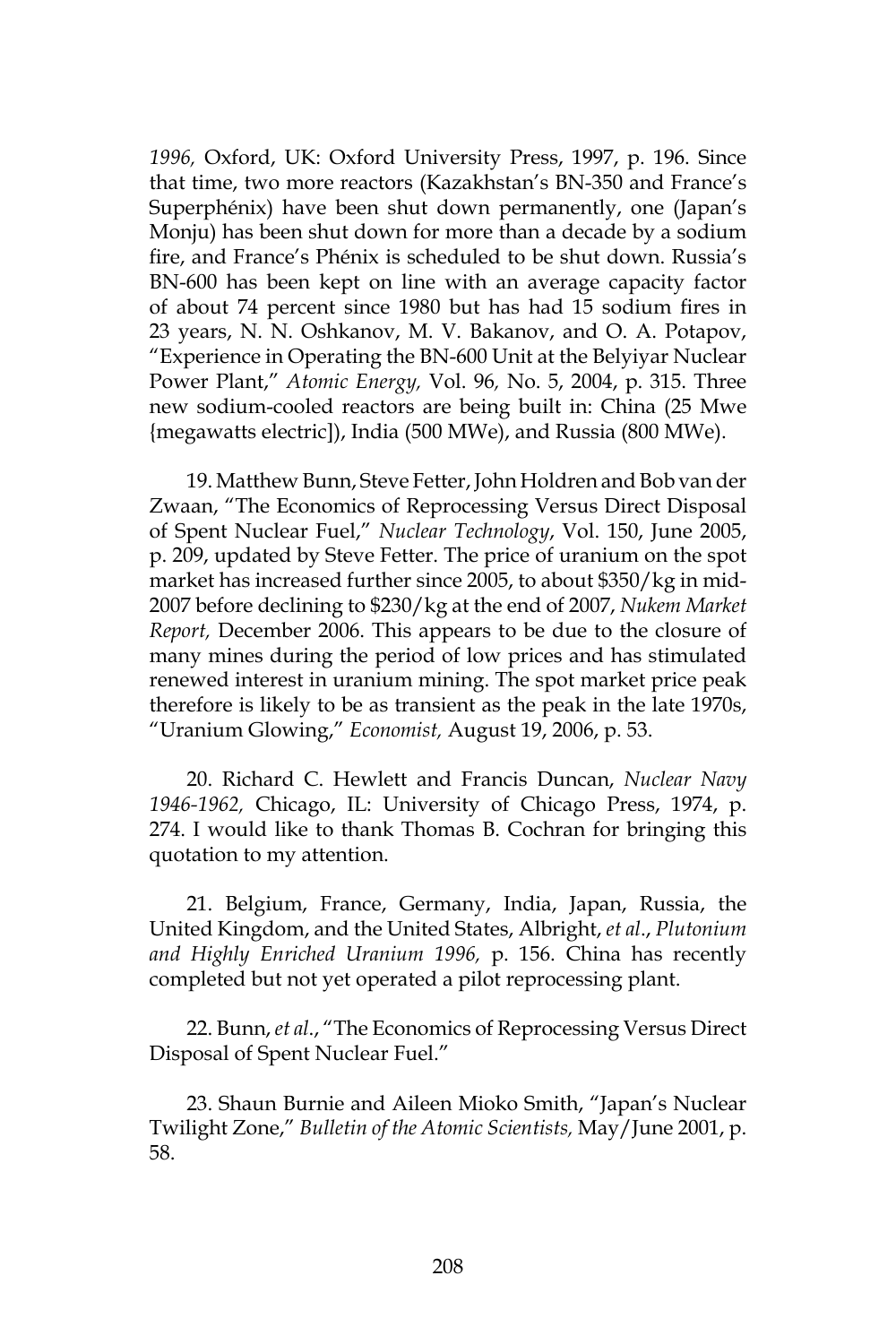*1996,* Oxford, UK: Oxford University Press, 1997, p. 196. Since that time, two more reactors (Kazakhstan's BN-350 and France's Superphénix) have been shut down permanently, one (Japan's Monju) has been shut down for more than a decade by a sodium fire, and France's Phénix is scheduled to be shut down. Russia's BN-600 has been kept on line with an average capacity factor of about 74 percent since 1980 but has had 15 sodium fires in 23 years, N. N. Oshkanov, M. V. Bakanov, and O. A. Potapov, "Experience in Operating the BN-600 Unit at the Belyiyar Nuclear Power Plant," *Atomic Energy,* Vol. 96*,* No. 5, 2004, p. 315. Three new sodium-cooled reactors are being built in: China (25 Mwe {megawatts electric]), India (500 MWe), and Russia (800 MWe).

19. Matthew Bunn, Steve Fetter, John Holdren and Bob van der Zwaan, "The Economics of Reprocessing Versus Direct Disposal of Spent Nuclear Fuel," *Nuclear Technology*, Vol. 150, June 2005, p. 209, updated by Steve Fetter. The price of uranium on the spot market has increased further since 2005, to about \$350/kg in mid-2007 before declining to \$230/kg at the end of 2007, *Nukem Market Report,* December 2006. This appears to be due to the closure of many mines during the period of low prices and has stimulated renewed interest in uranium mining. The spot market price peak therefore is likely to be as transient as the peak in the late 1970s, "Uranium Glowing," *Economist,* August 19, 2006, p. 53.

20. Richard C. Hewlett and Francis Duncan, *Nuclear Navy 1946-1962,* Chicago, IL: University of Chicago Press, 1974, p. 274. I would like to thank Thomas B. Cochran for bringing this quotation to my attention.

21. Belgium, France, Germany, India, Japan, Russia, the United Kingdom, and the United States, Albright, *et al*., *Plutonium and Highly Enriched Uranium 1996,* p. 156. China has recently completed but not yet operated a pilot reprocessing plant.

22. Bunn, *et al*., "The Economics of Reprocessing Versus Direct Disposal of Spent Nuclear Fuel."

23. Shaun Burnie and Aileen Mioko Smith, "Japan's Nuclear Twilight Zone," *Bulletin of the Atomic Scientists,* May/June 2001, p. 58.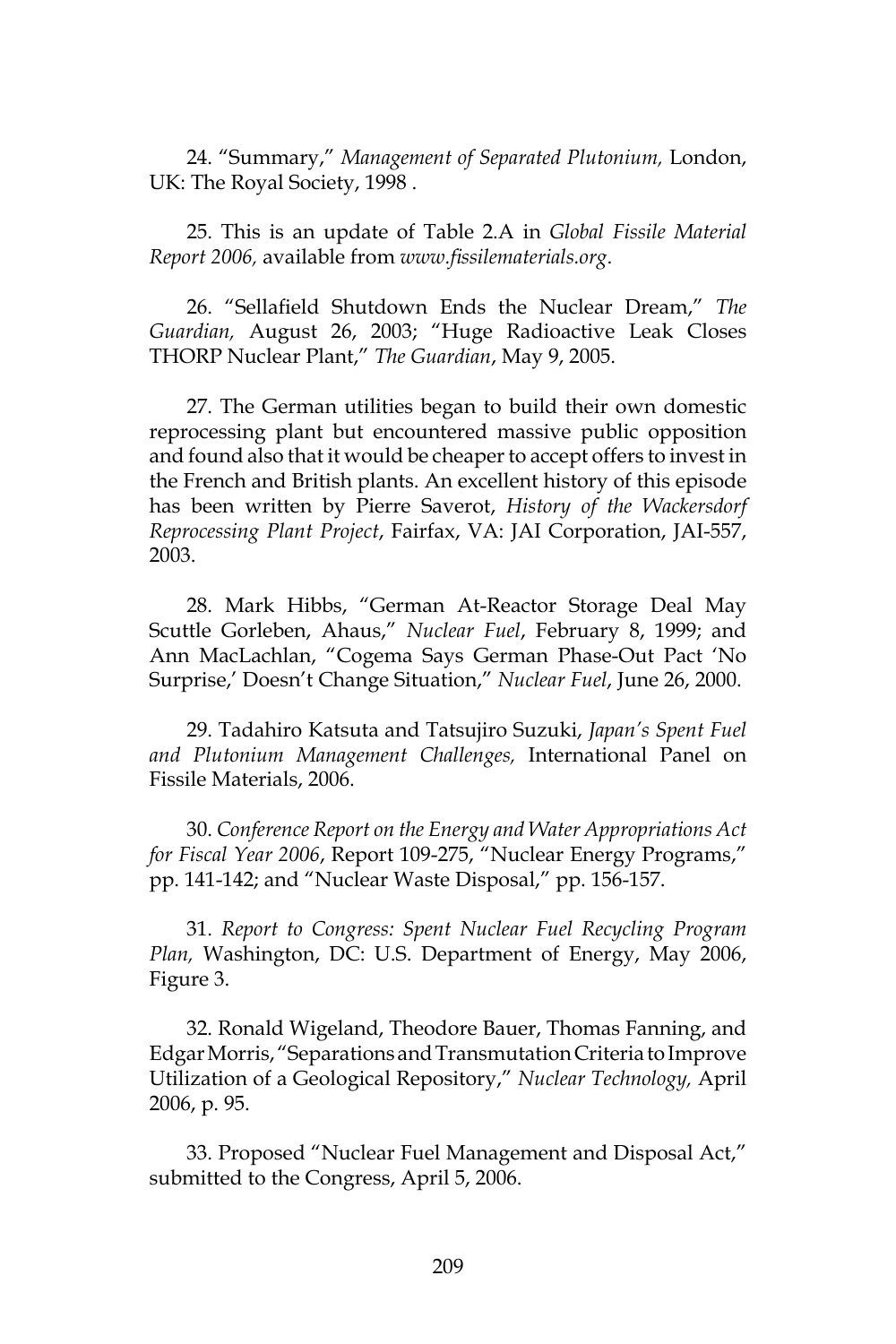24. "Summary," *Management of Separated Plutonium,* London, UK: The Royal Society, 1998 .

25. This is an update of Table 2.A in *Global Fissile Material Report 2006,* available from *www.fissilematerials.org*.

26. "Sellafield Shutdown Ends the Nuclear Dream," *The Guardian,* August 26, 2003; "Huge Radioactive Leak Closes THORP Nuclear Plant," *The Guardian*, May 9, 2005.

27. The German utilities began to build their own domestic reprocessing plant but encountered massive public opposition and found also that it would be cheaper to accept offers to invest in the French and British plants. An excellent history of this episode has been written by Pierre Saverot, *History of the Wackersdorf Reprocessing Plant Project*, Fairfax, VA: JAI Corporation, JAI-557, 2003.

28. Mark Hibbs, "German At-Reactor Storage Deal May Scuttle Gorleben, Ahaus," *Nuclear Fuel*, February 8, 1999; and Ann MacLachlan, "Cogema Says German Phase-Out Pact 'No Surprise,' Doesn't Change Situation," *Nuclear Fuel*, June 26, 2000.

29. Tadahiro Katsuta and Tatsujiro Suzuki, *Japan's Spent Fuel and Plutonium Management Challenges,* International Panel on Fissile Materials, 2006.

30. *Conference Report on the Energy and Water Appropriations Act for Fiscal Year 2006*, Report 109-275, "Nuclear Energy Programs," pp. 141-142; and "Nuclear Waste Disposal," pp. 156-157.

31. *Report to Congress: Spent Nuclear Fuel Recycling Program Plan,* Washington, DC: U.S. Department of Energy, May 2006, Figure 3.

32. Ronald Wigeland, Theodore Bauer, Thomas Fanning, and Edgar Morris, "Separations and Transmutation Criteria to Improve Utilization of a Geological Repository," *Nuclear Technology,* April 2006, p. 95.

33. Proposed "Nuclear Fuel Management and Disposal Act," submitted to the Congress, April 5, 2006.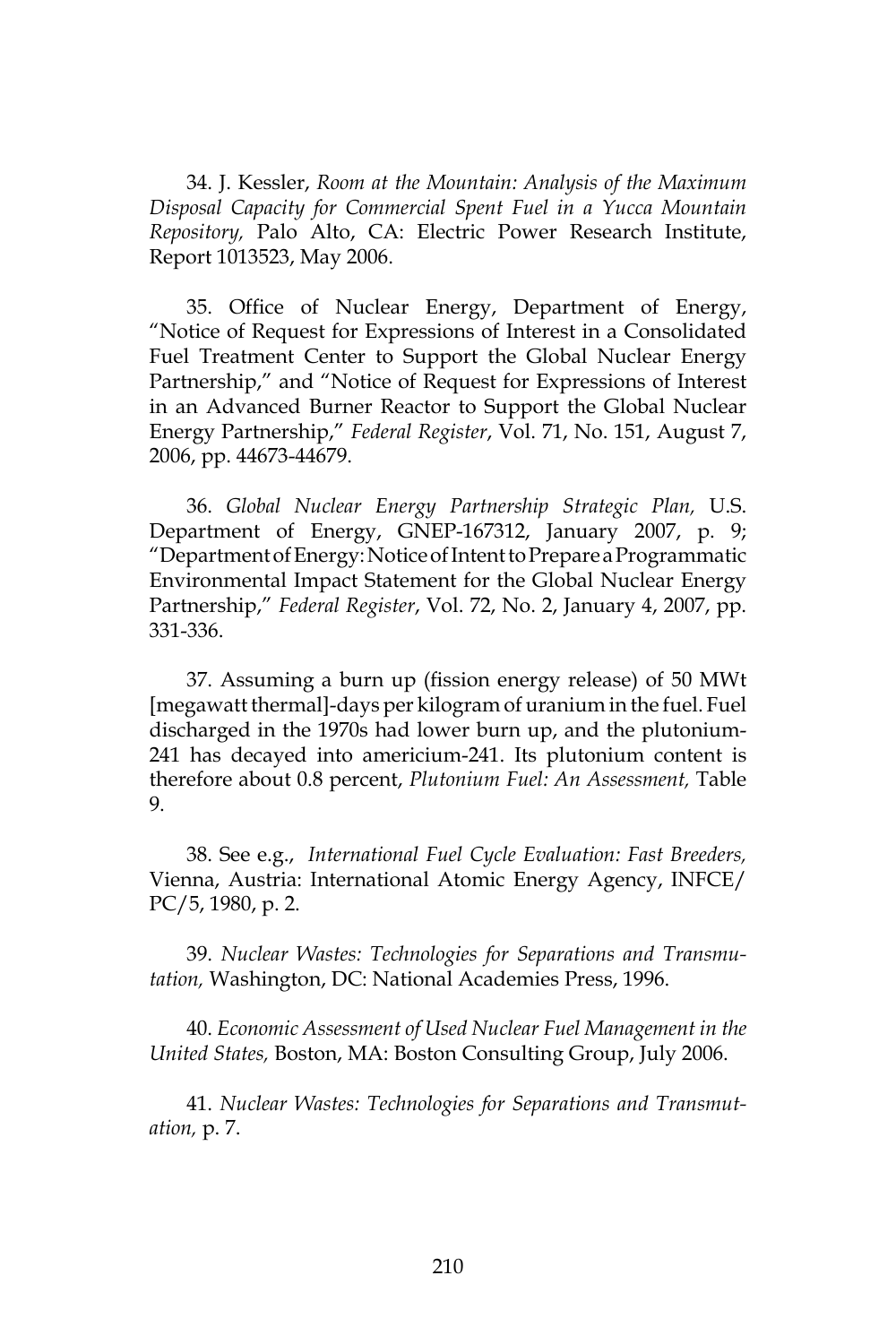34. J. Kessler, *Room at the Mountain: Analysis of the Maximum Disposal Capacity for Commercial Spent Fuel in a Yucca Mountain Repository,* Palo Alto, CA: Electric Power Research Institute, Report 1013523, May 2006.

35. Office of Nuclear Energy, Department of Energy, "Notice of Request for Expressions of Interest in a Consolidated Fuel Treatment Center to Support the Global Nuclear Energy Partnership," and "Notice of Request for Expressions of Interest in an Advanced Burner Reactor to Support the Global Nuclear Energy Partnership," *Federal Register*, Vol. 71, No. 151, August 7, 2006, pp. 44673-44679.

36. *Global Nuclear Energy Partnership Strategic Plan,* U.S. Department of Energy, GNEP-167312, January 2007, p. 9; "Department of Energy: Notice of Intent to Prepare a Programmatic Environmental Impact Statement for the Global Nuclear Energy Partnership," *Federal Register*, Vol. 72, No. 2, January 4, 2007, pp. 331-336.

37. Assuming a burn up (fission energy release) of 50 MWt [megawatt thermal]-days per kilogram of uranium in the fuel. Fuel discharged in the 1970s had lower burn up, and the plutonium-241 has decayed into americium-241. Its plutonium content is therefore about 0.8 percent, *Plutonium Fuel: An Assessment,* Table 9.

38. See e.g., *International Fuel Cycle Evaluation: Fast Breeders,*  Vienna, Austria: International Atomic Energy Agency, INFCE/ PC/5, 1980, p. 2.

39. *Nuclear Wastes: Technologies for Separations and Transmutation,* Washington, DC: National Academies Press, 1996.

40. *Economic Assessment of Used Nuclear Fuel Management in the United States,* Boston, MA: Boston Consulting Group, July 2006.

41. *Nuclear Wastes: Technologies for Separations and Transmutation,* p. 7.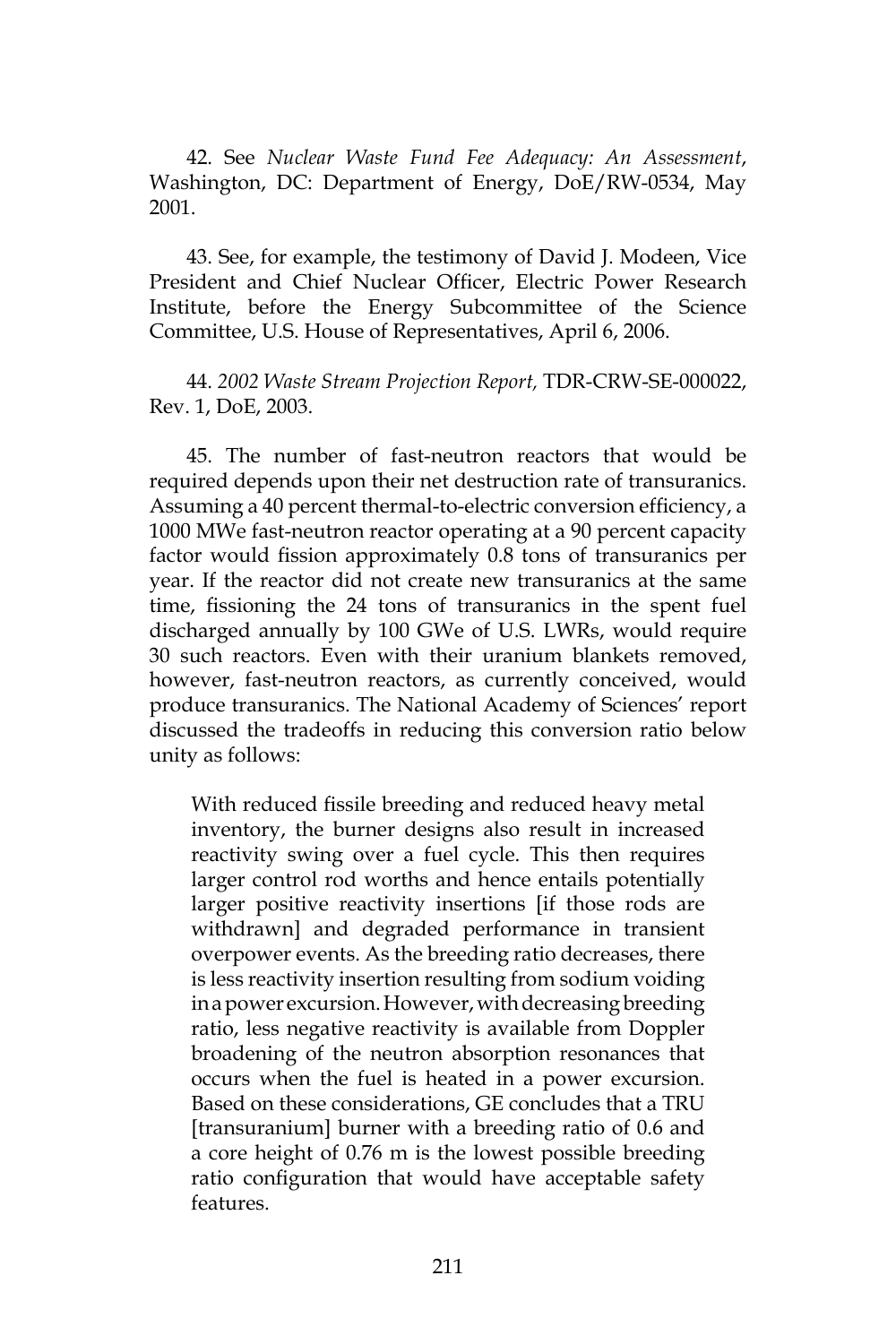42. See *Nuclear Waste Fund Fee Adequacy: An Assessment*, Washington, DC: Department of Energy, DoE/RW-0534, May 2001.

43. See, for example, the testimony of David J. Modeen, Vice President and Chief Nuclear Officer, Electric Power Research Institute, before the Energy Subcommittee of the Science Committee, U.S. House of Representatives, April 6, 2006.

44. *2002 Waste Stream Projection Report,* TDR-CRW-SE-000022, Rev. 1, DoE, 2003.

45. The number of fast-neutron reactors that would be required depends upon their net destruction rate of transuranics. Assuming a 40 percent thermal-to-electric conversion efficiency, a 1000 MWe fast-neutron reactor operating at a 90 percent capacity factor would fission approximately 0.8 tons of transuranics per year. If the reactor did not create new transuranics at the same time, fissioning the 24 tons of transuranics in the spent fuel discharged annually by 100 GWe of U.S. LWRs, would require 30 such reactors. Even with their uranium blankets removed, however, fast-neutron reactors, as currently conceived, would produce transuranics. The National Academy of Sciences' report discussed the tradeoffs in reducing this conversion ratio below unity as follows:

With reduced fissile breeding and reduced heavy metal inventory, the burner designs also result in increased reactivity swing over a fuel cycle. This then requires larger control rod worths and hence entails potentially larger positive reactivity insertions [if those rods are withdrawn] and degraded performance in transient overpower events. As the breeding ratio decreases, there is less reactivity insertion resulting from sodium voiding in a power excursion. However, with decreasing breeding ratio, less negative reactivity is available from Doppler broadening of the neutron absorption resonances that occurs when the fuel is heated in a power excursion. Based on these considerations, GE concludes that a TRU [transuranium] burner with a breeding ratio of 0.6 and a core height of 0.76 m is the lowest possible breeding ratio configuration that would have acceptable safety features.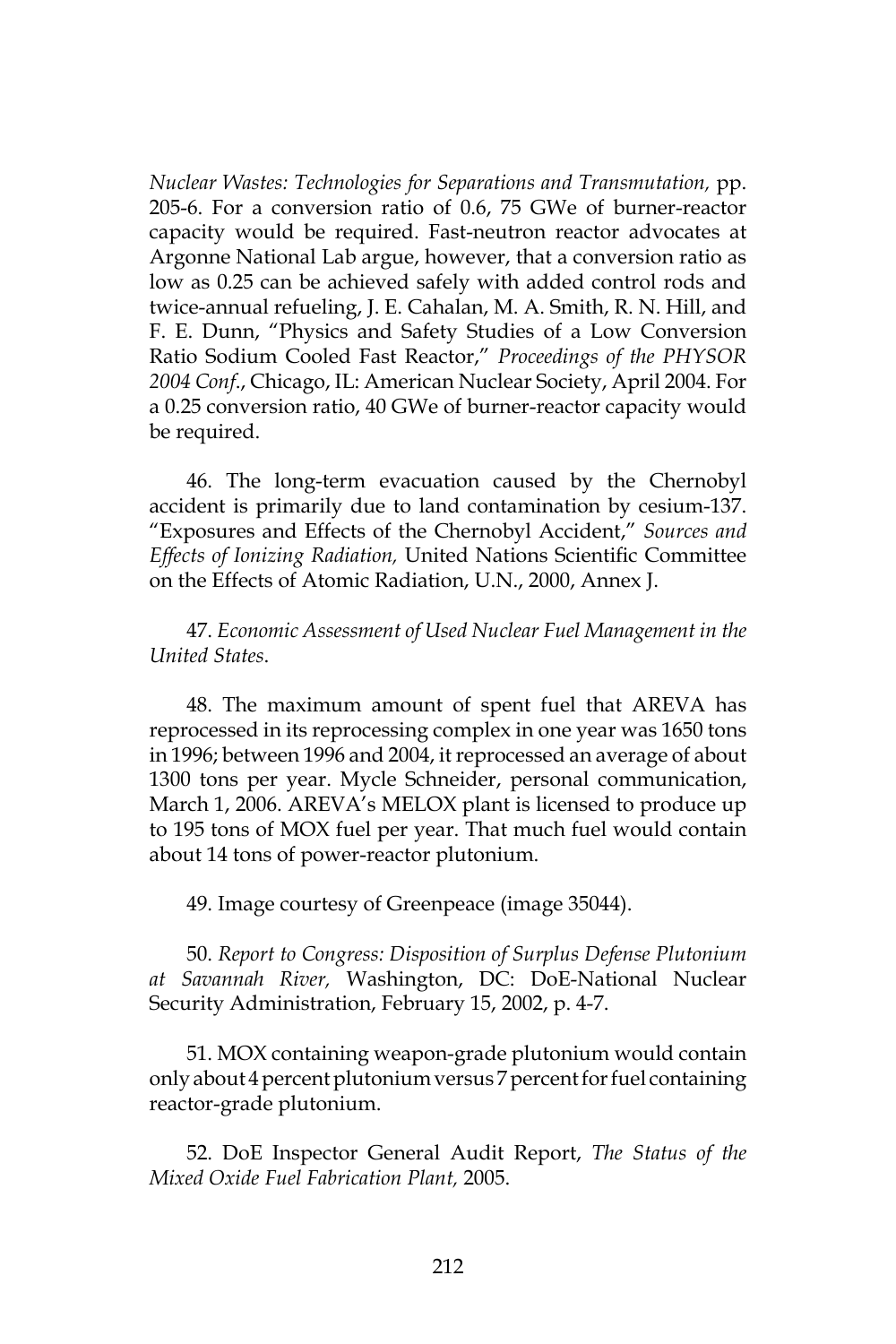*Nuclear Wastes: Technologies for Separations and Transmutation,* pp. 205-6. For a conversion ratio of 0.6, 75 GWe of burner-reactor capacity would be required. Fast-neutron reactor advocates at Argonne National Lab argue, however, that a conversion ratio as low as 0.25 can be achieved safely with added control rods and twice-annual refueling, J. E. Cahalan, M. A. Smith, R. N. Hill, and F. E. Dunn, "Physics and Safety Studies of a Low Conversion Ratio Sodium Cooled Fast Reactor," *Proceedings of the PHYSOR 2004 Conf*., Chicago, IL: American Nuclear Society, April 2004. For a 0.25 conversion ratio, 40 GWe of burner-reactor capacity would be required.

46. The long-term evacuation caused by the Chernobyl accident is primarily due to land contamination by cesium-137. "Exposures and Effects of the Chernobyl Accident," *Sources and Effects of Ionizing Radiation,* United Nations Scientific Committee on the Effects of Atomic Radiation, U.N., 2000, Annex J.

47. *Economic Assessment of Used Nuclear Fuel Management in the United States*.

48. The maximum amount of spent fuel that AREVA has reprocessed in its reprocessing complex in one year was 1650 tons in 1996; between 1996 and 2004, it reprocessed an average of about 1300 tons per year. Mycle Schneider, personal communication, March 1, 2006. AREVA's MELOX plant is licensed to produce up to 195 tons of MOX fuel per year. That much fuel would contain about 14 tons of power-reactor plutonium.

49. Image courtesy of Greenpeace (image 35044).

50. *Report to Congress: Disposition of Surplus Defense Plutonium at Savannah River,* Washington, DC: DoE-National Nuclear Security Administration, February 15, 2002, p. 4-7.

51. MOX containing weapon-grade plutonium would contain only about 4 percent plutonium versus 7 percent for fuel containing reactor-grade plutonium.

52. DoE Inspector General Audit Report, *The Status of the Mixed Oxide Fuel Fabrication Plant,* 2005.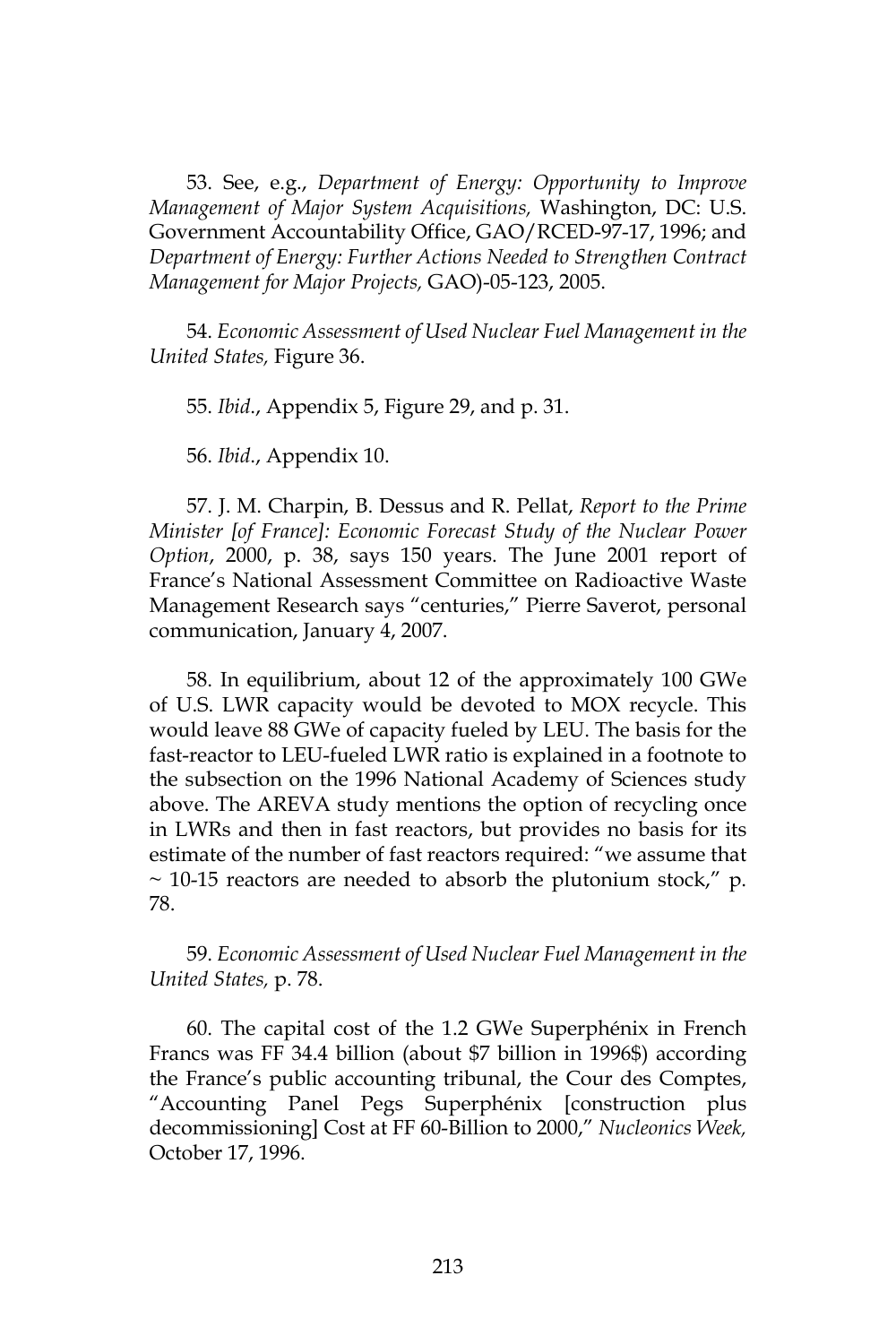53. See, e.g., *Department of Energy: Opportunity to Improve Management of Major System Acquisitions,* Washington, DC: U.S. Government Accountability Office, GAO/RCED-97-17, 1996; and *Department of Energy: Further Actions Needed to Strengthen Contract Management for Major Projects,* GAO)-05-123, 2005.

54. *Economic Assessment of Used Nuclear Fuel Management in the United States,* Figure 36.

55. *Ibid*., Appendix 5, Figure 29, and p. 31.

56. *Ibid*., Appendix 10.

57. J. M. Charpin, B. Dessus and R. Pellat, *Report to the Prime Minister [of France]: Economic Forecast Study of the Nuclear Power Option*, 2000, p. 38, says 150 years. The June 2001 report of France's National Assessment Committee on Radioactive Waste Management Research says "centuries," Pierre Saverot, personal communication, January 4, 2007.

58. In equilibrium, about 12 of the approximately 100 GWe of U.S. LWR capacity would be devoted to MOX recycle. This would leave 88 GWe of capacity fueled by LEU. The basis for the fast-reactor to LEU-fueled LWR ratio is explained in a footnote to the subsection on the 1996 National Academy of Sciences study above. The AREVA study mentions the option of recycling once in LWRs and then in fast reactors, but provides no basis for its estimate of the number of fast reactors required: "we assume that  $\sim$  10-15 reactors are needed to absorb the plutonium stock," p. 78.

59. *Economic Assessment of Used Nuclear Fuel Management in the United States,* p. 78.

60. The capital cost of the 1.2 GWe Superphénix in French Francs was FF 34.4 billion (about \$7 billion in 1996\$) according the France's public accounting tribunal, the Cour des Comptes, "Accounting Panel Pegs Superphénix [construction plus decommissioning] Cost at FF 60-Billion to 2000," *Nucleonics Week,* October 17, 1996.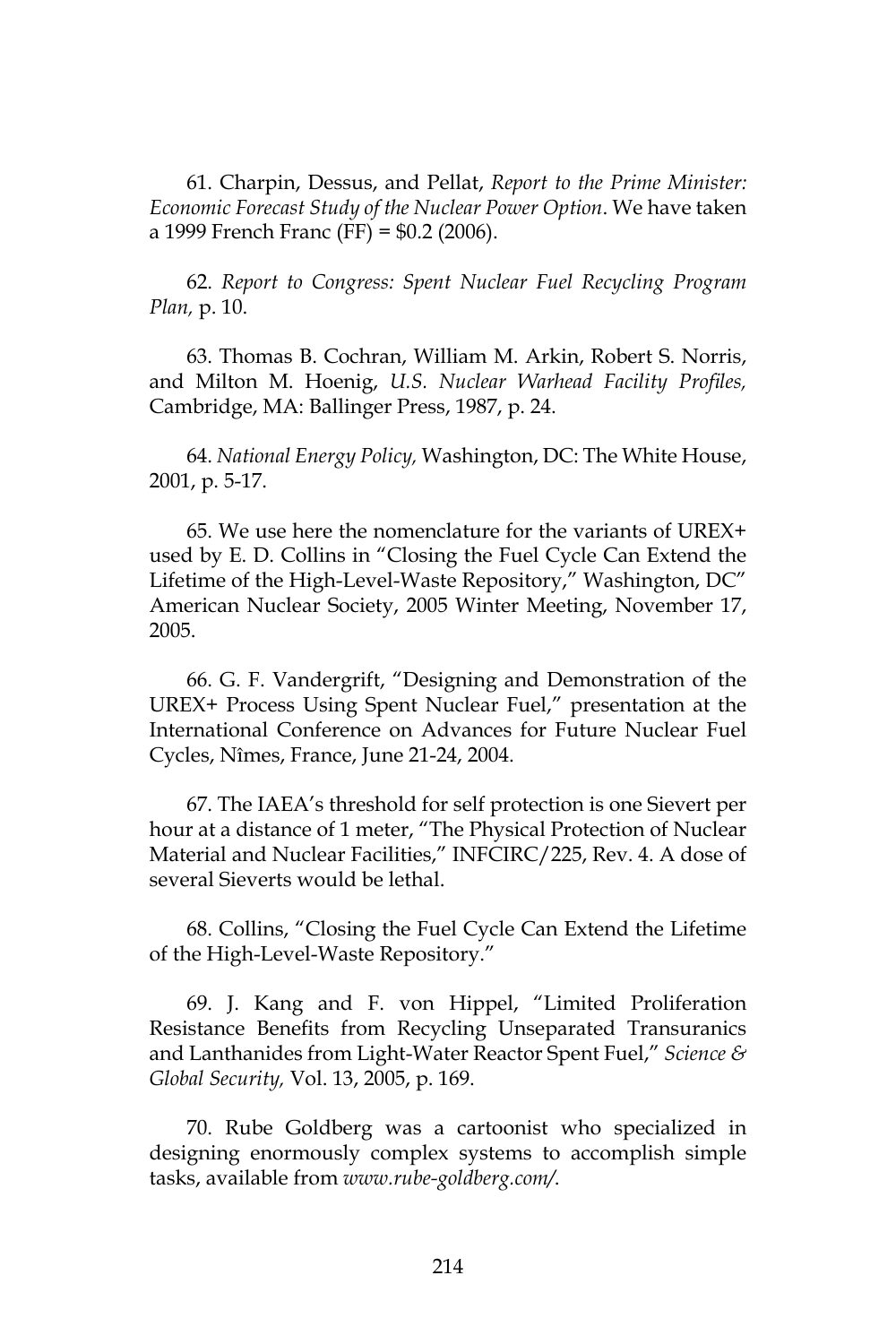61. Charpin, Dessus, and Pellat, *Report to the Prime Minister: Economic Forecast Study of the Nuclear Power Option*. We have taken a 1999 French Franc (FF) = \$0.2 (2006).

62. *Report to Congress: Spent Nuclear Fuel Recycling Program Plan,* p. 10.

63. Thomas B. Cochran, William M. Arkin, Robert S. Norris, and Milton M. Hoenig, *U.S. Nuclear Warhead Facility Profiles,*  Cambridge, MA: Ballinger Press, 1987, p. 24.

64. *National Energy Policy,* Washington, DC: The White House, 2001, p. 5-17.

65. We use here the nomenclature for the variants of UREX+ used by E. D. Collins in "Closing the Fuel Cycle Can Extend the Lifetime of the High-Level-Waste Repository," Washington, DC" American Nuclear Society, 2005 Winter Meeting, November 17, 2005.

66. G. F. Vandergrift, "Designing and Demonstration of the UREX+ Process Using Spent Nuclear Fuel," presentation at the International Conference on Advances for Future Nuclear Fuel Cycles, Nîmes, France, June 21-24, 2004.

67. The IAEA's threshold for self protection is one Sievert per hour at a distance of 1 meter, "The Physical Protection of Nuclear Material and Nuclear Facilities," INFCIRC/225, Rev. 4. A dose of several Sieverts would be lethal.

68. Collins, "Closing the Fuel Cycle Can Extend the Lifetime of the High-Level-Waste Repository."

69. J. Kang and F. von Hippel, "Limited Proliferation Resistance Benefits from Recycling Unseparated Transuranics and Lanthanides from Light-Water Reactor Spent Fuel," *Science & Global Security,* Vol. 13, 2005, p. 169.

70. Rube Goldberg was a cartoonist who specialized in designing enormously complex systems to accomplish simple tasks, available from *www.rube-goldberg.com/*.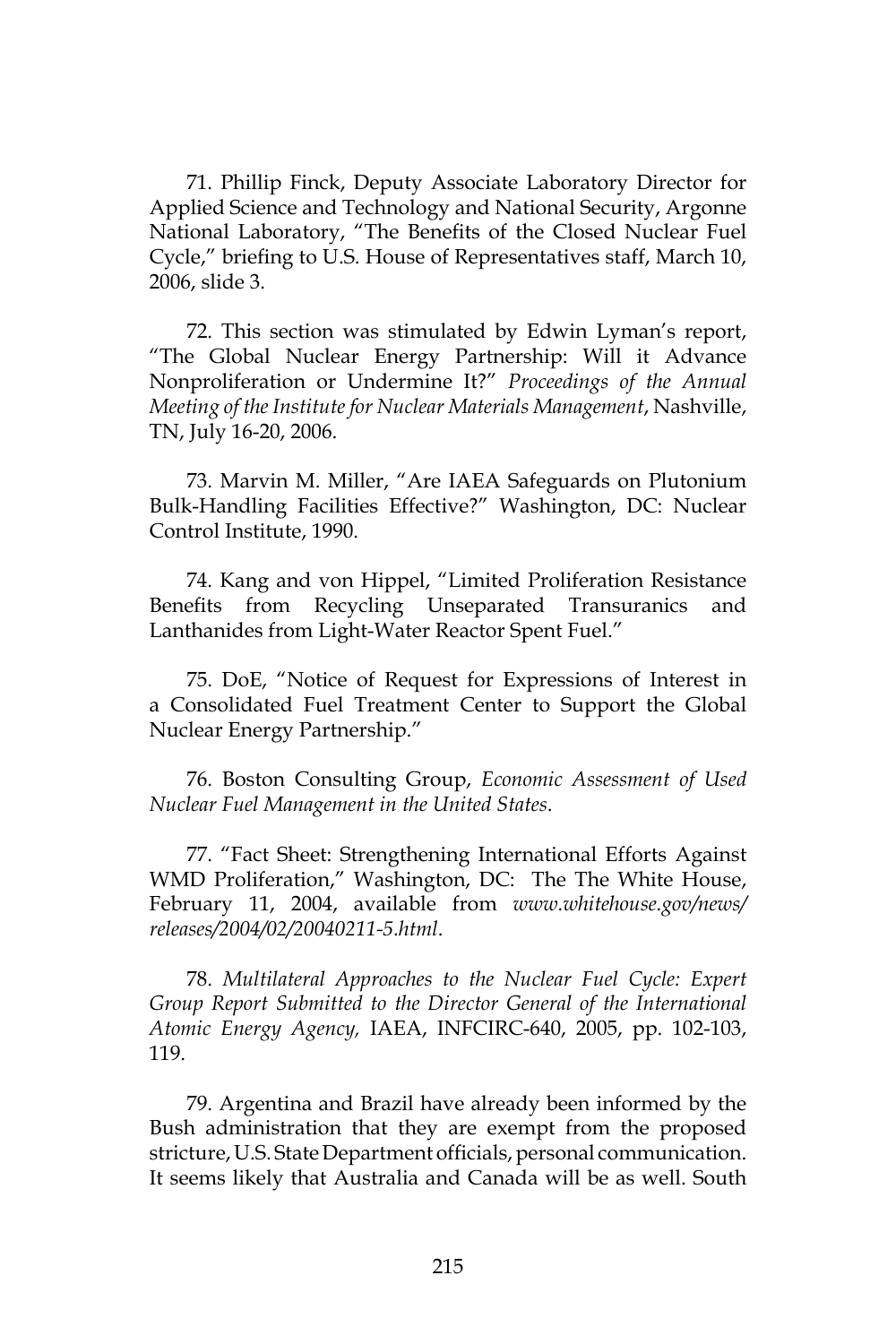71. Phillip Finck, Deputy Associate Laboratory Director for Applied Science and Technology and National Security, Argonne National Laboratory, "The Benefits of the Closed Nuclear Fuel Cycle," briefing to U.S. House of Representatives staff, March 10, 2006, slide 3.

72. This section was stimulated by Edwin Lyman's report, "The Global Nuclear Energy Partnership: Will it Advance Nonproliferation or Undermine It?" *Proceedings of the Annual Meeting of the Institute for Nuclear Materials Management*, Nashville, TN, July 16-20, 2006.

73. Marvin M. Miller, "Are IAEA Safeguards on Plutonium Bulk-Handling Facilities Effective?" Washington, DC: Nuclear Control Institute, 1990.

74. Kang and von Hippel, "Limited Proliferation Resistance Benefits from Recycling Unseparated Transuranics and Lanthanides from Light-Water Reactor Spent Fuel."

75. DoE, "Notice of Request for Expressions of Interest in a Consolidated Fuel Treatment Center to Support the Global Nuclear Energy Partnership."

76. Boston Consulting Group, *Economic Assessment of Used Nuclear Fuel Management in the United States*.

77. "Fact Sheet: Strengthening International Efforts Against WMD Proliferation," Washington, DC: The The White House, February 11, 2004, available from *www.whitehouse.gov/news/ releases/2004/02/20040211-5.html*.

78. *Multilateral Approaches to the Nuclear Fuel Cycle: Expert Group Report Submitted to the Director General of the International Atomic Energy Agency,* IAEA, INFCIRC-640, 2005, pp. 102-103, 119.

79. Argentina and Brazil have already been informed by the Bush administration that they are exempt from the proposed stricture, U.S. State Department officials, personal communication. It seems likely that Australia and Canada will be as well. South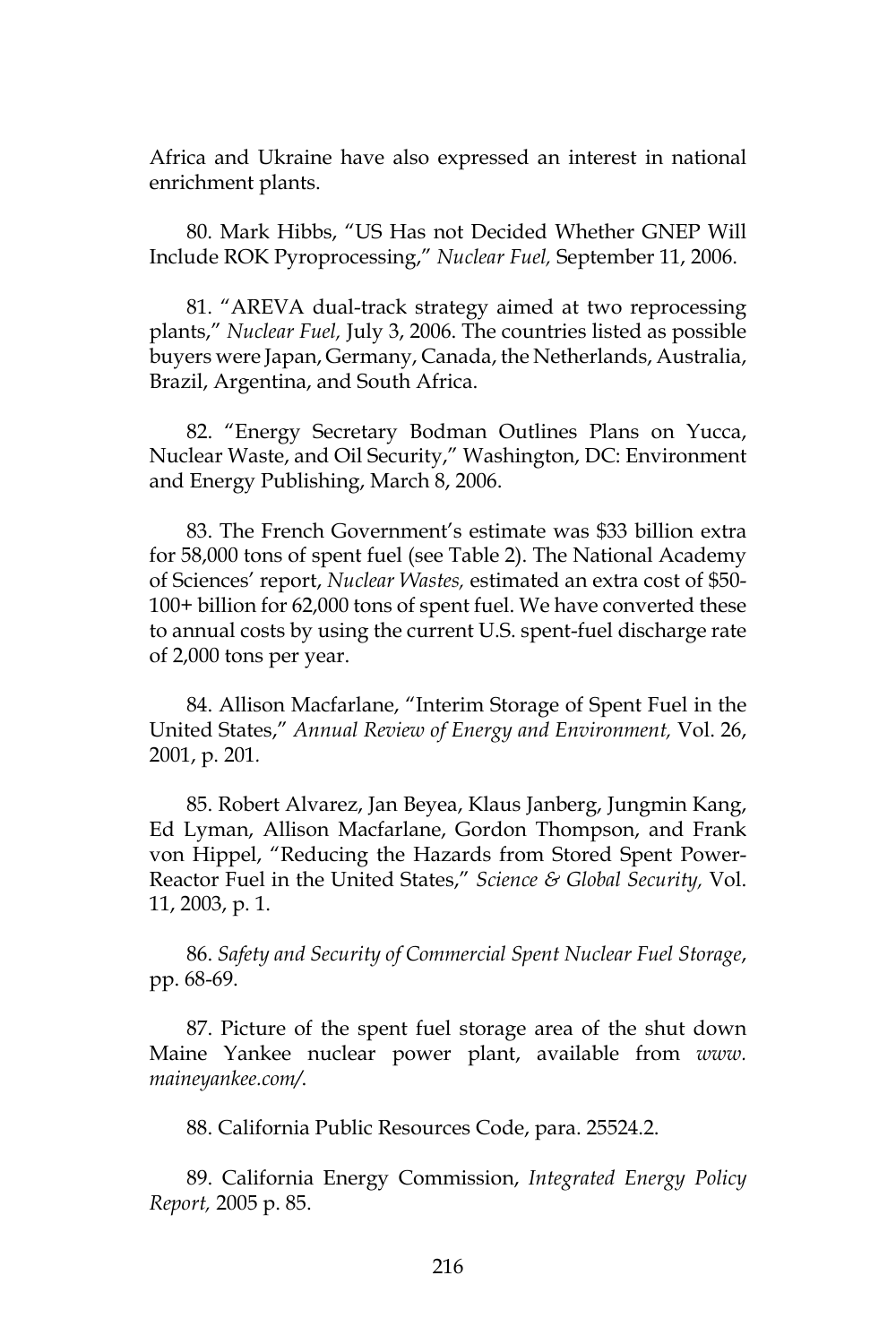Africa and Ukraine have also expressed an interest in national enrichment plants.

80. Mark Hibbs, "US Has not Decided Whether GNEP Will Include ROK Pyroprocessing," *Nuclear Fuel,* September 11, 2006.

81. "AREVA dual-track strategy aimed at two reprocessing plants," *Nuclear Fuel,* July 3, 2006. The countries listed as possible buyers were Japan, Germany, Canada, the Netherlands, Australia, Brazil, Argentina, and South Africa.

82. "Energy Secretary Bodman Outlines Plans on Yucca, Nuclear Waste, and Oil Security," Washington, DC: Environment and Energy Publishing, March 8, 2006.

83. The French Government's estimate was \$33 billion extra for 58,000 tons of spent fuel (see Table 2). The National Academy of Sciences' report, *Nuclear Wastes,* estimated an extra cost of \$50- 100+ billion for 62,000 tons of spent fuel. We have converted these to annual costs by using the current U.S. spent-fuel discharge rate of 2,000 tons per year.

84. Allison Macfarlane, "Interim Storage of Spent Fuel in the United States," *Annual Review of Energy and Environment,* Vol. 26, 2001, p. 201*.*

85. Robert Alvarez, Jan Beyea, Klaus Janberg, Jungmin Kang, Ed Lyman, Allison Macfarlane, Gordon Thompson, and Frank von Hippel, "Reducing the Hazards from Stored Spent Power-Reactor Fuel in the United States," *Science & Global Security,* Vol. 11, 2003, p. 1.

86. *Safety and Security of Commercial Spent Nuclear Fuel Storage*, pp. 68-69.

87. Picture of the spent fuel storage area of the shut down Maine Yankee nuclear power plant, available from *www. maineyankee.com/*.

88. California Public Resources Code, para. 25524.2.

89. California Energy Commission, *Integrated Energy Policy Report,* 2005 p. 85.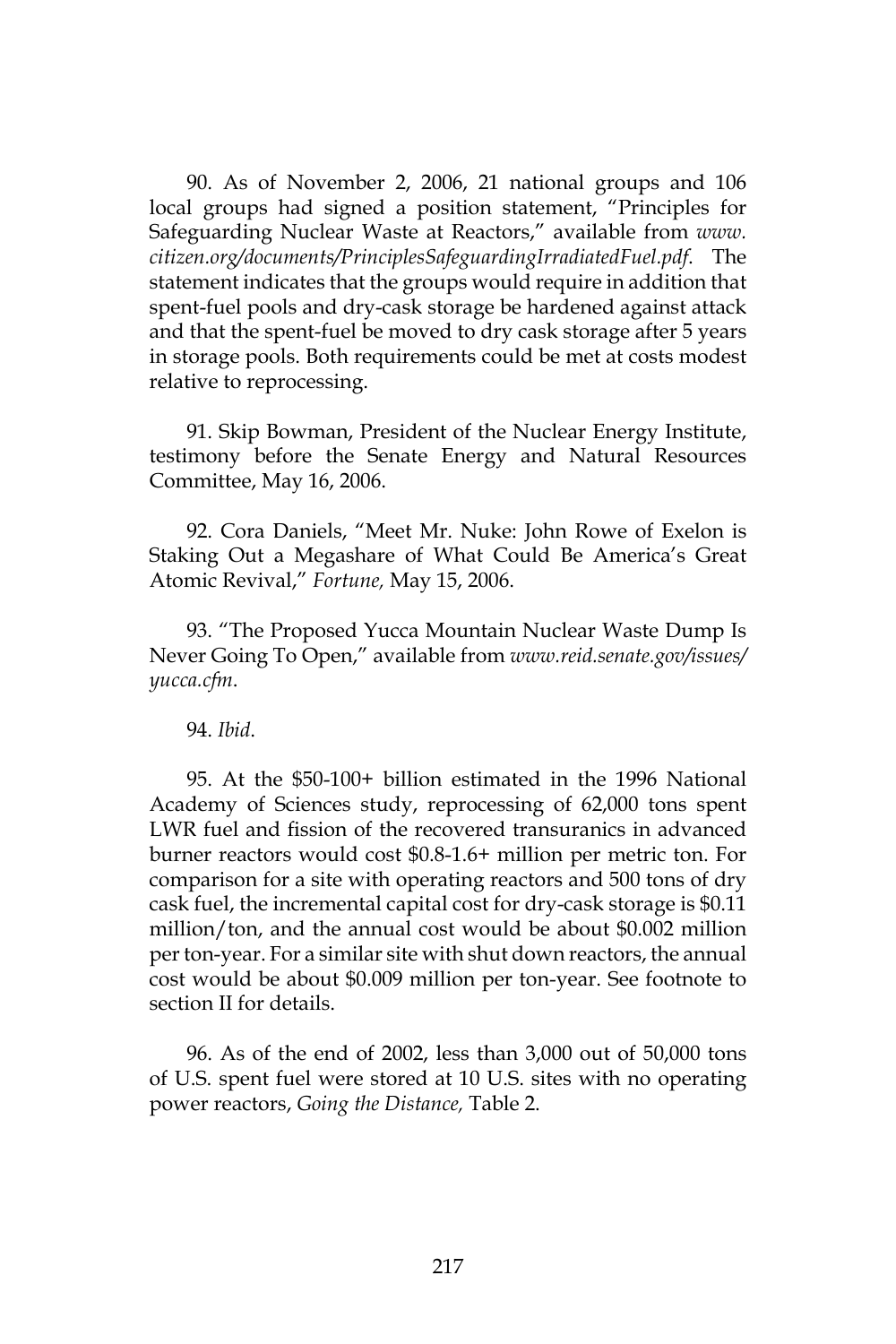90. As of November 2, 2006, 21 national groups and 106 local groups had signed a position statement, "Principles for Safeguarding Nuclear Waste at Reactors," available from *www. citizen.org/documents/PrinciplesSafeguardingIrradiatedFuel.pdf*. The statement indicates that the groups would require in addition that spent-fuel pools and dry-cask storage be hardened against attack and that the spent-fuel be moved to dry cask storage after 5 years in storage pools. Both requirements could be met at costs modest relative to reprocessing.

91. Skip Bowman, President of the Nuclear Energy Institute, testimony before the Senate Energy and Natural Resources Committee, May 16, 2006.

92. Cora Daniels, "Meet Mr. Nuke: John Rowe of Exelon is Staking Out a Megashare of What Could Be America's Great Atomic Revival," *Fortune,* May 15, 2006.

93. "The Proposed Yucca Mountain Nuclear Waste Dump Is Never Going To Open," available from *www.reid.senate.gov/issues/ yucca.cfm*.

94. *Ibid*.

95. At the \$50-100+ billion estimated in the 1996 National Academy of Sciences study, reprocessing of 62,000 tons spent LWR fuel and fission of the recovered transuranics in advanced burner reactors would cost \$0.8-1.6+ million per metric ton. For comparison for a site with operating reactors and 500 tons of dry cask fuel, the incremental capital cost for dry-cask storage is \$0.11 million/ton, and the annual cost would be about \$0.002 million per ton-year. For a similar site with shut down reactors, the annual cost would be about \$0.009 million per ton-year. See footnote to section II for details.

96. As of the end of 2002, less than 3,000 out of 50,000 tons of U.S. spent fuel were stored at 10 U.S. sites with no operating power reactors, *Going the Distance,* Table 2.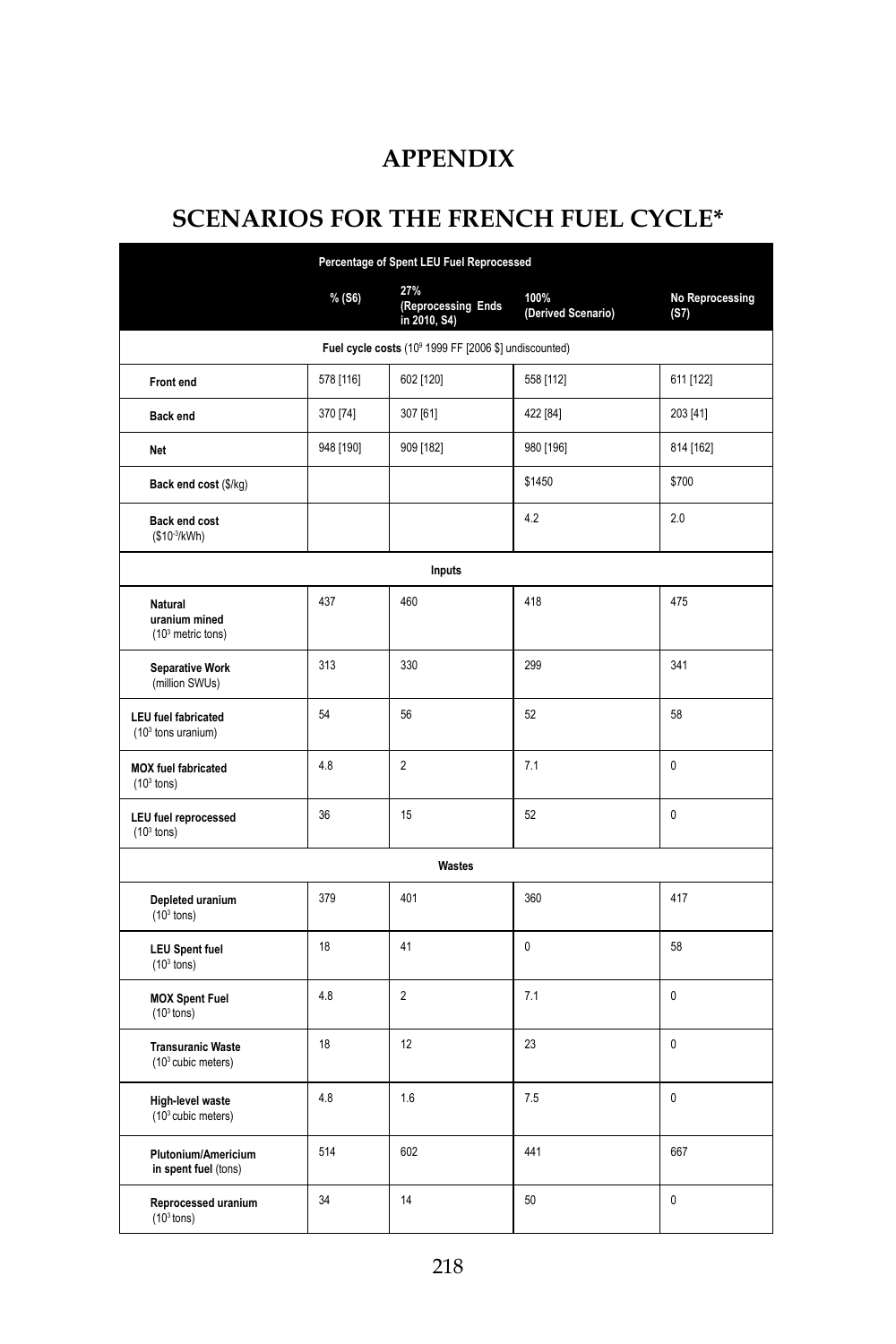# **APPENDIX**

# **SCENARIOS FOR THE FRENCH FUEL CYCLE\***

| Percentage of Spent LEU Fuel Reprocessed                          |           |                                           |                            |                                |  |  |  |  |
|-------------------------------------------------------------------|-----------|-------------------------------------------|----------------------------|--------------------------------|--|--|--|--|
|                                                                   | % (S6)    | 27%<br>(Reprocessing Ends<br>in 2010, S4) | 100%<br>(Derived Scenario) | <b>No Reprocessing</b><br>(S7) |  |  |  |  |
| Fuel cycle costs (10 <sup>9</sup> 1999 FF [2006 \$] undiscounted) |           |                                           |                            |                                |  |  |  |  |
| Front end                                                         | 578 [116] | 602 [120]                                 | 558 [112]                  | 611 [122]                      |  |  |  |  |
| <b>Back end</b>                                                   | 370 [74]  | 307 [61]                                  | 422 [84]                   | 203 [41]                       |  |  |  |  |
| Net                                                               | 948 [190] | 909 [182]                                 | 980 [196]                  | 814 [162]                      |  |  |  |  |
| Back end cost (\$/kg)                                             |           |                                           | \$1450                     | \$700                          |  |  |  |  |
| Back end cost<br>(\$10-3/kWh)                                     |           |                                           | 4.2                        | 2.0                            |  |  |  |  |
| Inputs                                                            |           |                                           |                            |                                |  |  |  |  |
| <b>Natural</b><br>uranium mined<br>(10 <sup>3</sup> metric tons)  | 437       | 460                                       | 418                        | 475                            |  |  |  |  |
| <b>Separative Work</b><br>(million SWUs)                          | 313       | 330                                       | 299                        | 341                            |  |  |  |  |
| <b>LEU</b> fuel fabricated<br>$(103$ tons uranium)                | 54        | 56                                        | 52                         | 58                             |  |  |  |  |
| <b>MOX</b> fuel fabricated<br>$(103$ tons)                        | 4.8       | $\overline{2}$                            | 7.1                        | $\mathbf{0}$                   |  |  |  |  |
| <b>LEU</b> fuel reprocessed<br>$(103$ tons)                       | 36        | 15                                        | 52                         | $\mathbf{0}$                   |  |  |  |  |
| <b>Wastes</b>                                                     |           |                                           |                            |                                |  |  |  |  |
| Depleted uranium<br>$(103$ tons)                                  | 379       | 401                                       | 360                        | 417                            |  |  |  |  |
| <b>LEU Spent fuel</b><br>$(103$ tons)                             | 18        | 41                                        | 0                          | 58                             |  |  |  |  |
| <b>MOX Spent Fuel</b><br>$(103$ tons)                             | 4.8       | $\overline{2}$                            | 7.1                        | $\mathbf{0}$                   |  |  |  |  |
| <b>Transuranic Waste</b><br>$(103$ cubic meters)                  | 18        | 12                                        | 23                         | 0                              |  |  |  |  |
| High-level waste<br>(10 <sup>3</sup> cubic meters)                | 4.8       | 1.6                                       | 7.5                        | 0                              |  |  |  |  |
| Plutonium/Americium<br>in spent fuel (tons)                       | 514       | 602                                       | 441                        | 667                            |  |  |  |  |
| Reprocessed uranium<br>$(103$ tons)                               | 34        | 14                                        | 50                         | $\mathbf{0}$                   |  |  |  |  |